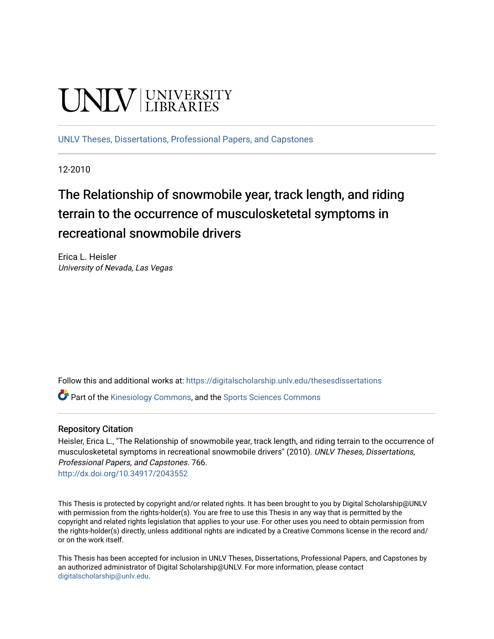# **UNIVERSITY**

[UNLV Theses, Dissertations, Professional Papers, and Capstones](https://digitalscholarship.unlv.edu/thesesdissertations)

12-2010

# The Relationship of snowmobile year, track length, and riding terrain to the occurrence of musculosketetal symptoms in recreational snowmobile drivers

Erica L. Heisler University of Nevada, Las Vegas

Follow this and additional works at: [https://digitalscholarship.unlv.edu/thesesdissertations](https://digitalscholarship.unlv.edu/thesesdissertations?utm_source=digitalscholarship.unlv.edu%2Fthesesdissertations%2F766&utm_medium=PDF&utm_campaign=PDFCoverPages)

**P** Part of the [Kinesiology Commons](http://network.bepress.com/hgg/discipline/42?utm_source=digitalscholarship.unlv.edu%2Fthesesdissertations%2F766&utm_medium=PDF&utm_campaign=PDFCoverPages), and the Sports Sciences Commons

#### Repository Citation

Heisler, Erica L., "The Relationship of snowmobile year, track length, and riding terrain to the occurrence of musculosketetal symptoms in recreational snowmobile drivers" (2010). UNLV Theses, Dissertations, Professional Papers, and Capstones. 766. <http://dx.doi.org/10.34917/2043552>

This Thesis is protected by copyright and/or related rights. It has been brought to you by Digital Scholarship@UNLV with permission from the rights-holder(s). You are free to use this Thesis in any way that is permitted by the copyright and related rights legislation that applies to your use. For other uses you need to obtain permission from the rights-holder(s) directly, unless additional rights are indicated by a Creative Commons license in the record and/ or on the work itself.

This Thesis has been accepted for inclusion in UNLV Theses, Dissertations, Professional Papers, and Capstones by an authorized administrator of Digital Scholarship@UNLV. For more information, please contact [digitalscholarship@unlv.edu](mailto:digitalscholarship@unlv.edu).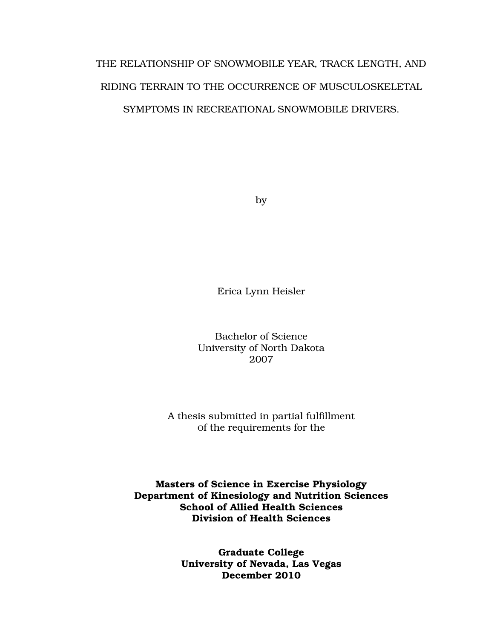# THE RELATIONSHIP OF SNOWMOBILE YEAR, TRACK LENGTH, AND RIDING TERRAIN TO THE OCCURRENCE OF MUSCULOSKELETAL SYMPTOMS IN RECREATIONAL SNOWMOBILE DRIVERS.

by

Erica Lynn Heisler

Bachelor of Science University of North Dakota 2007

A thesis submitted in partial fulfillment Of the requirements for the

Masters of Science in Exercise Physiology Department of Kinesiology and Nutrition Sciences School of Allied Health Sciences Division of Health Sciences

> Graduate College University of Nevada, Las Vegas December 2010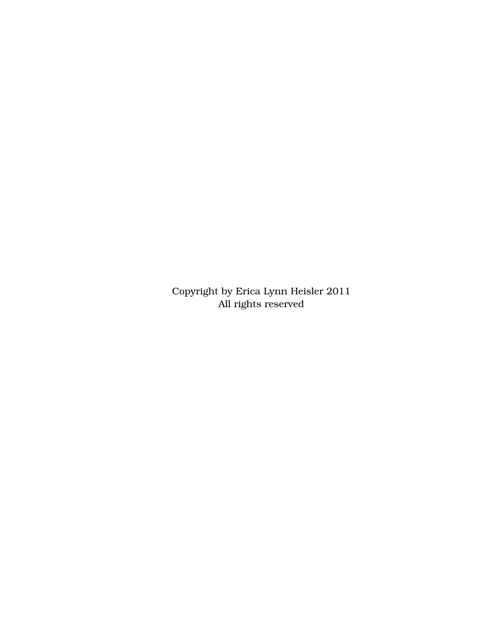Copyright by Erica Lynn Heisler 2011 All rights reserved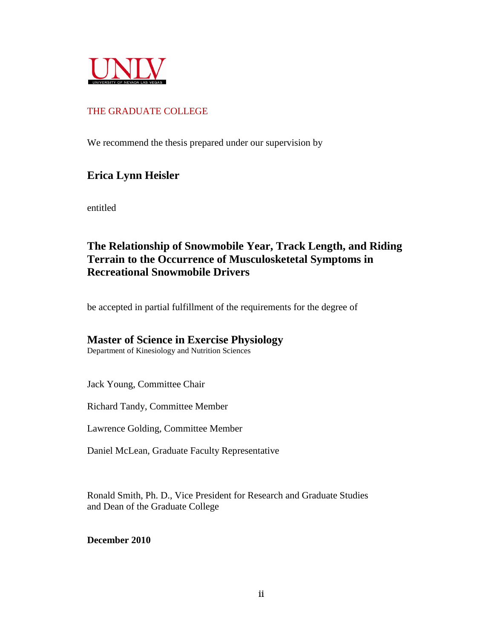

## THE GRADUATE COLLEGE

We recommend the thesis prepared under our supervision by

# **Erica Lynn Heisler**

entitled

# **The Relationship of Snowmobile Year, Track Length, and Riding Terrain to the Occurrence of Musculosketetal Symptoms in Recreational Snowmobile Drivers**

be accepted in partial fulfillment of the requirements for the degree of

### **Master of Science in Exercise Physiology**

Department of Kinesiology and Nutrition Sciences

Jack Young, Committee Chair

Richard Tandy, Committee Member

Lawrence Golding, Committee Member

Daniel McLean, Graduate Faculty Representative

Ronald Smith, Ph. D., Vice President for Research and Graduate Studies and Dean of the Graduate College

**December 2010**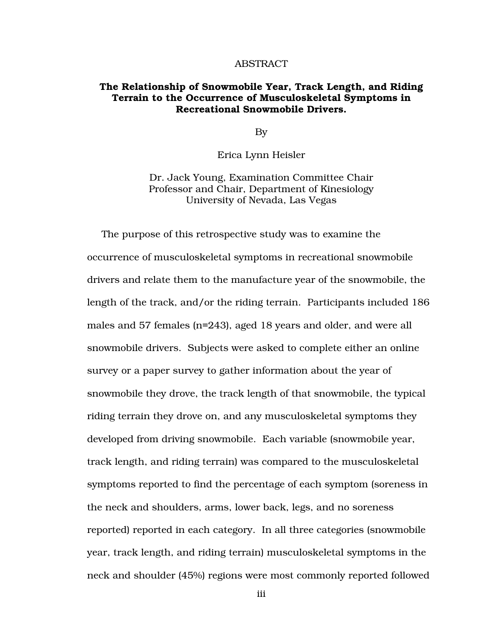#### ABSTRACT

#### The Relationship of Snowmobile Year, Track Length, and Riding Terrain to the Occurrence of Musculoskeletal Symptoms in Recreational Snowmobile Drivers.

By

Erica Lynn Heisler

Dr. Jack Young, Examination Committee Chair Professor and Chair, Department of Kinesiology University of Nevada, Las Vegas

The purpose of this retrospective study was to examine the occurrence of musculoskeletal symptoms in recreational snowmobile drivers and relate them to the manufacture year of the snowmobile, the length of the track, and/or the riding terrain. Participants included 186 males and 57 females (n=243), aged 18 years and older, and were all snowmobile drivers. Subjects were asked to complete either an online survey or a paper survey to gather information about the year of snowmobile they drove, the track length of that snowmobile, the typical riding terrain they drove on, and any musculoskeletal symptoms they developed from driving snowmobile. Each variable (snowmobile year, track length, and riding terrain) was compared to the musculoskeletal symptoms reported to find the percentage of each symptom (soreness in the neck and shoulders, arms, lower back, legs, and no soreness reported) reported in each category. In all three categories (snowmobile year, track length, and riding terrain) musculoskeletal symptoms in the neck and shoulder (45%) regions were most commonly reported followed

iii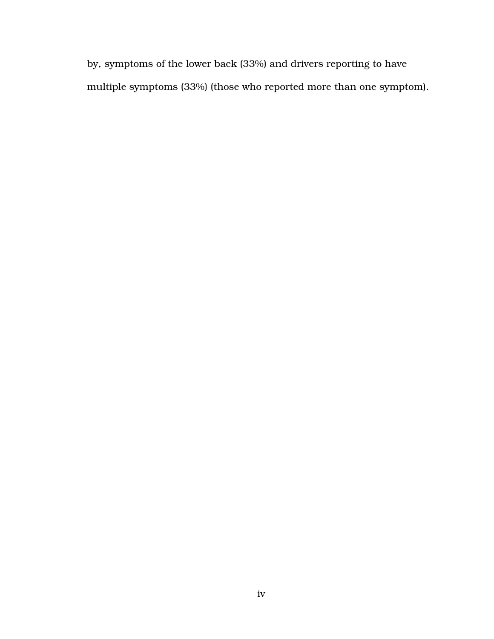by, symptoms of the lower back (33%) and drivers reporting to have multiple symptoms (33%) (those who reported more than one symptom).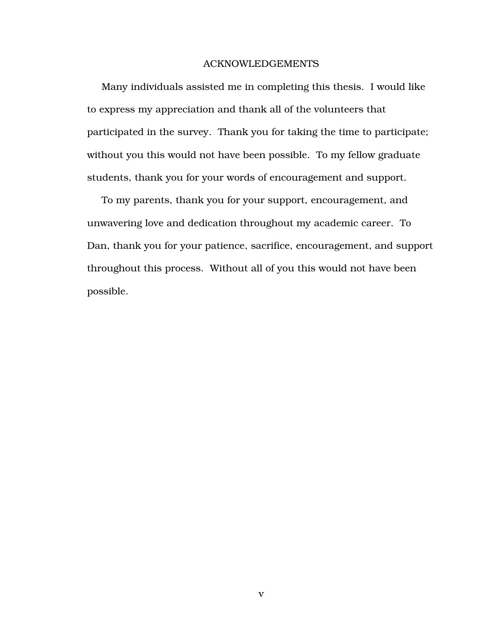#### ACKNOWLEDGEMENTS

Many individuals assisted me in completing this thesis. I would like to express my appreciation and thank all of the volunteers that participated in the survey. Thank you for taking the time to participate; without you this would not have been possible. To my fellow graduate students, thank you for your words of encouragement and support.

To my parents, thank you for your support, encouragement, and unwavering love and dedication throughout my academic career. To Dan, thank you for your patience, sacrifice, encouragement, and support throughout this process. Without all of you this would not have been possible.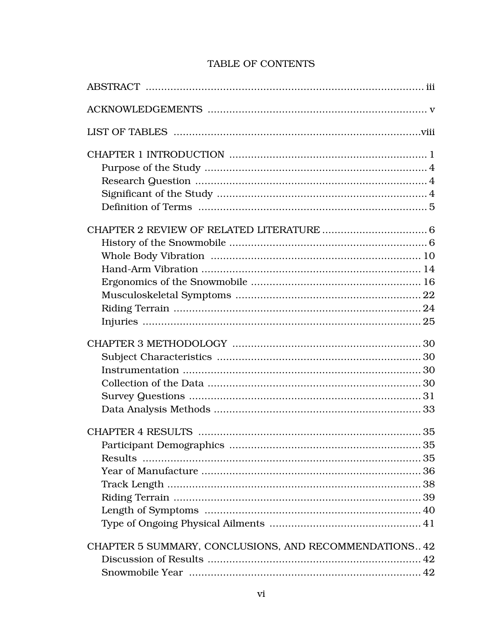# TABLE OF CONTENTS

| CHAPTER 5 SUMMARY, CONCLUSIONS, AND RECOMMENDATIONS 42 |  |
|--------------------------------------------------------|--|
|                                                        |  |
|                                                        |  |
|                                                        |  |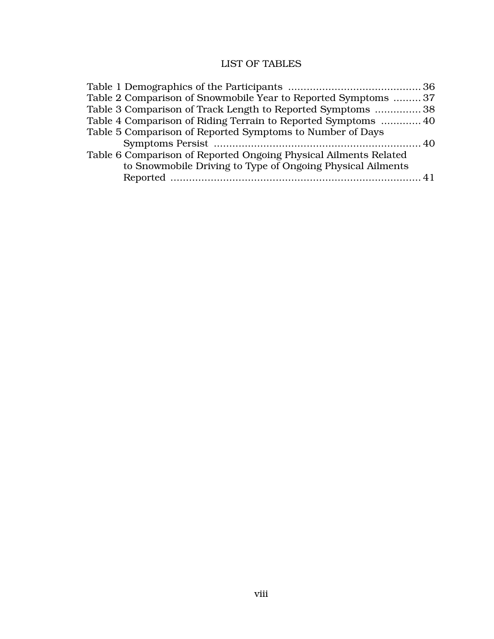# LIST OF TABLES

| Table 2 Comparison of Snowmobile Year to Reported Symptoms  37   |  |
|------------------------------------------------------------------|--|
| Table 3 Comparison of Track Length to Reported Symptoms  38      |  |
| Table 4 Comparison of Riding Terrain to Reported Symptoms  40    |  |
| Table 5 Comparison of Reported Symptoms to Number of Days        |  |
|                                                                  |  |
| Table 6 Comparison of Reported Ongoing Physical Ailments Related |  |
| to Snowmobile Driving to Type of Ongoing Physical Ailments       |  |
|                                                                  |  |
|                                                                  |  |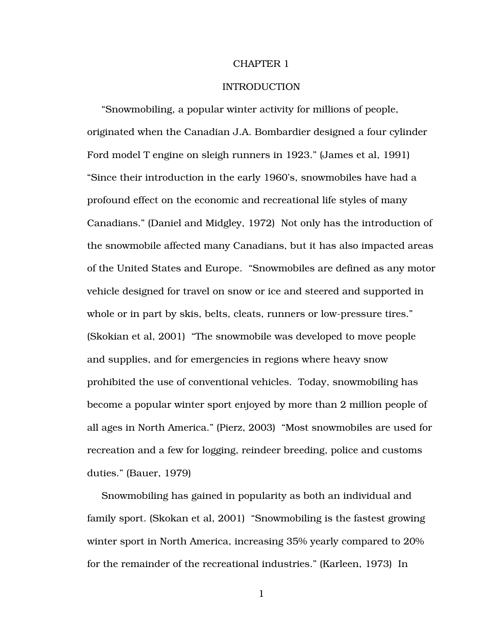#### CHAPTER 1

#### INTRODUCTION

"Snowmobiling, a popular winter activity for millions of people, originated when the Canadian J.A. Bombardier designed a four cylinder Ford model T engine on sleigh runners in 1923." (James et al, 1991) "Since their introduction in the early 1960's, snowmobiles have had a profound effect on the economic and recreational life styles of many Canadians." (Daniel and Midgley, 1972) Not only has the introduction of the snowmobile affected many Canadians, but it has also impacted areas of the United States and Europe. "Snowmobiles are defined as any motor vehicle designed for travel on snow or ice and steered and supported in whole or in part by skis, belts, cleats, runners or low-pressure tires." (Skokian et al, 2001) "The snowmobile was developed to move people and supplies, and for emergencies in regions where heavy snow prohibited the use of conventional vehicles. Today, snowmobiling has become a popular winter sport enjoyed by more than 2 million people of all ages in North America." (Pierz, 2003) "Most snowmobiles are used for recreation and a few for logging, reindeer breeding, police and customs duties." (Bauer, 1979)

Snowmobiling has gained in popularity as both an individual and family sport. (Skokan et al, 2001) "Snowmobiling is the fastest growing winter sport in North America, increasing 35% yearly compared to 20% for the remainder of the recreational industries." (Karleen, 1973) In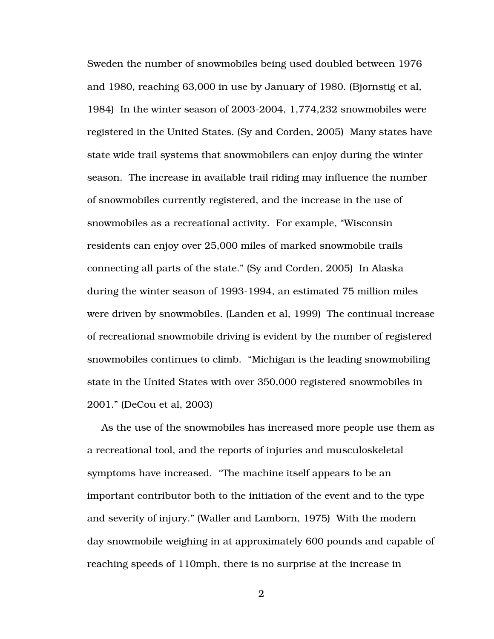Sweden the number of snowmobiles being used doubled between 1976 and 1980, reaching 63,000 in use by January of 1980. (Bjornstig et al, 1984) In the winter season of 2003-2004, 1,774,232 snowmobiles were registered in the United States. (Sy and Corden, 2005) Many states have state wide trail systems that snowmobilers can enjoy during the winter season. The increase in available trail riding may influence the number of snowmobiles currently registered, and the increase in the use of snowmobiles as a recreational activity. For example, "Wisconsin residents can enjoy over 25,000 miles of marked snowmobile trails connecting all parts of the state." (Sy and Corden, 2005) In Alaska during the winter season of 1993-1994, an estimated 75 million miles were driven by snowmobiles. (Landen et al, 1999) The continual increase of recreational snowmobile driving is evident by the number of registered snowmobiles continues to climb. "Michigan is the leading snowmobiling state in the United States with over 350,000 registered snowmobiles in 2001." (DeCou et al, 2003)

As the use of the snowmobiles has increased more people use them as a recreational tool, and the reports of injuries and musculoskeletal symptoms have increased. "The machine itself appears to be an important contributor both to the initiation of the event and to the type and severity of injury." (Waller and Lamborn, 1975) With the modern day snowmobile weighing in at approximately 600 pounds and capable of reaching speeds of 110mph, there is no surprise at the increase in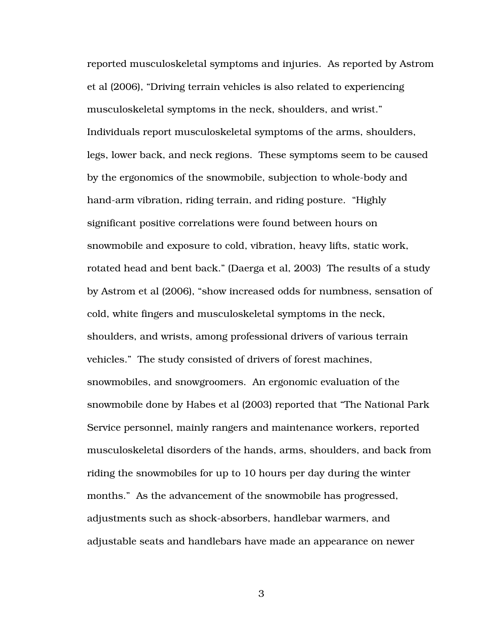reported musculoskeletal symptoms and injuries. As reported by Astrom et al (2006), "Driving terrain vehicles is also related to experiencing musculoskeletal symptoms in the neck, shoulders, and wrist." Individuals report musculoskeletal symptoms of the arms, shoulders, legs, lower back, and neck regions. These symptoms seem to be caused by the ergonomics of the snowmobile, subjection to whole-body and hand-arm vibration, riding terrain, and riding posture. "Highly significant positive correlations were found between hours on snowmobile and exposure to cold, vibration, heavy lifts, static work, rotated head and bent back." (Daerga et al, 2003) The results of a study by Astrom et al (2006), "show increased odds for numbness, sensation of cold, white fingers and musculoskeletal symptoms in the neck, shoulders, and wrists, among professional drivers of various terrain vehicles." The study consisted of drivers of forest machines, snowmobiles, and snowgroomers. An ergonomic evaluation of the snowmobile done by Habes et al (2003) reported that "The National Park Service personnel, mainly rangers and maintenance workers, reported musculoskeletal disorders of the hands, arms, shoulders, and back from riding the snowmobiles for up to 10 hours per day during the winter months." As the advancement of the snowmobile has progressed, adjustments such as shock-absorbers, handlebar warmers, and adjustable seats and handlebars have made an appearance on newer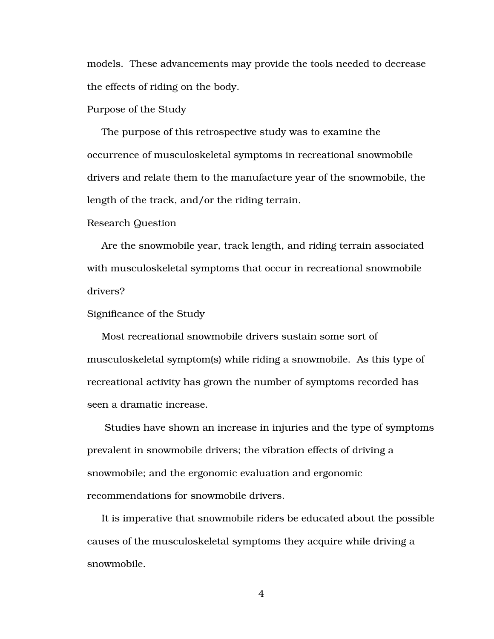models. These advancements may provide the tools needed to decrease the effects of riding on the body.

Purpose of the Study

The purpose of this retrospective study was to examine the occurrence of musculoskeletal symptoms in recreational snowmobile drivers and relate them to the manufacture year of the snowmobile, the length of the track, and/or the riding terrain.

#### Research Question

Are the snowmobile year, track length, and riding terrain associated with musculoskeletal symptoms that occur in recreational snowmobile drivers?

#### Significance of the Study

Most recreational snowmobile drivers sustain some sort of musculoskeletal symptom(s) while riding a snowmobile. As this type of recreational activity has grown the number of symptoms recorded has seen a dramatic increase.

 Studies have shown an increase in injuries and the type of symptoms prevalent in snowmobile drivers; the vibration effects of driving a snowmobile; and the ergonomic evaluation and ergonomic recommendations for snowmobile drivers.

It is imperative that snowmobile riders be educated about the possible causes of the musculoskeletal symptoms they acquire while driving a snowmobile.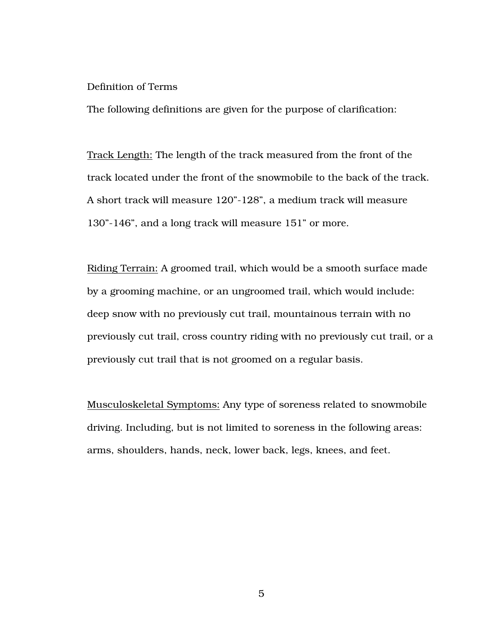#### Definition of Terms

The following definitions are given for the purpose of clarification:

Track Length: The length of the track measured from the front of the track located under the front of the snowmobile to the back of the track. A short track will measure 120"-128", a medium track will measure 130"-146", and a long track will measure 151" or more.

Riding Terrain: A groomed trail, which would be a smooth surface made by a grooming machine, or an ungroomed trail, which would include: deep snow with no previously cut trail, mountainous terrain with no previously cut trail, cross country riding with no previously cut trail, or a previously cut trail that is not groomed on a regular basis.

Musculoskeletal Symptoms: Any type of soreness related to snowmobile driving. Including, but is not limited to soreness in the following areas: arms, shoulders, hands, neck, lower back, legs, knees, and feet.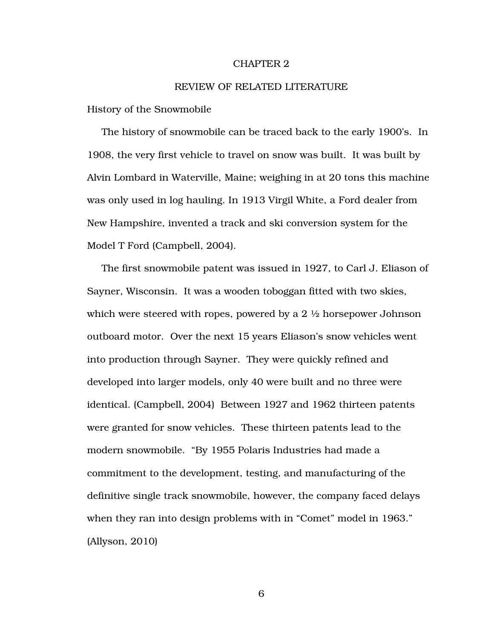#### CHAPTER 2

#### REVIEW OF RELATED LITERATURE

History of the Snowmobile

The history of snowmobile can be traced back to the early 1900's. In 1908, the very first vehicle to travel on snow was built. It was built by Alvin Lombard in Waterville, Maine; weighing in at 20 tons this machine was only used in log hauling. In 1913 Virgil White, a Ford dealer from New Hampshire, invented a track and ski conversion system for the Model T Ford (Campbell, 2004).

The first snowmobile patent was issued in 1927, to Carl J. Eliason of Sayner, Wisconsin. It was a wooden toboggan fitted with two skies, which were steered with ropes, powered by a 2 ½ horsepower Johnson outboard motor. Over the next 15 years Eliason's snow vehicles went into production through Sayner. They were quickly refined and developed into larger models, only 40 were built and no three were identical. (Campbell, 2004) Between 1927 and 1962 thirteen patents were granted for snow vehicles. These thirteen patents lead to the modern snowmobile. "By 1955 Polaris Industries had made a commitment to the development, testing, and manufacturing of the definitive single track snowmobile, however, the company faced delays when they ran into design problems with in "Comet" model in 1963." (Allyson, 2010)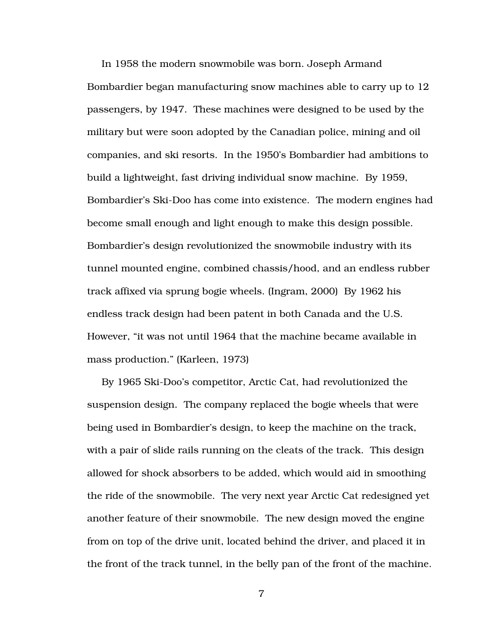In 1958 the modern snowmobile was born. Joseph Armand Bombardier began manufacturing snow machines able to carry up to 12 passengers, by 1947. These machines were designed to be used by the military but were soon adopted by the Canadian police, mining and oil companies, and ski resorts. In the 1950's Bombardier had ambitions to build a lightweight, fast driving individual snow machine. By 1959, Bombardier's Ski-Doo has come into existence. The modern engines had become small enough and light enough to make this design possible. Bombardier's design revolutionized the snowmobile industry with its tunnel mounted engine, combined chassis/hood, and an endless rubber track affixed via sprung bogie wheels. (Ingram, 2000) By 1962 his endless track design had been patent in both Canada and the U.S. However, "it was not until 1964 that the machine became available in mass production." (Karleen, 1973)

By 1965 Ski-Doo's competitor, Arctic Cat, had revolutionized the suspension design. The company replaced the bogie wheels that were being used in Bombardier's design, to keep the machine on the track, with a pair of slide rails running on the cleats of the track. This design allowed for shock absorbers to be added, which would aid in smoothing the ride of the snowmobile. The very next year Arctic Cat redesigned yet another feature of their snowmobile. The new design moved the engine from on top of the drive unit, located behind the driver, and placed it in the front of the track tunnel, in the belly pan of the front of the machine.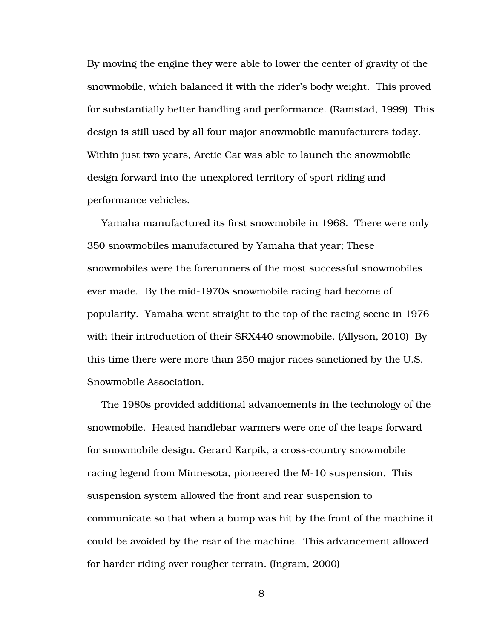By moving the engine they were able to lower the center of gravity of the snowmobile, which balanced it with the rider's body weight. This proved for substantially better handling and performance. (Ramstad, 1999) This design is still used by all four major snowmobile manufacturers today. Within just two years, Arctic Cat was able to launch the snowmobile design forward into the unexplored territory of sport riding and performance vehicles.

Yamaha manufactured its first snowmobile in 1968. There were only 350 snowmobiles manufactured by Yamaha that year; These snowmobiles were the forerunners of the most successful snowmobiles ever made. By the mid-1970s snowmobile racing had become of popularity. Yamaha went straight to the top of the racing scene in 1976 with their introduction of their SRX440 snowmobile. (Allyson, 2010) By this time there were more than 250 major races sanctioned by the U.S. Snowmobile Association.

The 1980s provided additional advancements in the technology of the snowmobile. Heated handlebar warmers were one of the leaps forward for snowmobile design. Gerard Karpik, a cross-country snowmobile racing legend from Minnesota, pioneered the M-10 suspension. This suspension system allowed the front and rear suspension to communicate so that when a bump was hit by the front of the machine it could be avoided by the rear of the machine. This advancement allowed for harder riding over rougher terrain. (Ingram, 2000)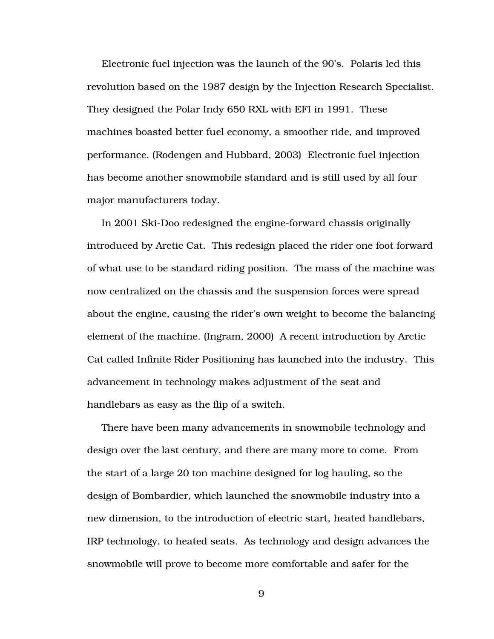Electronic fuel injection was the launch of the 90's. Polaris led this revolution based on the 1987 design by the Injection Research Specialist. They designed the Polar Indy 650 RXL with EFI in 1991. These machines boasted better fuel economy, a smoother ride, and improved performance. (Rodengen and Hubbard, 2003) Electronic fuel injection has become another snowmobile standard and is still used by all four major manufacturers today.

In 2001 Ski-Doo redesigned the engine-forward chassis originally introduced by Arctic Cat. This redesign placed the rider one foot forward of what use to be standard riding position. The mass of the machine was now centralized on the chassis and the suspension forces were spread about the engine, causing the rider's own weight to become the balancing element of the machine. (Ingram, 2000) A recent introduction by Arctic Cat called Infinite Rider Positioning has launched into the industry. This advancement in technology makes adjustment of the seat and handlebars as easy as the flip of a switch.

There have been many advancements in snowmobile technology and design over the last century, and there are many more to come. From the start of a large 20 ton machine designed for log hauling, so the design of Bombardier, which launched the snowmobile industry into a new dimension, to the introduction of electric start, heated handlebars, IRP technology, to heated seats. As technology and design advances the snowmobile will prove to become more comfortable and safer for the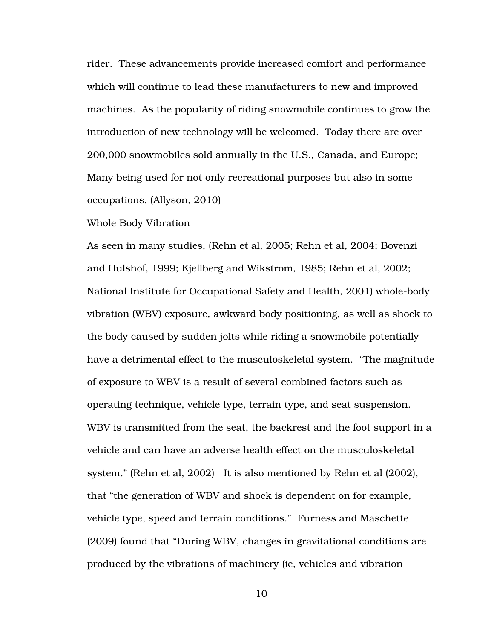rider. These advancements provide increased comfort and performance which will continue to lead these manufacturers to new and improved machines. As the popularity of riding snowmobile continues to grow the introduction of new technology will be welcomed. Today there are over 200,000 snowmobiles sold annually in the U.S., Canada, and Europe; Many being used for not only recreational purposes but also in some occupations. (Allyson, 2010)

#### Whole Body Vibration

As seen in many studies, (Rehn et al, 2005; Rehn et al, 2004; Bovenzi and Hulshof, 1999; Kjellberg and Wikstrom, 1985; Rehn et al, 2002; National Institute for Occupational Safety and Health, 2001) whole-body vibration (WBV) exposure, awkward body positioning, as well as shock to the body caused by sudden jolts while riding a snowmobile potentially have a detrimental effect to the musculoskeletal system. "The magnitude of exposure to WBV is a result of several combined factors such as operating technique, vehicle type, terrain type, and seat suspension. WBV is transmitted from the seat, the backrest and the foot support in a vehicle and can have an adverse health effect on the musculoskeletal system." (Rehn et al, 2002) It is also mentioned by Rehn et al (2002), that "the generation of WBV and shock is dependent on for example, vehicle type, speed and terrain conditions." Furness and Maschette (2009) found that "During WBV, changes in gravitational conditions are produced by the vibrations of machinery (ie, vehicles and vibration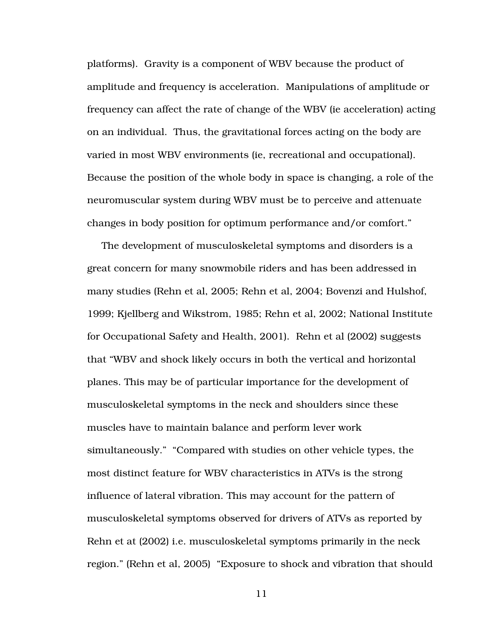platforms). Gravity is a component of WBV because the product of amplitude and frequency is acceleration. Manipulations of amplitude or frequency can affect the rate of change of the WBV (ie acceleration) acting on an individual. Thus, the gravitational forces acting on the body are varied in most WBV environments (ie, recreational and occupational). Because the position of the whole body in space is changing, a role of the neuromuscular system during WBV must be to perceive and attenuate changes in body position for optimum performance and/or comfort."

The development of musculoskeletal symptoms and disorders is a great concern for many snowmobile riders and has been addressed in many studies (Rehn et al, 2005; Rehn et al, 2004; Bovenzi and Hulshof, 1999; Kjellberg and Wikstrom, 1985; Rehn et al, 2002; National Institute for Occupational Safety and Health, 2001). Rehn et al (2002) suggests that "WBV and shock likely occurs in both the vertical and horizontal planes. This may be of particular importance for the development of musculoskeletal symptoms in the neck and shoulders since these muscles have to maintain balance and perform lever work simultaneously." "Compared with studies on other vehicle types, the most distinct feature for WBV characteristics in ATVs is the strong influence of lateral vibration. This may account for the pattern of musculoskeletal symptoms observed for drivers of ATVs as reported by Rehn et at (2002) i.e. musculoskeletal symptoms primarily in the neck region." (Rehn et al, 2005) "Exposure to shock and vibration that should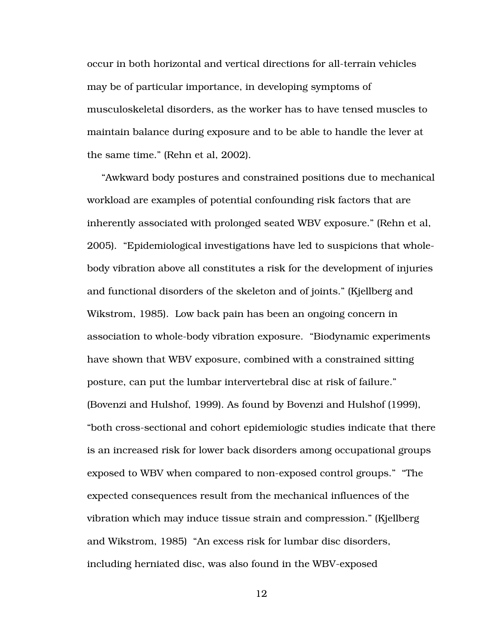occur in both horizontal and vertical directions for all-terrain vehicles may be of particular importance, in developing symptoms of musculoskeletal disorders, as the worker has to have tensed muscles to maintain balance during exposure and to be able to handle the lever at the same time." (Rehn et al, 2002).

"Awkward body postures and constrained positions due to mechanical workload are examples of potential confounding risk factors that are inherently associated with prolonged seated WBV exposure." (Rehn et al, 2005). "Epidemiological investigations have led to suspicions that wholebody vibration above all constitutes a risk for the development of injuries and functional disorders of the skeleton and of joints." (Kjellberg and Wikstrom, 1985). Low back pain has been an ongoing concern in association to whole-body vibration exposure. "Biodynamic experiments have shown that WBV exposure, combined with a constrained sitting posture, can put the lumbar intervertebral disc at risk of failure." (Bovenzi and Hulshof, 1999). As found by Bovenzi and Hulshof (1999), "both cross-sectional and cohort epidemiologic studies indicate that there is an increased risk for lower back disorders among occupational groups exposed to WBV when compared to non-exposed control groups." "The expected consequences result from the mechanical influences of the vibration which may induce tissue strain and compression." (Kjellberg and Wikstrom, 1985) "An excess risk for lumbar disc disorders, including herniated disc, was also found in the WBV-exposed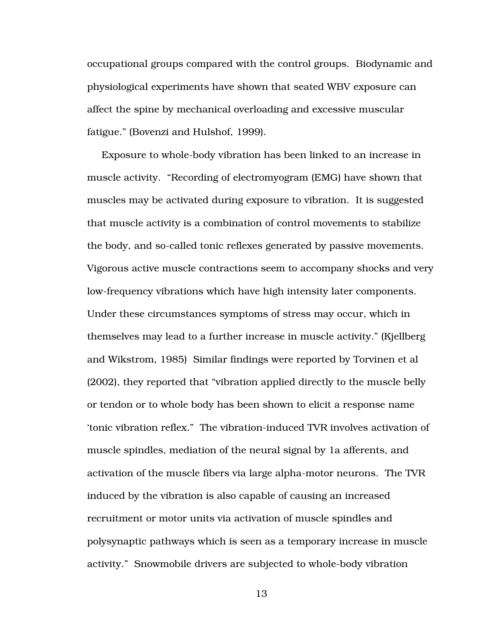occupational groups compared with the control groups. Biodynamic and physiological experiments have shown that seated WBV exposure can affect the spine by mechanical overloading and excessive muscular fatigue." (Bovenzi and Hulshof, 1999).

Exposure to whole-body vibration has been linked to an increase in muscle activity. "Recording of electromyogram (EMG) have shown that muscles may be activated during exposure to vibration. It is suggested that muscle activity is a combination of control movements to stabilize the body, and so-called tonic reflexes generated by passive movements. Vigorous active muscle contractions seem to accompany shocks and very low-frequency vibrations which have high intensity later components. Under these circumstances symptoms of stress may occur, which in themselves may lead to a further increase in muscle activity." (Kjellberg and Wikstrom, 1985) Similar findings were reported by Torvinen et al (2002), they reported that "vibration applied directly to the muscle belly or tendon or to whole body has been shown to elicit a response name 'tonic vibration reflex." The vibration-induced TVR involves activation of muscle spindles, mediation of the neural signal by 1a afferents, and activation of the muscle fibers via large alpha-motor neurons. The TVR induced by the vibration is also capable of causing an increased recruitment or motor units via activation of muscle spindles and polysynaptic pathways which is seen as a temporary increase in muscle activity." Snowmobile drivers are subjected to whole-body vibration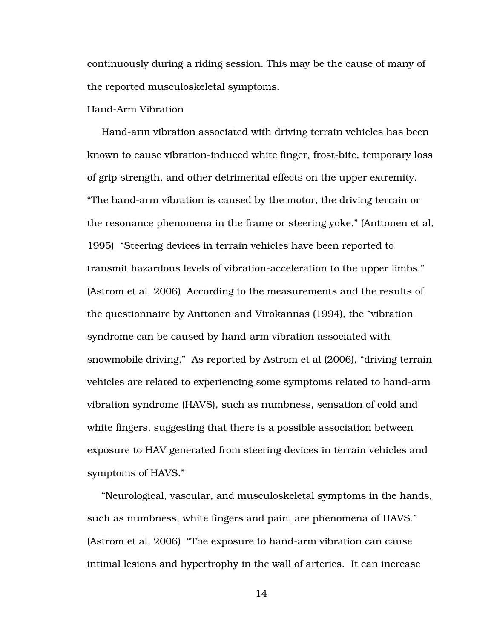continuously during a riding session. This may be the cause of many of the reported musculoskeletal symptoms.

#### Hand-Arm Vibration

Hand-arm vibration associated with driving terrain vehicles has been known to cause vibration-induced white finger, frost-bite, temporary loss of grip strength, and other detrimental effects on the upper extremity. "The hand-arm vibration is caused by the motor, the driving terrain or the resonance phenomena in the frame or steering yoke." (Anttonen et al, 1995) "Steering devices in terrain vehicles have been reported to transmit hazardous levels of vibration-acceleration to the upper limbs." (Astrom et al, 2006) According to the measurements and the results of the questionnaire by Anttonen and Virokannas (1994), the "vibration syndrome can be caused by hand-arm vibration associated with snowmobile driving." As reported by Astrom et al (2006), "driving terrain vehicles are related to experiencing some symptoms related to hand-arm vibration syndrome (HAVS), such as numbness, sensation of cold and white fingers, suggesting that there is a possible association between exposure to HAV generated from steering devices in terrain vehicles and symptoms of HAVS."

"Neurological, vascular, and musculoskeletal symptoms in the hands, such as numbness, white fingers and pain, are phenomena of HAVS." (Astrom et al, 2006) "The exposure to hand-arm vibration can cause intimal lesions and hypertrophy in the wall of arteries. It can increase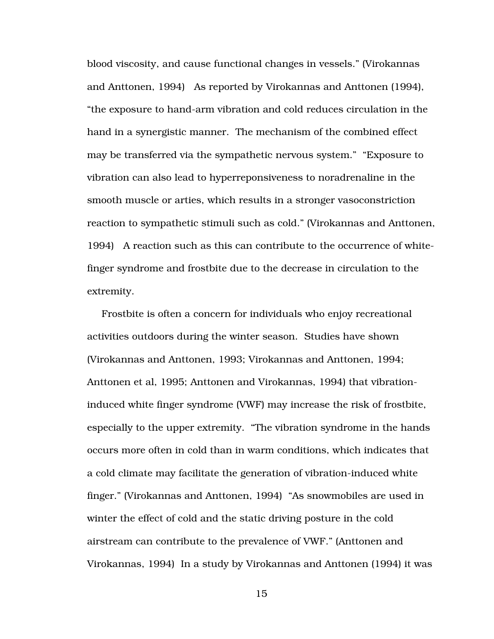blood viscosity, and cause functional changes in vessels." (Virokannas and Anttonen, 1994) As reported by Virokannas and Anttonen (1994), "the exposure to hand-arm vibration and cold reduces circulation in the hand in a synergistic manner. The mechanism of the combined effect may be transferred via the sympathetic nervous system." "Exposure to vibration can also lead to hyperreponsiveness to noradrenaline in the smooth muscle or arties, which results in a stronger vasoconstriction reaction to sympathetic stimuli such as cold." (Virokannas and Anttonen, 1994) A reaction such as this can contribute to the occurrence of whitefinger syndrome and frostbite due to the decrease in circulation to the extremity.

Frostbite is often a concern for individuals who enjoy recreational activities outdoors during the winter season. Studies have shown (Virokannas and Anttonen, 1993; Virokannas and Anttonen, 1994; Anttonen et al, 1995; Anttonen and Virokannas, 1994) that vibrationinduced white finger syndrome (VWF) may increase the risk of frostbite, especially to the upper extremity. "The vibration syndrome in the hands occurs more often in cold than in warm conditions, which indicates that a cold climate may facilitate the generation of vibration-induced white finger." (Virokannas and Anttonen, 1994) "As snowmobiles are used in winter the effect of cold and the static driving posture in the cold airstream can contribute to the prevalence of VWF." (Anttonen and Virokannas, 1994) In a study by Virokannas and Anttonen (1994) it was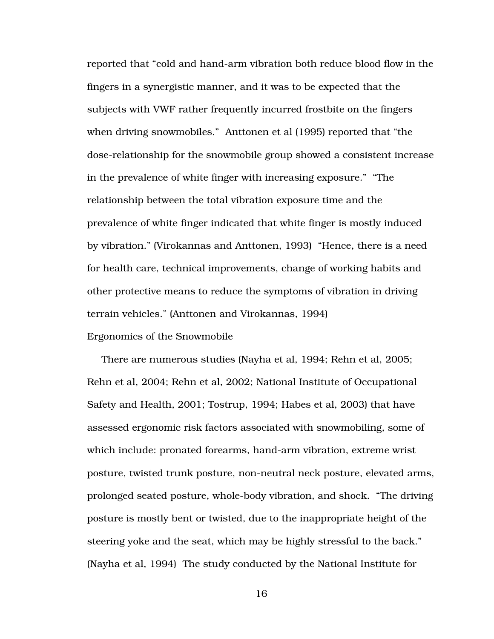reported that "cold and hand-arm vibration both reduce blood flow in the fingers in a synergistic manner, and it was to be expected that the subjects with VWF rather frequently incurred frostbite on the fingers when driving snowmobiles." Anttonen et al (1995) reported that "the dose-relationship for the snowmobile group showed a consistent increase in the prevalence of white finger with increasing exposure." "The relationship between the total vibration exposure time and the prevalence of white finger indicated that white finger is mostly induced by vibration." (Virokannas and Anttonen, 1993) "Hence, there is a need for health care, technical improvements, change of working habits and other protective means to reduce the symptoms of vibration in driving terrain vehicles." (Anttonen and Virokannas, 1994)

#### Ergonomics of the Snowmobile

There are numerous studies (Nayha et al, 1994; Rehn et al, 2005; Rehn et al, 2004; Rehn et al, 2002; National Institute of Occupational Safety and Health, 2001; Tostrup, 1994; Habes et al, 2003) that have assessed ergonomic risk factors associated with snowmobiling, some of which include: pronated forearms, hand-arm vibration, extreme wrist posture, twisted trunk posture, non-neutral neck posture, elevated arms, prolonged seated posture, whole-body vibration, and shock. "The driving posture is mostly bent or twisted, due to the inappropriate height of the steering yoke and the seat, which may be highly stressful to the back." (Nayha et al, 1994) The study conducted by the National Institute for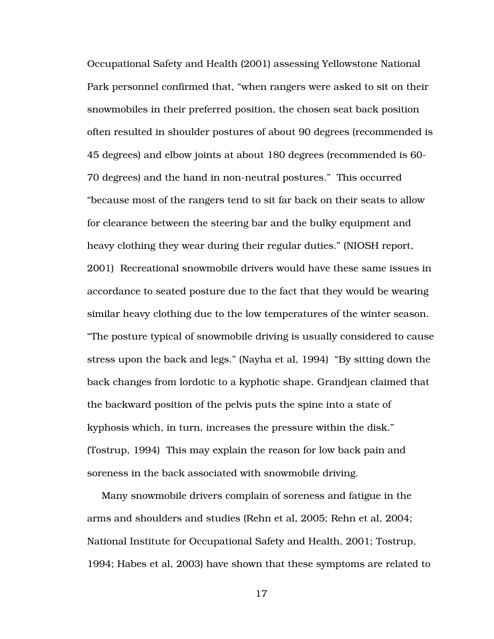Occupational Safety and Health (2001) assessing Yellowstone National Park personnel confirmed that, "when rangers were asked to sit on their snowmobiles in their preferred position, the chosen seat back position often resulted in shoulder postures of about 90 degrees (recommended is 45 degrees) and elbow joints at about 180 degrees (recommended is 60- 70 degrees) and the hand in non-neutral postures." This occurred "because most of the rangers tend to sit far back on their seats to allow for clearance between the steering bar and the bulky equipment and heavy clothing they wear during their regular duties." (NIOSH report, 2001) Recreational snowmobile drivers would have these same issues in accordance to seated posture due to the fact that they would be wearing similar heavy clothing due to the low temperatures of the winter season. "The posture typical of snowmobile driving is usually considered to cause stress upon the back and legs." (Nayha et al, 1994) "By sitting down the back changes from lordotic to a kyphotic shape. Grandjean claimed that the backward position of the pelvis puts the spine into a state of kyphosis which, in turn, increases the pressure within the disk." (Tostrup, 1994) This may explain the reason for low back pain and soreness in the back associated with snowmobile driving.

Many snowmobile drivers complain of soreness and fatigue in the arms and shoulders and studies (Rehn et al, 2005; Rehn et al, 2004; National Institute for Occupational Safety and Health, 2001; Tostrup, 1994; Habes et al, 2003) have shown that these symptoms are related to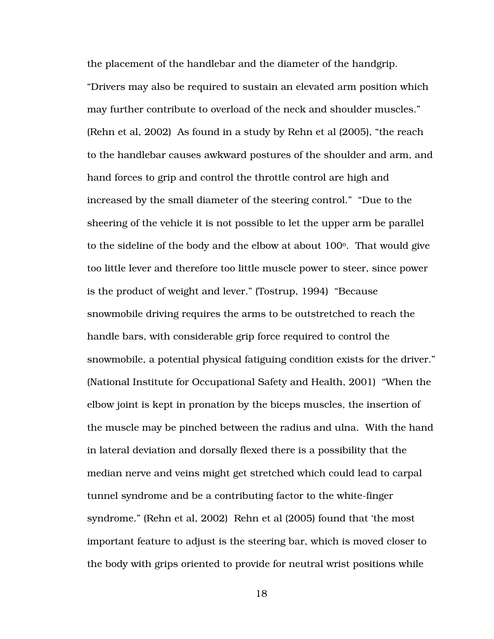the placement of the handlebar and the diameter of the handgrip. "Drivers may also be required to sustain an elevated arm position which may further contribute to overload of the neck and shoulder muscles." (Rehn et al, 2002) As found in a study by Rehn et al (2005), "the reach to the handlebar causes awkward postures of the shoulder and arm, and hand forces to grip and control the throttle control are high and increased by the small diameter of the steering control." "Due to the sheering of the vehicle it is not possible to let the upper arm be parallel to the sideline of the body and the elbow at about  $100^{\circ}$ . That would give too little lever and therefore too little muscle power to steer, since power is the product of weight and lever." (Tostrup, 1994) "Because snowmobile driving requires the arms to be outstretched to reach the handle bars, with considerable grip force required to control the snowmobile, a potential physical fatiguing condition exists for the driver." (National Institute for Occupational Safety and Health, 2001) "When the elbow joint is kept in pronation by the biceps muscles, the insertion of the muscle may be pinched between the radius and ulna. With the hand in lateral deviation and dorsally flexed there is a possibility that the median nerve and veins might get stretched which could lead to carpal tunnel syndrome and be a contributing factor to the white-finger syndrome." (Rehn et al, 2002) Rehn et al (2005) found that 'the most important feature to adjust is the steering bar, which is moved closer to the body with grips oriented to provide for neutral wrist positions while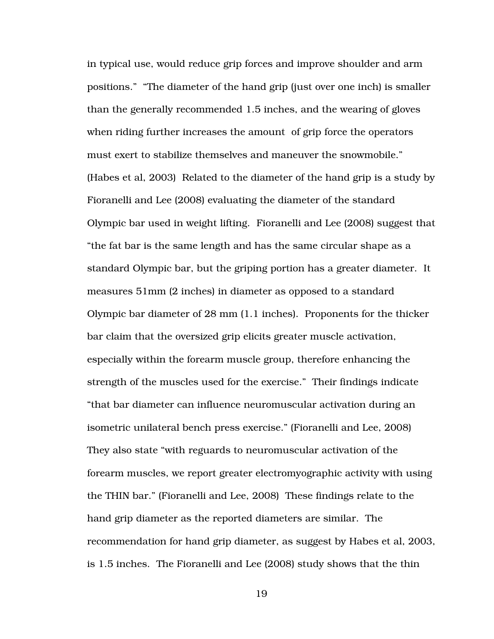in typical use, would reduce grip forces and improve shoulder and arm positions." "The diameter of the hand grip (just over one inch) is smaller than the generally recommended 1.5 inches, and the wearing of gloves when riding further increases the amount of grip force the operators must exert to stabilize themselves and maneuver the snowmobile." (Habes et al, 2003) Related to the diameter of the hand grip is a study by Fioranelli and Lee (2008) evaluating the diameter of the standard Olympic bar used in weight lifting. Fioranelli and Lee (2008) suggest that "the fat bar is the same length and has the same circular shape as a standard Olympic bar, but the griping portion has a greater diameter. It measures 51mm (2 inches) in diameter as opposed to a standard Olympic bar diameter of 28 mm (1.1 inches). Proponents for the thicker bar claim that the oversized grip elicits greater muscle activation, especially within the forearm muscle group, therefore enhancing the strength of the muscles used for the exercise." Their findings indicate "that bar diameter can influence neuromuscular activation during an isometric unilateral bench press exercise." (Fioranelli and Lee, 2008) They also state "with reguards to neuromuscular activation of the forearm muscles, we report greater electromyographic activity with using the THIN bar." (Fioranelli and Lee, 2008) These findings relate to the hand grip diameter as the reported diameters are similar. The recommendation for hand grip diameter, as suggest by Habes et al, 2003, is 1.5 inches. The Fioranelli and Lee (2008) study shows that the thin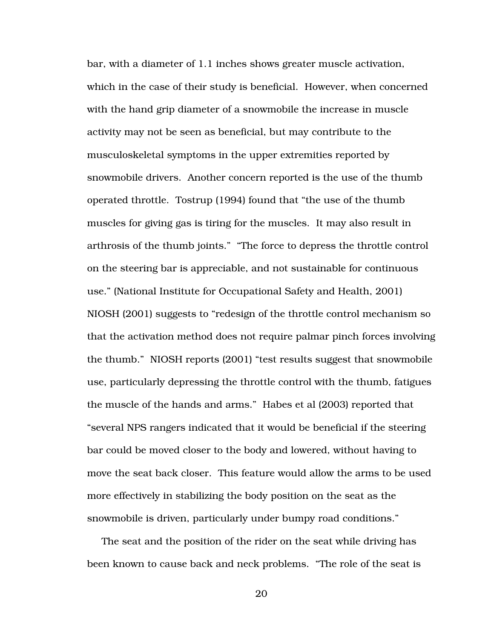bar, with a diameter of 1.1 inches shows greater muscle activation, which in the case of their study is beneficial. However, when concerned with the hand grip diameter of a snowmobile the increase in muscle activity may not be seen as beneficial, but may contribute to the musculoskeletal symptoms in the upper extremities reported by snowmobile drivers. Another concern reported is the use of the thumb operated throttle. Tostrup (1994) found that "the use of the thumb muscles for giving gas is tiring for the muscles. It may also result in arthrosis of the thumb joints." "The force to depress the throttle control on the steering bar is appreciable, and not sustainable for continuous use." (National Institute for Occupational Safety and Health, 2001) NIOSH (2001) suggests to "redesign of the throttle control mechanism so that the activation method does not require palmar pinch forces involving the thumb." NIOSH reports (2001) "test results suggest that snowmobile use, particularly depressing the throttle control with the thumb, fatigues the muscle of the hands and arms." Habes et al (2003) reported that "several NPS rangers indicated that it would be beneficial if the steering bar could be moved closer to the body and lowered, without having to move the seat back closer. This feature would allow the arms to be used more effectively in stabilizing the body position on the seat as the snowmobile is driven, particularly under bumpy road conditions."

The seat and the position of the rider on the seat while driving has been known to cause back and neck problems. "The role of the seat is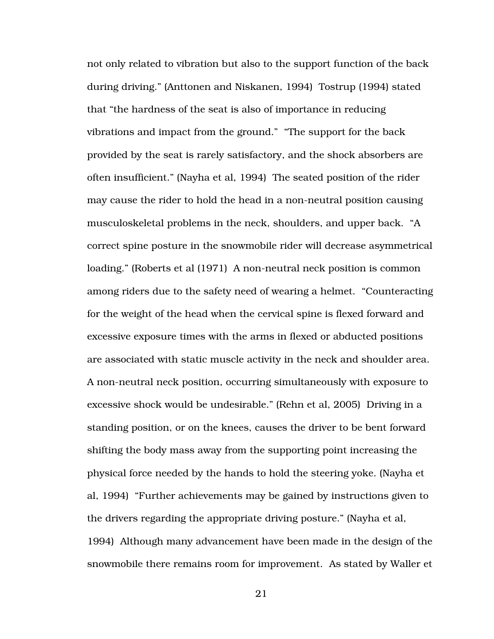not only related to vibration but also to the support function of the back during driving." (Anttonen and Niskanen, 1994) Tostrup (1994) stated that "the hardness of the seat is also of importance in reducing vibrations and impact from the ground." "The support for the back provided by the seat is rarely satisfactory, and the shock absorbers are often insufficient." (Nayha et al, 1994) The seated position of the rider may cause the rider to hold the head in a non-neutral position causing musculoskeletal problems in the neck, shoulders, and upper back. "A correct spine posture in the snowmobile rider will decrease asymmetrical loading." (Roberts et al (1971) A non-neutral neck position is common among riders due to the safety need of wearing a helmet. "Counteracting for the weight of the head when the cervical spine is flexed forward and excessive exposure times with the arms in flexed or abducted positions are associated with static muscle activity in the neck and shoulder area. A non-neutral neck position, occurring simultaneously with exposure to excessive shock would be undesirable." (Rehn et al, 2005) Driving in a standing position, or on the knees, causes the driver to be bent forward shifting the body mass away from the supporting point increasing the physical force needed by the hands to hold the steering yoke. (Nayha et al, 1994) "Further achievements may be gained by instructions given to the drivers regarding the appropriate driving posture." (Nayha et al, 1994) Although many advancement have been made in the design of the snowmobile there remains room for improvement. As stated by Waller et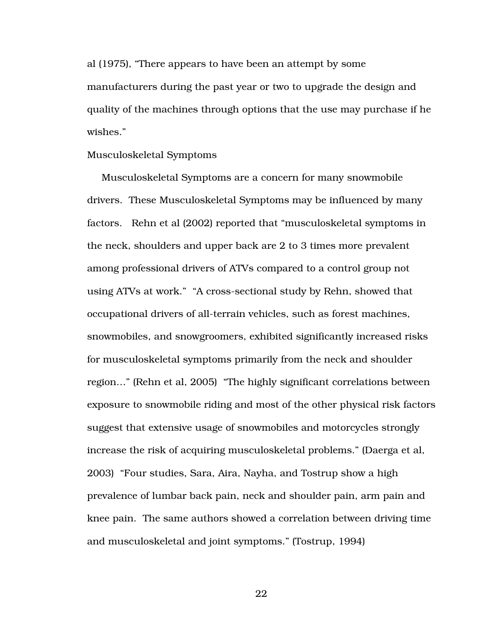al (1975), "There appears to have been an attempt by some manufacturers during the past year or two to upgrade the design and quality of the machines through options that the use may purchase if he wishes."

#### Musculoskeletal Symptoms

Musculoskeletal Symptoms are a concern for many snowmobile drivers. These Musculoskeletal Symptoms may be influenced by many factors. Rehn et al (2002) reported that "musculoskeletal symptoms in the neck, shoulders and upper back are 2 to 3 times more prevalent among professional drivers of ATVs compared to a control group not using ATVs at work." "A cross-sectional study by Rehn, showed that occupational drivers of all-terrain vehicles, such as forest machines, snowmobiles, and snowgroomers, exhibited significantly increased risks for musculoskeletal symptoms primarily from the neck and shoulder region…" (Rehn et al, 2005) "The highly significant correlations between exposure to snowmobile riding and most of the other physical risk factors suggest that extensive usage of snowmobiles and motorcycles strongly increase the risk of acquiring musculoskeletal problems." (Daerga et al, 2003) "Four studies, Sara, Aira, Nayha, and Tostrup show a high prevalence of lumbar back pain, neck and shoulder pain, arm pain and knee pain. The same authors showed a correlation between driving time and musculoskeletal and joint symptoms." (Tostrup, 1994)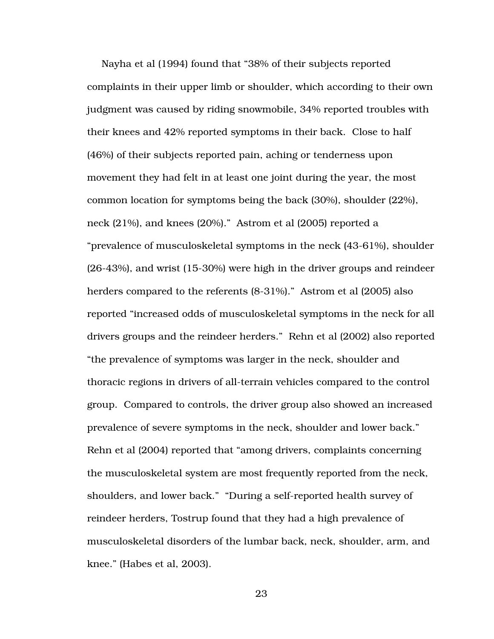Nayha et al (1994) found that "38% of their subjects reported complaints in their upper limb or shoulder, which according to their own judgment was caused by riding snowmobile, 34% reported troubles with their knees and 42% reported symptoms in their back. Close to half (46%) of their subjects reported pain, aching or tenderness upon movement they had felt in at least one joint during the year, the most common location for symptoms being the back (30%), shoulder (22%), neck (21%), and knees (20%)." Astrom et al (2005) reported a "prevalence of musculoskeletal symptoms in the neck (43-61%), shoulder (26-43%), and wrist (15-30%) were high in the driver groups and reindeer herders compared to the referents (8-31%)." Astrom et al (2005) also reported "increased odds of musculoskeletal symptoms in the neck for all drivers groups and the reindeer herders." Rehn et al (2002) also reported "the prevalence of symptoms was larger in the neck, shoulder and thoracic regions in drivers of all-terrain vehicles compared to the control group. Compared to controls, the driver group also showed an increased prevalence of severe symptoms in the neck, shoulder and lower back." Rehn et al (2004) reported that "among drivers, complaints concerning the musculoskeletal system are most frequently reported from the neck, shoulders, and lower back." "During a self-reported health survey of reindeer herders, Tostrup found that they had a high prevalence of musculoskeletal disorders of the lumbar back, neck, shoulder, arm, and knee." (Habes et al, 2003).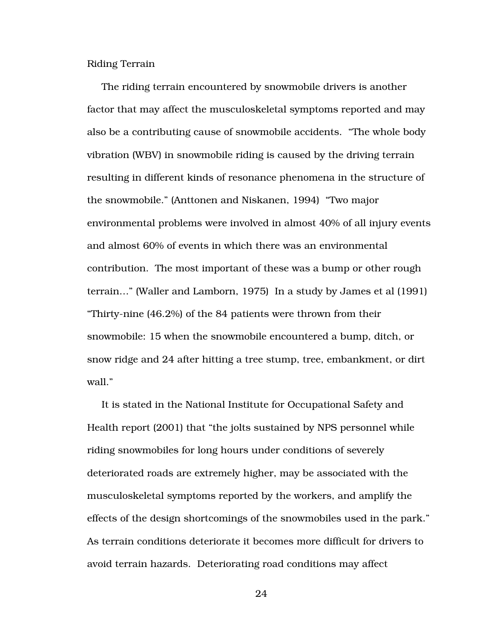Riding Terrain

The riding terrain encountered by snowmobile drivers is another factor that may affect the musculoskeletal symptoms reported and may also be a contributing cause of snowmobile accidents. "The whole body vibration (WBV) in snowmobile riding is caused by the driving terrain resulting in different kinds of resonance phenomena in the structure of the snowmobile." (Anttonen and Niskanen, 1994) "Two major environmental problems were involved in almost 40% of all injury events and almost 60% of events in which there was an environmental contribution. The most important of these was a bump or other rough terrain…" (Waller and Lamborn, 1975) In a study by James et al (1991) "Thirty-nine (46.2%) of the 84 patients were thrown from their snowmobile: 15 when the snowmobile encountered a bump, ditch, or snow ridge and 24 after hitting a tree stump, tree, embankment, or dirt wall."

It is stated in the National Institute for Occupational Safety and Health report (2001) that "the jolts sustained by NPS personnel while riding snowmobiles for long hours under conditions of severely deteriorated roads are extremely higher, may be associated with the musculoskeletal symptoms reported by the workers, and amplify the effects of the design shortcomings of the snowmobiles used in the park." As terrain conditions deteriorate it becomes more difficult for drivers to avoid terrain hazards. Deteriorating road conditions may affect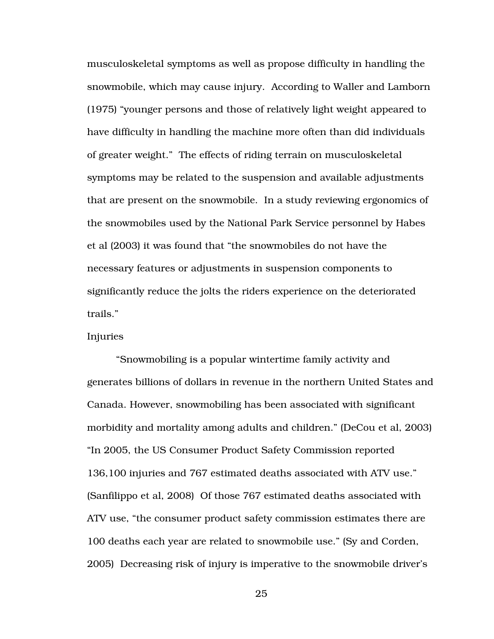musculoskeletal symptoms as well as propose difficulty in handling the snowmobile, which may cause injury. According to Waller and Lamborn (1975) "younger persons and those of relatively light weight appeared to have difficulty in handling the machine more often than did individuals of greater weight." The effects of riding terrain on musculoskeletal symptoms may be related to the suspension and available adjustments that are present on the snowmobile. In a study reviewing ergonomics of the snowmobiles used by the National Park Service personnel by Habes et al (2003) it was found that "the snowmobiles do not have the necessary features or adjustments in suspension components to significantly reduce the jolts the riders experience on the deteriorated trails."

Injuries

 "Snowmobiling is a popular wintertime family activity and generates billions of dollars in revenue in the northern United States and Canada. However, snowmobiling has been associated with significant morbidity and mortality among adults and children." (DeCou et al, 2003) "In 2005, the US Consumer Product Safety Commission reported 136,100 injuries and 767 estimated deaths associated with ATV use." (Sanfilippo et al, 2008) Of those 767 estimated deaths associated with ATV use, "the consumer product safety commission estimates there are 100 deaths each year are related to snowmobile use." (Sy and Corden, 2005) Decreasing risk of injury is imperative to the snowmobile driver's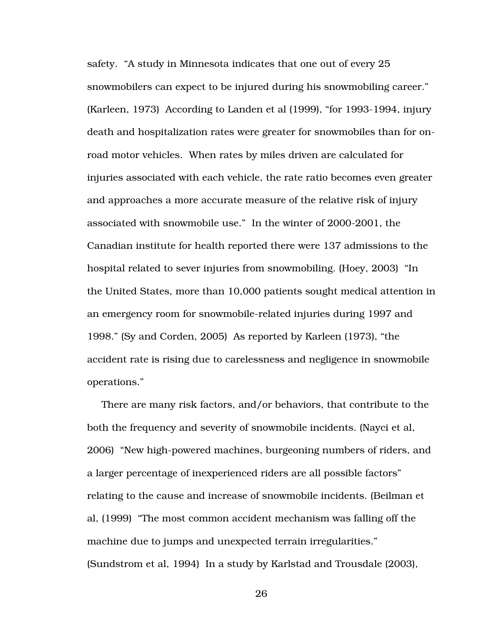safety. "A study in Minnesota indicates that one out of every 25 snowmobilers can expect to be injured during his snowmobiling career." (Karleen, 1973) According to Landen et al (1999), "for 1993-1994, injury death and hospitalization rates were greater for snowmobiles than for onroad motor vehicles. When rates by miles driven are calculated for injuries associated with each vehicle, the rate ratio becomes even greater and approaches a more accurate measure of the relative risk of injury associated with snowmobile use." In the winter of 2000-2001, the Canadian institute for health reported there were 137 admissions to the hospital related to sever injuries from snowmobiling. (Hoey, 2003) "In the United States, more than 10,000 patients sought medical attention in an emergency room for snowmobile-related injuries during 1997 and 1998." (Sy and Corden, 2005) As reported by Karleen (1973), "the accident rate is rising due to carelessness and negligence in snowmobile operations."

There are many risk factors, and/or behaviors, that contribute to the both the frequency and severity of snowmobile incidents. (Nayci et al, 2006) "New high-powered machines, burgeoning numbers of riders, and a larger percentage of inexperienced riders are all possible factors" relating to the cause and increase of snowmobile incidents. (Beilman et al, (1999) "The most common accident mechanism was falling off the machine due to jumps and unexpected terrain irregularities." (Sundstrom et al, 1994) In a study by Karlstad and Trousdale (2003),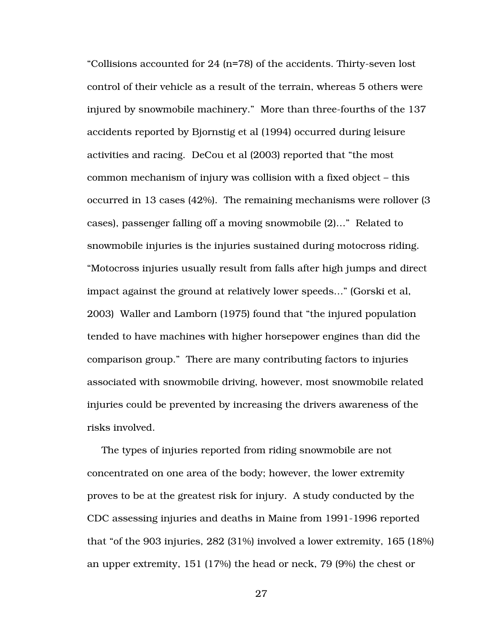"Collisions accounted for 24 (n=78) of the accidents. Thirty-seven lost control of their vehicle as a result of the terrain, whereas 5 others were injured by snowmobile machinery." More than three-fourths of the 137 accidents reported by Bjornstig et al (1994) occurred during leisure activities and racing. DeCou et al (2003) reported that "the most common mechanism of injury was collision with a fixed object – this occurred in 13 cases (42%). The remaining mechanisms were rollover (3 cases), passenger falling off a moving snowmobile (2)…" Related to snowmobile injuries is the injuries sustained during motocross riding. "Motocross injuries usually result from falls after high jumps and direct impact against the ground at relatively lower speeds…" (Gorski et al, 2003) Waller and Lamborn (1975) found that "the injured population tended to have machines with higher horsepower engines than did the comparison group." There are many contributing factors to injuries associated with snowmobile driving, however, most snowmobile related injuries could be prevented by increasing the drivers awareness of the risks involved.

The types of injuries reported from riding snowmobile are not concentrated on one area of the body; however, the lower extremity proves to be at the greatest risk for injury. A study conducted by the CDC assessing injuries and deaths in Maine from 1991-1996 reported that "of the 903 injuries, 282 (31%) involved a lower extremity, 165 (18%) an upper extremity, 151 (17%) the head or neck, 79 (9%) the chest or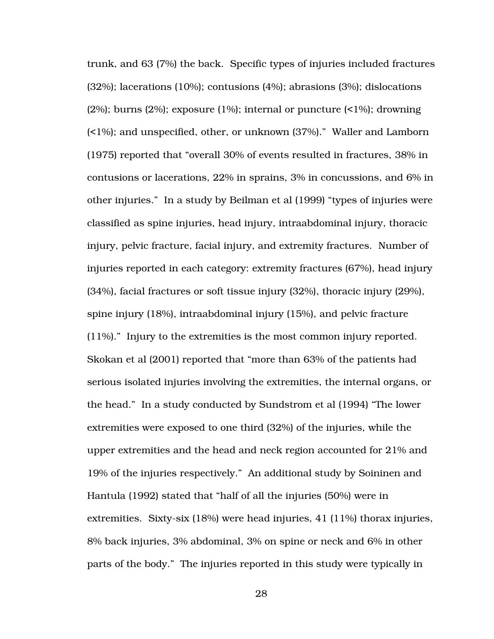trunk, and 63 (7%) the back. Specific types of injuries included fractures (32%); lacerations (10%); contusions (4%); abrasions (3%); dislocations (2%); burns (2%); exposure (1%); internal or puncture (<1%); drowning (<1%); and unspecified, other, or unknown (37%)." Waller and Lamborn (1975) reported that "overall 30% of events resulted in fractures, 38% in contusions or lacerations, 22% in sprains, 3% in concussions, and 6% in other injuries." In a study by Beilman et al (1999) "types of injuries were classified as spine injuries, head injury, intraabdominal injury, thoracic injury, pelvic fracture, facial injury, and extremity fractures. Number of injuries reported in each category: extremity fractures (67%), head injury (34%), facial fractures or soft tissue injury (32%), thoracic injury (29%), spine injury (18%), intraabdominal injury (15%), and pelvic fracture (11%)." Injury to the extremities is the most common injury reported. Skokan et al (2001) reported that "more than 63% of the patients had serious isolated injuries involving the extremities, the internal organs, or the head." In a study conducted by Sundstrom et al (1994) "The lower extremities were exposed to one third (32%) of the injuries, while the upper extremities and the head and neck region accounted for 21% and 19% of the injuries respectively." An additional study by Soininen and Hantula (1992) stated that "half of all the injuries (50%) were in extremities. Sixty-six (18%) were head injuries, 41 (11%) thorax injuries, 8% back injuries, 3% abdominal, 3% on spine or neck and 6% in other parts of the body." The injuries reported in this study were typically in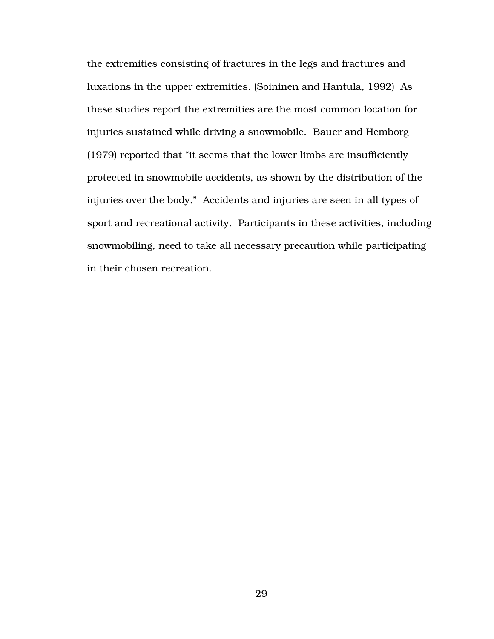the extremities consisting of fractures in the legs and fractures and luxations in the upper extremities. (Soininen and Hantula, 1992) As these studies report the extremities are the most common location for injuries sustained while driving a snowmobile. Bauer and Hemborg (1979) reported that "it seems that the lower limbs are insufficiently protected in snowmobile accidents, as shown by the distribution of the injuries over the body." Accidents and injuries are seen in all types of sport and recreational activity. Participants in these activities, including snowmobiling, need to take all necessary precaution while participating in their chosen recreation.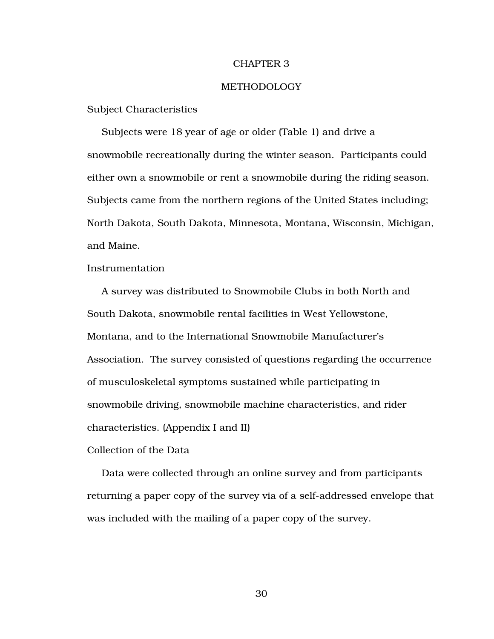#### CHAPTER 3

#### METHODOLOGY

Subject Characteristics

Subjects were 18 year of age or older (Table 1) and drive a snowmobile recreationally during the winter season. Participants could either own a snowmobile or rent a snowmobile during the riding season. Subjects came from the northern regions of the United States including; North Dakota, South Dakota, Minnesota, Montana, Wisconsin, Michigan, and Maine.

Instrumentation

A survey was distributed to Snowmobile Clubs in both North and South Dakota, snowmobile rental facilities in West Yellowstone, Montana, and to the International Snowmobile Manufacturer's Association. The survey consisted of questions regarding the occurrence of musculoskeletal symptoms sustained while participating in snowmobile driving, snowmobile machine characteristics, and rider characteristics. (Appendix I and II)

Collection of the Data

Data were collected through an online survey and from participants returning a paper copy of the survey via of a self-addressed envelope that was included with the mailing of a paper copy of the survey.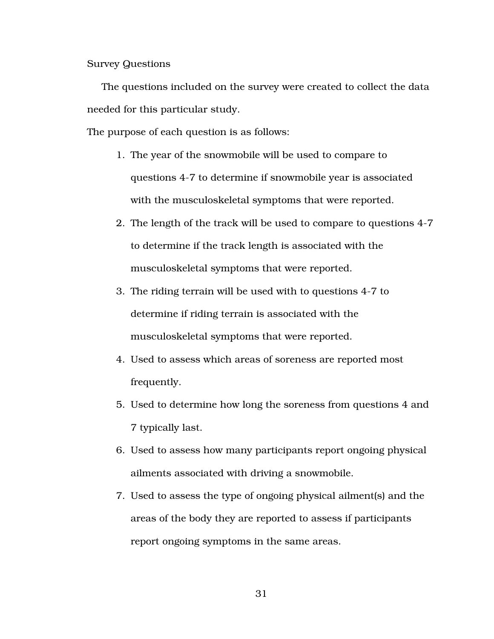Survey Questions

The questions included on the survey were created to collect the data needed for this particular study.

The purpose of each question is as follows:

- 1. The year of the snowmobile will be used to compare to questions 4-7 to determine if snowmobile year is associated with the musculoskeletal symptoms that were reported.
- 2. The length of the track will be used to compare to questions 4-7 to determine if the track length is associated with the musculoskeletal symptoms that were reported.
- 3. The riding terrain will be used with to questions 4-7 to determine if riding terrain is associated with the musculoskeletal symptoms that were reported.
- 4. Used to assess which areas of soreness are reported most frequently.
- 5. Used to determine how long the soreness from questions 4 and 7 typically last.
- 6. Used to assess how many participants report ongoing physical ailments associated with driving a snowmobile.
- 7. Used to assess the type of ongoing physical ailment(s) and the areas of the body they are reported to assess if participants report ongoing symptoms in the same areas.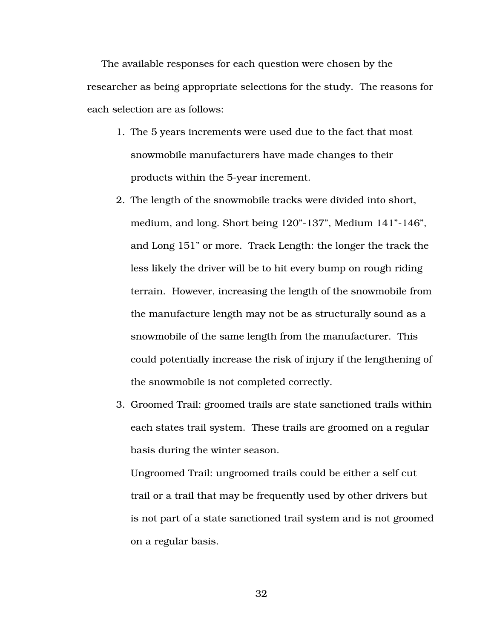The available responses for each question were chosen by the researcher as being appropriate selections for the study. The reasons for each selection are as follows:

- 1. The 5 years increments were used due to the fact that most snowmobile manufacturers have made changes to their products within the 5-year increment.
- 2. The length of the snowmobile tracks were divided into short, medium, and long. Short being 120"-137", Medium 141"-146", and Long 151" or more. Track Length: the longer the track the less likely the driver will be to hit every bump on rough riding terrain. However, increasing the length of the snowmobile from the manufacture length may not be as structurally sound as a snowmobile of the same length from the manufacturer. This could potentially increase the risk of injury if the lengthening of the snowmobile is not completed correctly.
- 3. Groomed Trail: groomed trails are state sanctioned trails within each states trail system. These trails are groomed on a regular basis during the winter season.

Ungroomed Trail: ungroomed trails could be either a self cut trail or a trail that may be frequently used by other drivers but is not part of a state sanctioned trail system and is not groomed on a regular basis.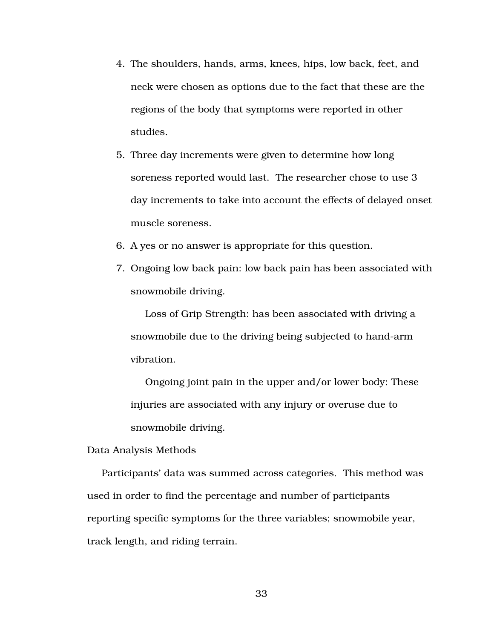- 4. The shoulders, hands, arms, knees, hips, low back, feet, and neck were chosen as options due to the fact that these are the regions of the body that symptoms were reported in other studies.
- 5. Three day increments were given to determine how long soreness reported would last. The researcher chose to use 3 day increments to take into account the effects of delayed onset muscle soreness.
- 6. A yes or no answer is appropriate for this question.
- 7. Ongoing low back pain: low back pain has been associated with snowmobile driving.

Loss of Grip Strength: has been associated with driving a snowmobile due to the driving being subjected to hand-arm vibration.

Ongoing joint pain in the upper and/or lower body: These injuries are associated with any injury or overuse due to snowmobile driving.

Data Analysis Methods

Participants' data was summed across categories. This method was used in order to find the percentage and number of participants reporting specific symptoms for the three variables; snowmobile year, track length, and riding terrain.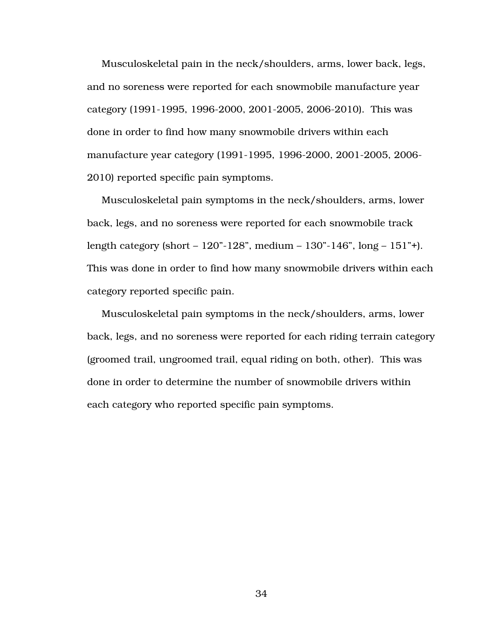Musculoskeletal pain in the neck/shoulders, arms, lower back, legs, and no soreness were reported for each snowmobile manufacture year category (1991-1995, 1996-2000, 2001-2005, 2006-2010). This was done in order to find how many snowmobile drivers within each manufacture year category (1991-1995, 1996-2000, 2001-2005, 2006- 2010) reported specific pain symptoms.

Musculoskeletal pain symptoms in the neck/shoulders, arms, lower back, legs, and no soreness were reported for each snowmobile track length category (short – 120"-128", medium – 130"-146", long – 151"+). This was done in order to find how many snowmobile drivers within each category reported specific pain.

Musculoskeletal pain symptoms in the neck/shoulders, arms, lower back, legs, and no soreness were reported for each riding terrain category (groomed trail, ungroomed trail, equal riding on both, other). This was done in order to determine the number of snowmobile drivers within each category who reported specific pain symptoms.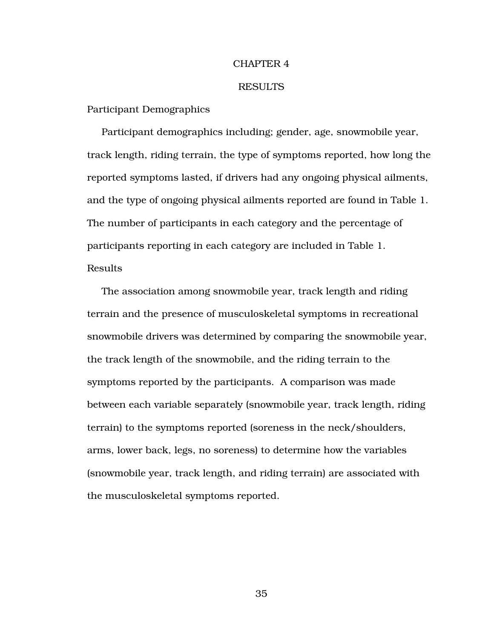#### CHAPTER 4

#### RESULTS

Participant Demographics

Participant demographics including; gender, age, snowmobile year, track length, riding terrain, the type of symptoms reported, how long the reported symptoms lasted, if drivers had any ongoing physical ailments, and the type of ongoing physical ailments reported are found in Table 1. The number of participants in each category and the percentage of participants reporting in each category are included in Table 1. Results

The association among snowmobile year, track length and riding terrain and the presence of musculoskeletal symptoms in recreational snowmobile drivers was determined by comparing the snowmobile year, the track length of the snowmobile, and the riding terrain to the symptoms reported by the participants. A comparison was made between each variable separately (snowmobile year, track length, riding terrain) to the symptoms reported (soreness in the neck/shoulders, arms, lower back, legs, no soreness) to determine how the variables (snowmobile year, track length, and riding terrain) are associated with the musculoskeletal symptoms reported.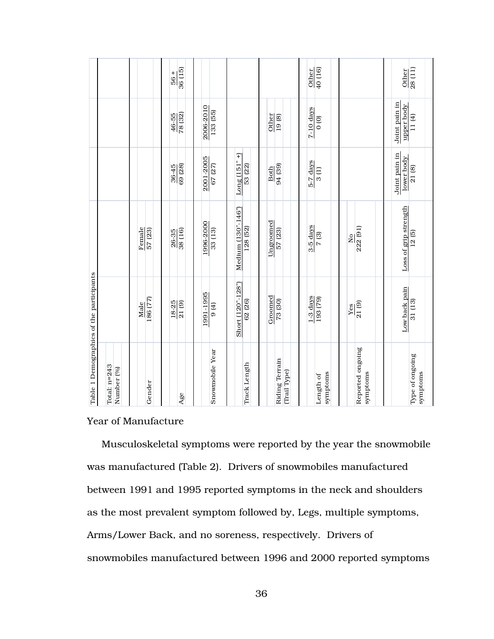|                                                                     |                            |                     | 36 (15)<br>$+99$       |                                    |                                |                                | $\frac{1}{40(16)}$<br>Other   |                              | $\sqrt{28(11)}$<br>Other             |
|---------------------------------------------------------------------|----------------------------|---------------------|------------------------|------------------------------------|--------------------------------|--------------------------------|-------------------------------|------------------------------|--------------------------------------|
| Table 1 Demographics of the participants                            |                            |                     | $\frac{46-55}{78(32)}$ | 2006-2010<br>$\overline{133}$ (55) |                                | Other<br>19(8)                 | $7-10$ days<br>$\overline{0}$ |                              | Joint pain in<br>upper body<br>11(4) |
|                                                                     |                            |                     | 69 (28)<br>36-45       | 2001-2005<br>67 (27)               | $Long(151" +)$<br>53 (22)      | 94 (39)<br>Both                | 5-7 days<br>3(1)              |                              | Joint pain in<br>lower body<br>21(8) |
|                                                                     |                            | Female<br>57 (23)   | $\frac{26-35}{38(16)}$ | 1996-2000<br>33 (13)               | Medium (130"-146")<br>128 (52) | Ungroomed<br>57 (23)           | 3-5 days<br>7(3)              | 222 (91)<br>2                | Loss of grip strength<br>12(5)       |
|                                                                     |                            | 86 (77)<br>Male     | 18-25<br>21(9)         | 1991-1995<br>9 (4)                 | Short (120"-128")<br>62 (26)   | Groomed<br>73 (30)             | $1-3$ days<br>193(79)         | $\frac{1}{21(9)}$<br>Yes     | Low back pain<br>31 (13)             |
|                                                                     | Total: n=243<br>Number (%) | Gender              | Age                    | Snowmobile Year                    | Track Length                   | Riding Terrain<br>(Trail Type) | symptoms<br>Length of         | Reported ongoing<br>symptoms | Type of ongoing<br>symptoms          |
|                                                                     |                            | Year of Manufacture |                        |                                    |                                |                                |                               |                              |                                      |
| Musculoskeletal symptoms were reported by the year the snowmobile   |                            |                     |                        |                                    |                                |                                |                               |                              |                                      |
| was manufactured (Table 2). Drivers of snowmobiles manufactured     |                            |                     |                        |                                    |                                |                                |                               |                              |                                      |
| between 1991 and 1995 reported symptoms in the neck and shoulders   |                            |                     |                        |                                    |                                |                                |                               |                              |                                      |
| as the most prevalent symptom followed by, Legs, multiple symptoms, |                            |                     |                        |                                    |                                |                                |                               |                              |                                      |
| Arms/Lower Back, and no soreness, respectively. Drivers of          |                            |                     |                        |                                    |                                |                                |                               |                              |                                      |
| snowmobiles manufactured between 1996 and 2000 reported symptoms    |                            |                     |                        |                                    |                                |                                |                               |                              |                                      |

### Year of Manufacture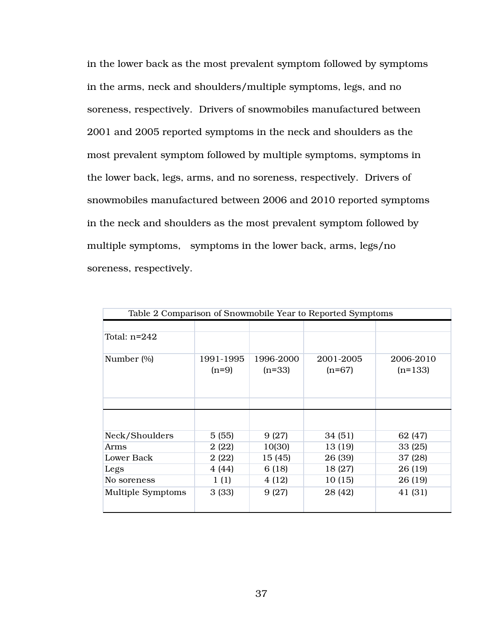in the lower back as the most prevalent symptom followed by symptoms in the arms, neck and shoulders/multiple symptoms, legs, and no soreness, respectively. Drivers of snowmobiles manufactured between 2001 and 2005 reported symptoms in the neck and shoulders as the most prevalent symptom followed by multiple symptoms, symptoms in the lower back, legs, arms, and no soreness, respectively. Drivers of snowmobiles manufactured between 2006 and 2010 reported symptoms in the neck and shoulders as the most prevalent symptom followed by multiple symptoms, symptoms in the lower back, arms, legs/no soreness, respectively.

| Table 2 Comparison of Snowmobile Year to Reported Symptoms |                      |                       |                       |                        |  |  |  |
|------------------------------------------------------------|----------------------|-----------------------|-----------------------|------------------------|--|--|--|
|                                                            |                      |                       |                       |                        |  |  |  |
| Total: $n=242$                                             |                      |                       |                       |                        |  |  |  |
| Number (%)                                                 | 1991-1995<br>$(n=9)$ | 1996-2000<br>$(n=33)$ | 2001-2005<br>$(n=67)$ | 2006-2010<br>$(n=133)$ |  |  |  |
|                                                            |                      |                       |                       |                        |  |  |  |
|                                                            |                      |                       |                       |                        |  |  |  |
| Neck/Shoulders                                             | 5(55)                | 9(27)                 | 34 (51)               | 62 (47)                |  |  |  |
| Arms                                                       | 2(22)                | 10(30)                | 13 (19)               | 33 (25)                |  |  |  |
| Lower Back                                                 | 2(22)                | 15 (45)               | 26 (39)               | 37 (28)                |  |  |  |
| Legs                                                       | 4 (44)               | 6 (18)                | 18 (27)               | 26 (19)                |  |  |  |
| No soreness                                                | 1(1)                 | 4(12)                 | 10 (15)               | 26 (19)                |  |  |  |
| <b>Multiple Symptoms</b>                                   | 3(33)                | 9(27)                 | 28 (42)               | 41 (31)                |  |  |  |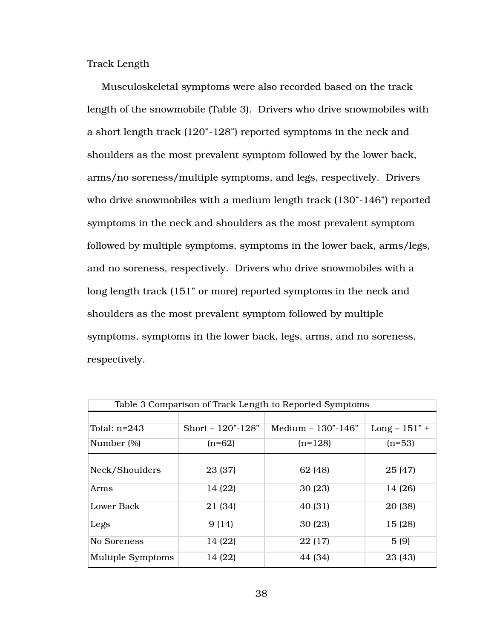Track Length

Musculoskeletal symptoms were also recorded based on the track length of the snowmobile (Table 3). Drivers who drive snowmobiles with a short length track (120"-128") reported symptoms in the neck and shoulders as the most prevalent symptom followed by the lower back, arms/no soreness/multiple symptoms, and legs, respectively. Drivers who drive snowmobiles with a medium length track (130"-146") reported symptoms in the neck and shoulders as the most prevalent symptom followed by multiple symptoms, symptoms in the lower back, arms/legs, and no soreness, respectively. Drivers who drive snowmobiles with a long length track (151" or more) reported symptoms in the neck and shoulders as the most prevalent symptom followed by multiple symptoms, symptoms in the lower back, legs, arms, and no soreness, respectively.

| Table 3 Comparison of Track Length to Reported Symptoms |                     |                      |                 |  |  |  |
|---------------------------------------------------------|---------------------|----------------------|-----------------|--|--|--|
|                                                         |                     |                      |                 |  |  |  |
| Total: $n=243$                                          | Short $-120"$ -128" | Medium $-130"$ -146" | $Long - 151" +$ |  |  |  |
| Number (%)                                              | $(n=62)$            | $(n=128)$            | $(n=53)$        |  |  |  |
|                                                         |                     |                      |                 |  |  |  |
| Neck/Shoulders                                          | 23 (37)             | 62 (48)              | 25 (47)         |  |  |  |
| Arms                                                    | 14 (22)             | 30 (23)              | 14 (26)         |  |  |  |
| Lower Back                                              | 21 (34)             | 40 (31)              | 20 (38)         |  |  |  |
| Legs                                                    | 9(14)               | 30(23)               | 15 (28)         |  |  |  |
| No Soreness                                             | 14 (22)             | 22(17)               | 5(9)            |  |  |  |
| <b>Multiple Symptoms</b>                                | 14 (22)             | 44 (34)              | 23 (43)         |  |  |  |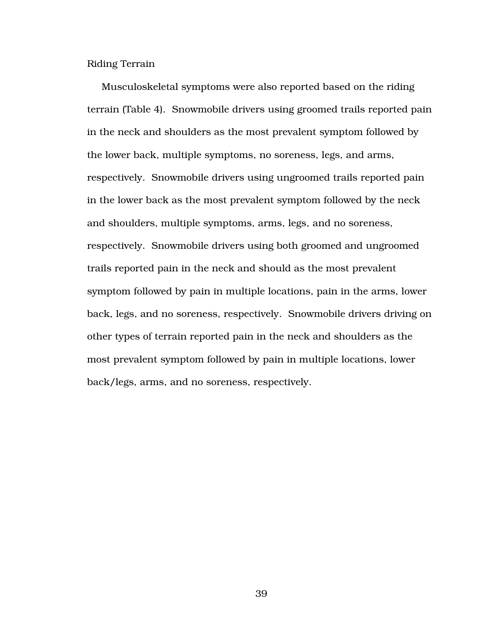Riding Terrain

Musculoskeletal symptoms were also reported based on the riding terrain (Table 4). Snowmobile drivers using groomed trails reported pain in the neck and shoulders as the most prevalent symptom followed by the lower back, multiple symptoms, no soreness, legs, and arms, respectively. Snowmobile drivers using ungroomed trails reported pain in the lower back as the most prevalent symptom followed by the neck and shoulders, multiple symptoms, arms, legs, and no soreness, respectively. Snowmobile drivers using both groomed and ungroomed trails reported pain in the neck and should as the most prevalent symptom followed by pain in multiple locations, pain in the arms, lower back, legs, and no soreness, respectively. Snowmobile drivers driving on other types of terrain reported pain in the neck and shoulders as the most prevalent symptom followed by pain in multiple locations, lower back/legs, arms, and no soreness, respectively.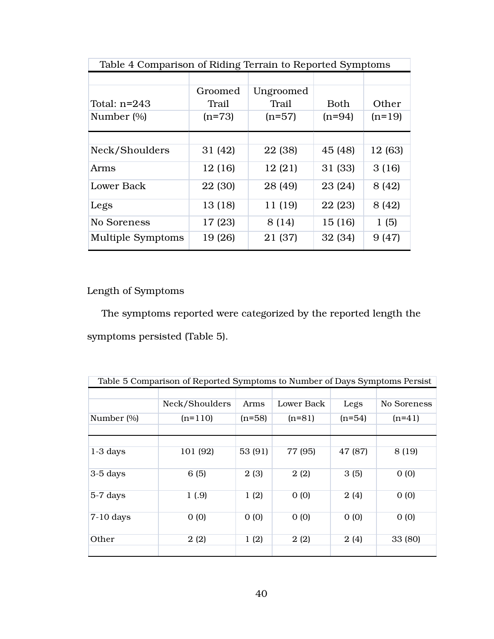| Table 4 Comparison of Riding Terrain to Reported Symptoms |          |           |          |          |  |  |
|-----------------------------------------------------------|----------|-----------|----------|----------|--|--|
|                                                           |          |           |          |          |  |  |
|                                                           | Groomed  | Ungroomed |          |          |  |  |
| Total: $n=243$                                            | Trail    | Trail     | Both     | Other    |  |  |
| Number (%)                                                | $(n=73)$ | $(n=57)$  | $(n=94)$ | $(n=19)$ |  |  |
|                                                           |          |           |          |          |  |  |
|                                                           |          |           |          |          |  |  |
| Neck/Shoulders                                            | 31 (42)  | 22 (38)   | 45 (48)  | 12 (63)  |  |  |
| Arms                                                      | 12 (16)  | 12(21)    | 31 (33)  | 3(16)    |  |  |
| Lower Back                                                | 22 (30)  | 28 (49)   | 23 (24)  | 8 (42)   |  |  |
| Legs                                                      | 13 (18)  | 11 (19)   | 22 (23)  | 8 (42)   |  |  |
| No Soreness                                               | 17 (23)  | 8 (14)    | 15(16)   | 1(5)     |  |  |
| <b>Multiple Symptoms</b>                                  | 19 (26)  | 21 (37)   | 32 (34)  | 9(47)    |  |  |

# Length of Symptoms

The symptoms reported were categorized by the reported length the symptoms persisted (Table 5).

| Table 5 Comparison of Reported Symptoms to Number of Days Symptoms Persist |                |          |            |          |             |  |  |  |
|----------------------------------------------------------------------------|----------------|----------|------------|----------|-------------|--|--|--|
|                                                                            | Neck/Shoulders | Arms     | Lower Back | Legs     | No Soreness |  |  |  |
| Number (%)                                                                 | $(n=110)$      | $(n=58)$ | $(n=81)$   | $(n=54)$ | $(n=41)$    |  |  |  |
| $1-3$ days                                                                 | 101 (92)       | 53 (91)  | 77 (95)    | 47 (87)  | 8 (19)      |  |  |  |
| $3-5$ days                                                                 | 6(5)           | 2(3)     | 2(2)       | 3(5)     | 0(0)        |  |  |  |
| 5-7 days                                                                   | 1(0.9)         | 1(2)     | 0(0)       | 2(4)     | 0(0)        |  |  |  |
| $7-10$ days                                                                | 0(0)           | 0(0)     | 0(0)       | 0(0)     | 0(0)        |  |  |  |
| Other                                                                      | 2(2)           | 1(2)     | 2(2)       | 2(4)     | 33 (80)     |  |  |  |
|                                                                            |                |          |            |          |             |  |  |  |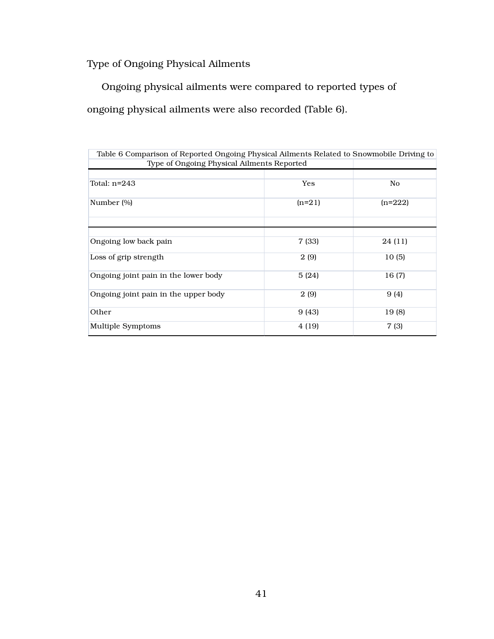Type of Ongoing Physical Ailments

Ongoing physical ailments were compared to reported types of ongoing physical ailments were also recorded (Table 6).

| Table 6 Comparison of Reported Ongoing Physical Ailments Related to Snowmobile Driving to<br>Type of Ongoing Physical Ailments Reported |          |           |  |  |  |  |
|-----------------------------------------------------------------------------------------------------------------------------------------|----------|-----------|--|--|--|--|
|                                                                                                                                         |          |           |  |  |  |  |
| Total: $n=243$                                                                                                                          | Yes      | No        |  |  |  |  |
| Number (%)                                                                                                                              | $(n=21)$ | $(n=222)$ |  |  |  |  |
|                                                                                                                                         |          |           |  |  |  |  |
| Ongoing low back pain                                                                                                                   | 7 (33)   | 24 (11)   |  |  |  |  |
| Loss of grip strength                                                                                                                   | 2(9)     | 10(5)     |  |  |  |  |
| Ongoing joint pain in the lower body                                                                                                    | 5(24)    | 16(7)     |  |  |  |  |
| Ongoing joint pain in the upper body                                                                                                    | 2(9)     | 9(4)      |  |  |  |  |
| Other                                                                                                                                   | 9 (43)   | 19(8)     |  |  |  |  |
| Multiple Symptoms                                                                                                                       | 4 (19)   | 7 (3)     |  |  |  |  |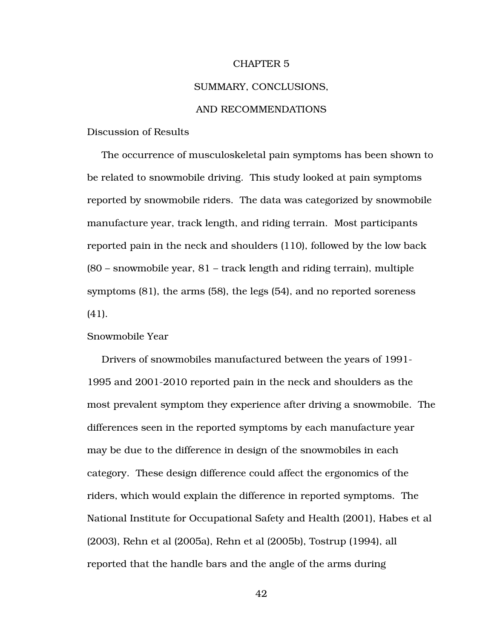#### CHAPTER 5

#### SUMMARY, CONCLUSIONS,

#### AND RECOMMENDATIONS

Discussion of Results

The occurrence of musculoskeletal pain symptoms has been shown to be related to snowmobile driving. This study looked at pain symptoms reported by snowmobile riders. The data was categorized by snowmobile manufacture year, track length, and riding terrain. Most participants reported pain in the neck and shoulders (110), followed by the low back (80 – snowmobile year, 81 – track length and riding terrain), multiple symptoms (81), the arms (58), the legs (54), and no reported soreness (41).

#### Snowmobile Year

Drivers of snowmobiles manufactured between the years of 1991- 1995 and 2001-2010 reported pain in the neck and shoulders as the most prevalent symptom they experience after driving a snowmobile. The differences seen in the reported symptoms by each manufacture year may be due to the difference in design of the snowmobiles in each category. These design difference could affect the ergonomics of the riders, which would explain the difference in reported symptoms. The National Institute for Occupational Safety and Health (2001), Habes et al (2003), Rehn et al (2005a), Rehn et al (2005b), Tostrup (1994), all reported that the handle bars and the angle of the arms during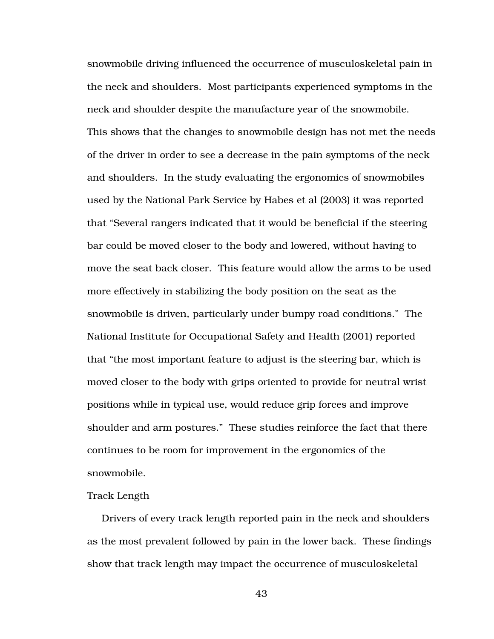snowmobile driving influenced the occurrence of musculoskeletal pain in the neck and shoulders. Most participants experienced symptoms in the neck and shoulder despite the manufacture year of the snowmobile. This shows that the changes to snowmobile design has not met the needs of the driver in order to see a decrease in the pain symptoms of the neck and shoulders. In the study evaluating the ergonomics of snowmobiles used by the National Park Service by Habes et al (2003) it was reported that "Several rangers indicated that it would be beneficial if the steering bar could be moved closer to the body and lowered, without having to move the seat back closer. This feature would allow the arms to be used more effectively in stabilizing the body position on the seat as the snowmobile is driven, particularly under bumpy road conditions." The National Institute for Occupational Safety and Health (2001) reported that "the most important feature to adjust is the steering bar, which is moved closer to the body with grips oriented to provide for neutral wrist positions while in typical use, would reduce grip forces and improve shoulder and arm postures." These studies reinforce the fact that there continues to be room for improvement in the ergonomics of the snowmobile.

#### Track Length

Drivers of every track length reported pain in the neck and shoulders as the most prevalent followed by pain in the lower back. These findings show that track length may impact the occurrence of musculoskeletal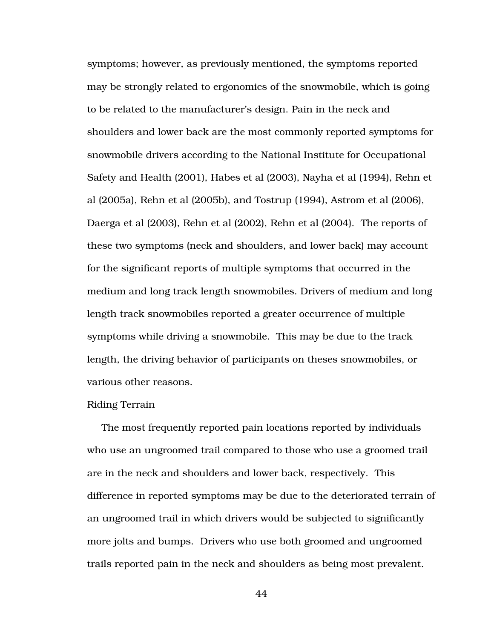symptoms; however, as previously mentioned, the symptoms reported may be strongly related to ergonomics of the snowmobile, which is going to be related to the manufacturer's design. Pain in the neck and shoulders and lower back are the most commonly reported symptoms for snowmobile drivers according to the National Institute for Occupational Safety and Health (2001), Habes et al (2003), Nayha et al (1994), Rehn et al (2005a), Rehn et al (2005b), and Tostrup (1994), Astrom et al (2006), Daerga et al (2003), Rehn et al (2002), Rehn et al (2004). The reports of these two symptoms (neck and shoulders, and lower back) may account for the significant reports of multiple symptoms that occurred in the medium and long track length snowmobiles. Drivers of medium and long length track snowmobiles reported a greater occurrence of multiple symptoms while driving a snowmobile. This may be due to the track length, the driving behavior of participants on theses snowmobiles, or various other reasons.

#### Riding Terrain

The most frequently reported pain locations reported by individuals who use an ungroomed trail compared to those who use a groomed trail are in the neck and shoulders and lower back, respectively. This difference in reported symptoms may be due to the deteriorated terrain of an ungroomed trail in which drivers would be subjected to significantly more jolts and bumps. Drivers who use both groomed and ungroomed trails reported pain in the neck and shoulders as being most prevalent.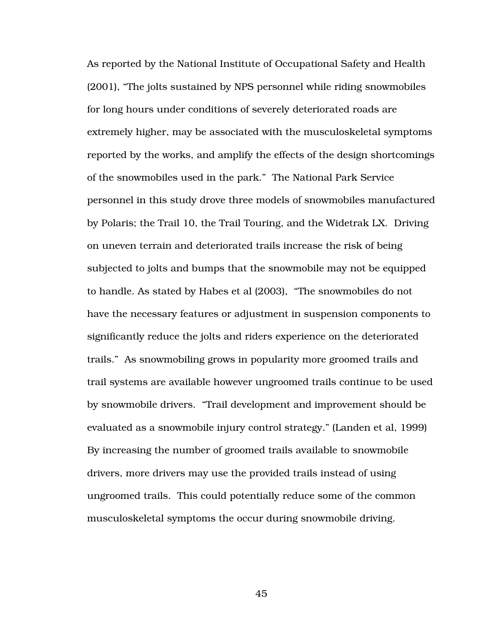As reported by the National Institute of Occupational Safety and Health (2001), "The jolts sustained by NPS personnel while riding snowmobiles for long hours under conditions of severely deteriorated roads are extremely higher, may be associated with the musculoskeletal symptoms reported by the works, and amplify the effects of the design shortcomings of the snowmobiles used in the park." The National Park Service personnel in this study drove three models of snowmobiles manufactured by Polaris; the Trail 10, the Trail Touring, and the Widetrak LX. Driving on uneven terrain and deteriorated trails increase the risk of being subjected to jolts and bumps that the snowmobile may not be equipped to handle. As stated by Habes et al (2003), "The snowmobiles do not have the necessary features or adjustment in suspension components to significantly reduce the jolts and riders experience on the deteriorated trails." As snowmobiling grows in popularity more groomed trails and trail systems are available however ungroomed trails continue to be used by snowmobile drivers. "Trail development and improvement should be evaluated as a snowmobile injury control strategy." (Landen et al, 1999) By increasing the number of groomed trails available to snowmobile drivers, more drivers may use the provided trails instead of using ungroomed trails. This could potentially reduce some of the common musculoskeletal symptoms the occur during snowmobile driving.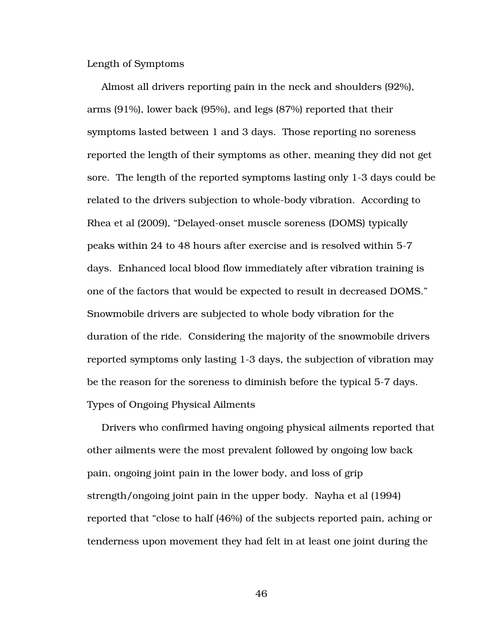Length of Symptoms

Almost all drivers reporting pain in the neck and shoulders (92%), arms (91%), lower back (95%), and legs (87%) reported that their symptoms lasted between 1 and 3 days. Those reporting no soreness reported the length of their symptoms as other, meaning they did not get sore. The length of the reported symptoms lasting only 1-3 days could be related to the drivers subjection to whole-body vibration. According to Rhea et al (2009), "Delayed-onset muscle soreness (DOMS) typically peaks within 24 to 48 hours after exercise and is resolved within 5-7 days. Enhanced local blood flow immediately after vibration training is one of the factors that would be expected to result in decreased DOMS." Snowmobile drivers are subjected to whole body vibration for the duration of the ride. Considering the majority of the snowmobile drivers reported symptoms only lasting 1-3 days, the subjection of vibration may be the reason for the soreness to diminish before the typical 5-7 days. Types of Ongoing Physical Ailments

Drivers who confirmed having ongoing physical ailments reported that other ailments were the most prevalent followed by ongoing low back pain, ongoing joint pain in the lower body, and loss of grip strength/ongoing joint pain in the upper body. Nayha et al (1994) reported that "close to half (46%) of the subjects reported pain, aching or tenderness upon movement they had felt in at least one joint during the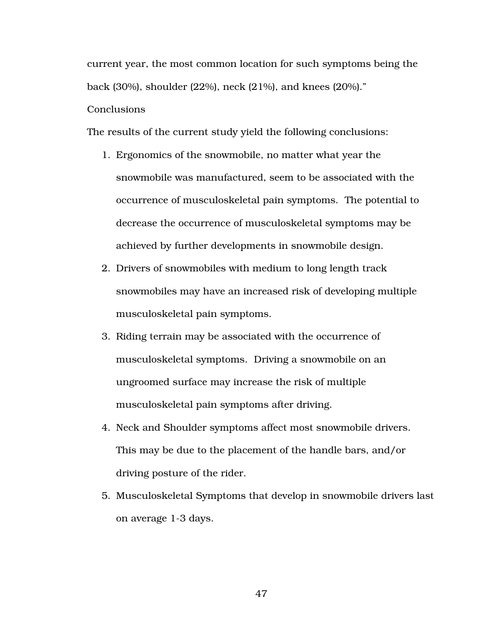current year, the most common location for such symptoms being the back (30%), shoulder (22%), neck (21%), and knees (20%)." Conclusions

The results of the current study yield the following conclusions:

- 1. Ergonomics of the snowmobile, no matter what year the snowmobile was manufactured, seem to be associated with the occurrence of musculoskeletal pain symptoms. The potential to decrease the occurrence of musculoskeletal symptoms may be achieved by further developments in snowmobile design.
- 2. Drivers of snowmobiles with medium to long length track snowmobiles may have an increased risk of developing multiple musculoskeletal pain symptoms.
- 3. Riding terrain may be associated with the occurrence of musculoskeletal symptoms. Driving a snowmobile on an ungroomed surface may increase the risk of multiple musculoskeletal pain symptoms after driving.
- 4. Neck and Shoulder symptoms affect most snowmobile drivers. This may be due to the placement of the handle bars, and/or driving posture of the rider.
- 5. Musculoskeletal Symptoms that develop in snowmobile drivers last on average 1-3 days.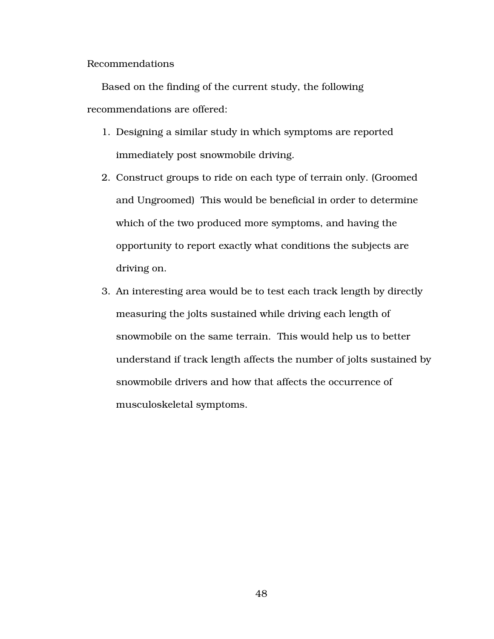Recommendations

Based on the finding of the current study, the following recommendations are offered:

- 1. Designing a similar study in which symptoms are reported immediately post snowmobile driving.
- 2. Construct groups to ride on each type of terrain only. (Groomed and Ungroomed) This would be beneficial in order to determine which of the two produced more symptoms, and having the opportunity to report exactly what conditions the subjects are driving on.
- 3. An interesting area would be to test each track length by directly measuring the jolts sustained while driving each length of snowmobile on the same terrain. This would help us to better understand if track length affects the number of jolts sustained by snowmobile drivers and how that affects the occurrence of musculoskeletal symptoms.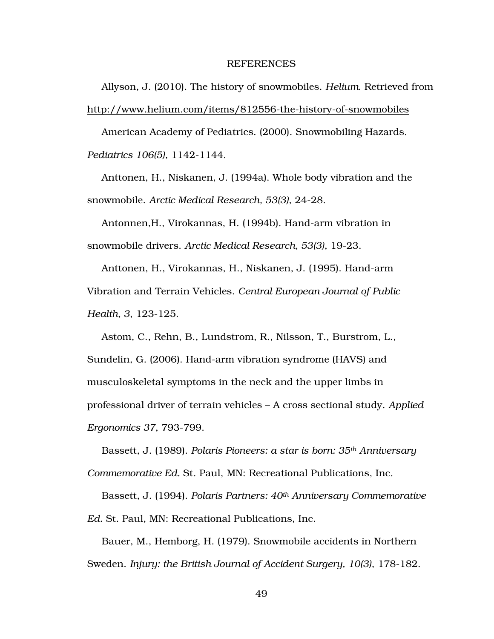#### REFERENCES

Allyson, J. (2010). The history of snowmobiles. *Helium*. Retrieved from http://www.helium.com/items/812556-the-history-of-snowmobiles

American Academy of Pediatrics. (2000). Snowmobiling Hazards. *Pediatrics 106(5)*, 1142-1144.

Anttonen, H., Niskanen, J. (1994a). Whole body vibration and the snowmobile. *Arctic Medical Research, 53(3)*, 24-28.

Antonnen,H., Virokannas, H. (1994b). Hand-arm vibration in snowmobile drivers. *Arctic Medical Research, 53(3)*, 19-23.

Anttonen, H., Virokannas, H., Niskanen, J. (1995). Hand-arm Vibration and Terrain Vehicles. *Central European Journal of Public Health, 3*, 123-125.

Astom, C., Rehn, B., Lundstrom, R., Nilsson, T., Burstrom, L., Sundelin, G. (2006). Hand-arm vibration syndrome (HAVS) and musculoskeletal symptoms in the neck and the upper limbs in professional driver of terrain vehicles – A cross sectional study. *Applied Ergonomics 37*, 793-799.

Bassett, J. (1989). *Polaris Pioneers: a star is born: 35th Anniversary Commemorative Ed.* St. Paul, MN: Recreational Publications, Inc.

Bassett, J. (1994). *Polaris Partners: 40th Anniversary Commemorative Ed.* St. Paul, MN: Recreational Publications, Inc.

Bauer, M., Hemborg, H. (1979). Snowmobile accidents in Northern Sweden. *Injury: the British Journal of Accident Surgery, 10(3)*, 178-182.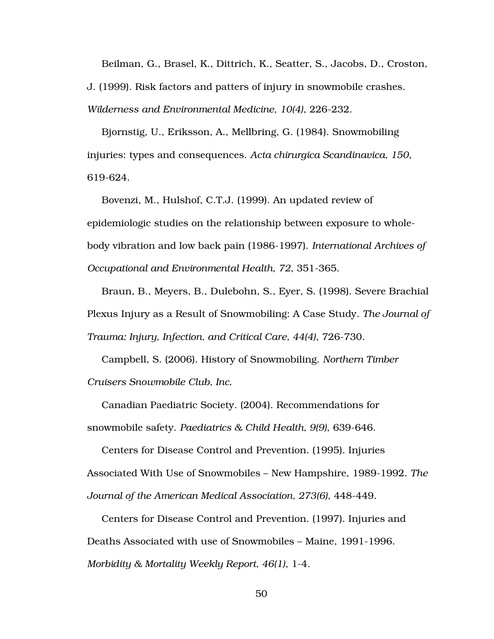Beilman, G., Brasel, K., Dittrich, K., Seatter, S., Jacobs, D., Croston, J. (1999). Risk factors and patters of injury in snowmobile crashes. *Wilderness and Environmental Medicine, 10(4)*, 226-232.

Bjornstig, U., Eriksson, A., Mellbring, G. (1984). Snowmobiling injuries: types and consequences. *Acta chirurgica Scandinavica, 150*, 619-624.

Bovenzi, M., Hulshof, C.T.J. (1999). An updated review of epidemiologic studies on the relationship between exposure to wholebody vibration and low back pain (1986-1997). *International Archives of Occupational and Environmental Health, 72*, 351-365.

Braun, B., Meyers, B., Dulebohn, S., Eyer, S. (1998). Severe Brachial Plexus Injury as a Result of Snowmobiling: A Case Study. *The Journal of Trauma: Injury, Infection, and Critical Care, 44(4)*, 726-730.

Campbell, S. (2006). History of Snowmobiling. *Northern Timber Cruisers Snowmobile Club, Inc.* 

Canadian Paediatric Society. (2004). Recommendations for snowmobile safety. *Paediatrics & Child Health, 9(9)*, 639-646.

Centers for Disease Control and Prevention. (1995). Injuries Associated With Use of Snowmobiles – New Hampshire, 1989-1992. *The Journal of the American Medical Association, 273(6)*, 448-449.

Centers for Disease Control and Prevention. (1997). Injuries and Deaths Associated with use of Snowmobiles – Maine, 1991-1996. *Morbidity & Mortality Weekly Report, 46(1)*, 1-4.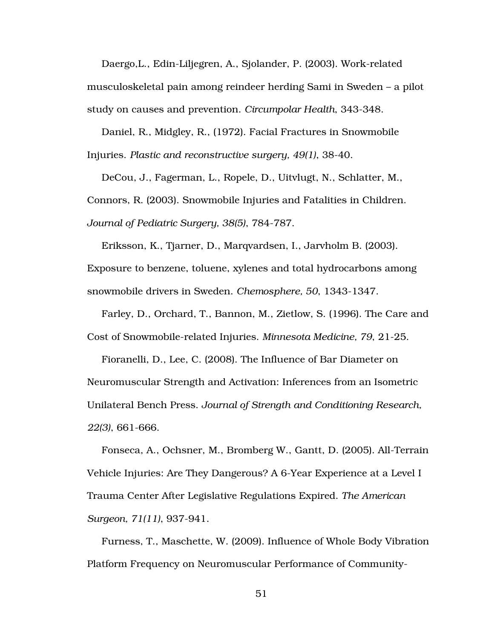Daergo,L., Edin-Liljegren, A., Sjolander, P. (2003). Work-related musculoskeletal pain among reindeer herding Sami in Sweden – a pilot study on causes and prevention. *Circumpolar Health*, 343-348.

Daniel, R., Midgley, R., (1972). Facial Fractures in Snowmobile Injuries. *Plastic and reconstructive surgery, 49(1)*, 38-40.

DeCou, J., Fagerman, L., Ropele, D., Uitvlugt, N., Schlatter, M., Connors, R. (2003). Snowmobile Injuries and Fatalities in Children. *Journal of Pediatric Surgery, 38(5)*, 784-787.

Eriksson, K., Tjarner, D., Marqvardsen, I., Jarvholm B. (2003). Exposure to benzene, toluene, xylenes and total hydrocarbons among snowmobile drivers in Sweden. *Chemosphere, 50*, 1343-1347.

Farley, D., Orchard, T., Bannon, M., Zietlow, S. (1996). The Care and Cost of Snowmobile-related Injuries. *Minnesota Medicine, 79*, 21-25.

Fioranelli, D., Lee, C. (2008). The Influence of Bar Diameter on Neuromuscular Strength and Activation: Inferences from an Isometric Unilateral Bench Press. *Journal of Strength and Conditioning Research, 22(3)*, 661-666.

Fonseca, A., Ochsner, M., Bromberg W., Gantt, D. (2005). All-Terrain Vehicle Injuries: Are They Dangerous? A 6-Year Experience at a Level I Trauma Center After Legislative Regulations Expired. *The American Surgeon, 71(11)*, 937-941.

Furness, T., Maschette, W. (2009). Influence of Whole Body Vibration Platform Frequency on Neuromuscular Performance of Community-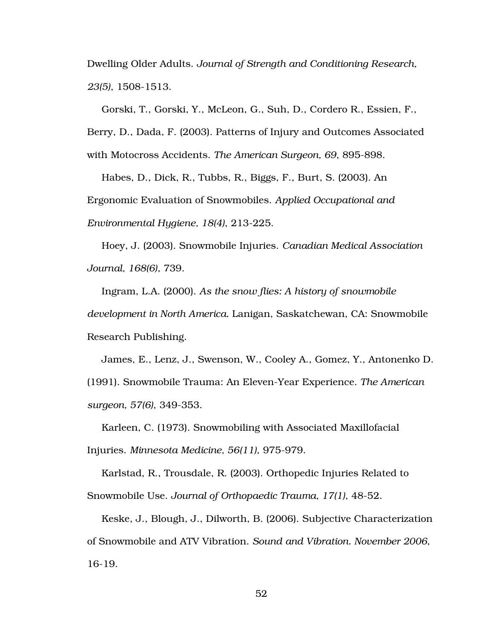Dwelling Older Adults. *Journal of Strength and Conditioning Research, 23(5)*, 1508-1513.

Gorski, T., Gorski, Y., McLeon, G., Suh, D., Cordero R., Essien, F., Berry, D., Dada, F. (2003). Patterns of Injury and Outcomes Associated with Motocross Accidents. *The American Surgeon, 69*, 895-898.

Habes, D., Dick, R., Tubbs, R., Biggs, F., Burt, S. (2003). An Ergonomic Evaluation of Snowmobiles. *Applied Occupational and Environmental Hygiene, 18(4)*, 213-225.

Hoey, J. (2003). Snowmobile Injuries. *Canadian Medical Association Journal, 168(6)*, 739.

Ingram, L.A. (2000). *As the snow flies: A history of snowmobile development in North America.* Lanigan, Saskatchewan, CA: Snowmobile Research Publishing.

James, E., Lenz, J., Swenson, W., Cooley A., Gomez, Y., Antonenko D. (1991). Snowmobile Trauma: An Eleven-Year Experience. *The American surgeon, 57(6)*, 349-353.

Karleen, C. (1973). Snowmobiling with Associated Maxillofacial Injuries. *Minnesota Medicine, 56(11)*, 975-979.

Karlstad, R., Trousdale, R. (2003). Orthopedic Injuries Related to Snowmobile Use. *Journal of Orthopaedic Trauma, 17(1)*, 48-52.

Keske, J., Blough, J., Dilworth, B. (2006). Subjective Characterization of Snowmobile and ATV Vibration. *Sound and Vibration. November 2006*, 16-19.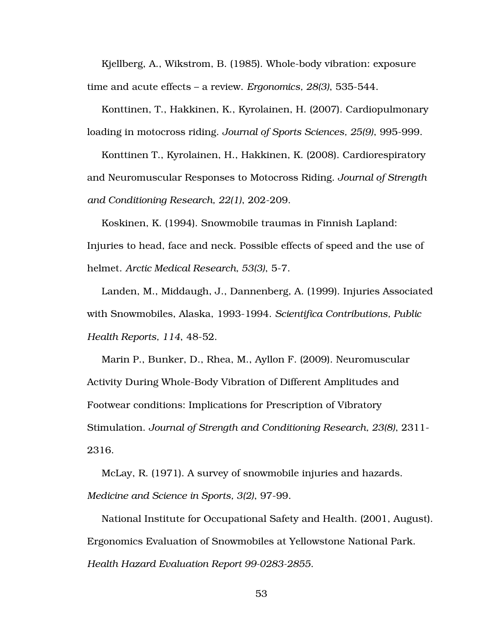Kjellberg, A., Wikstrom, B. (1985). Whole-body vibration: exposure time and acute effects – a review. *Ergonomics, 28(3)*, 535-544.

Konttinen, T., Hakkinen, K., Kyrolainen, H. (2007). Cardiopulmonary loading in motocross riding. *Journal of Sports Sciences, 25(9)*, 995-999.

Konttinen T., Kyrolainen, H., Hakkinen, K. (2008). Cardiorespiratory and Neuromuscular Responses to Motocross Riding. *Journal of Strength and Conditioning Research, 22(1)*, 202-209.

Koskinen, K. (1994). Snowmobile traumas in Finnish Lapland: Injuries to head, face and neck. Possible effects of speed and the use of helmet. *Arctic Medical Research, 53(3)*, 5-7.

Landen, M., Middaugh, J., Dannenberg, A. (1999). Injuries Associated with Snowmobiles, Alaska, 1993-1994. *Scientifica Contributions, Public Health Reports, 114*, 48-52.

Marin P., Bunker, D., Rhea, M., Ayllon F. (2009). Neuromuscular Activity During Whole-Body Vibration of Different Amplitudes and Footwear conditions: Implications for Prescription of Vibratory Stimulation. *Journal of Strength and Conditioning Research, 23(8)*, 2311- 2316.

McLay, R. (1971). A survey of snowmobile injuries and hazards. *Medicine and Science in Sports, 3(2)*, 97-99.

National Institute for Occupational Safety and Health. (2001, August). Ergonomics Evaluation of Snowmobiles at Yellowstone National Park. *Health Hazard Evaluation Report 99-0283-2855*.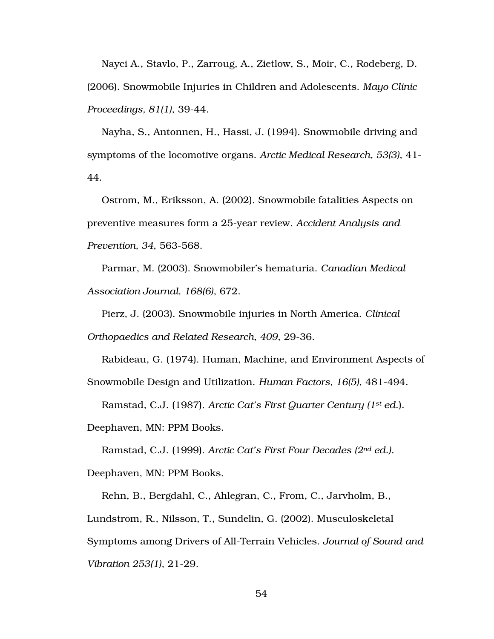Nayci A., Stavlo, P., Zarroug, A., Zietlow, S., Moir, C., Rodeberg, D. (2006). Snowmobile Injuries in Children and Adolescents. *Mayo Clinic Proceedings, 81(1)*, 39-44.

Nayha, S., Antonnen, H., Hassi, J. (1994). Snowmobile driving and symptoms of the locomotive organs. *Arctic Medical Research, 53(3)*, 41- 44.

Ostrom, M., Eriksson, A. (2002). Snowmobile fatalities Aspects on preventive measures form a 25-year review. *Accident Analysis and Prevention, 34*, 563-568.

Parmar, M. (2003). Snowmobiler's hematuria. *Canadian Medical Association Journal, 168(6)*, 672.

Pierz, J. (2003). Snowmobile injuries in North America. *Clinical Orthopaedics and Related Research, 409*, 29-36.

Rabideau, G. (1974). Human, Machine, and Environment Aspects of Snowmobile Design and Utilization. *Human Factors, 16(5)*, 481-494.

Ramstad, C.J. (1987). *Arctic Cat's First Quarter Century (1st ed*.).

Deephaven, MN: PPM Books.

Ramstad, C.J. (1999). *Arctic Cat's First Four Decades (2nd ed.).* Deephaven, MN: PPM Books.

Rehn, B., Bergdahl, C., Ahlegran, C., From, C., Jarvholm, B., Lundstrom, R., Nilsson, T., Sundelin, G. (2002). Musculoskeletal Symptoms among Drivers of All-Terrain Vehicles. *Journal of Sound and Vibration 253(1)*, 21-29.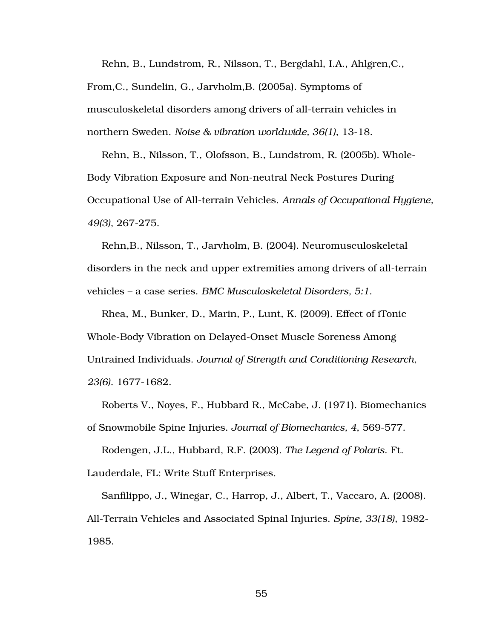Rehn, B., Lundstrom, R., Nilsson, T., Bergdahl, I.A., Ahlgren,C., From,C., Sundelin, G., Jarvholm,B. (2005a). Symptoms of musculoskeletal disorders among drivers of all-terrain vehicles in northern Sweden. *Noise & vibration worldwide, 36(1)*, 13-18.

Rehn, B., Nilsson, T., Olofsson, B., Lundstrom, R. (2005b). Whole-Body Vibration Exposure and Non-neutral Neck Postures During Occupational Use of All-terrain Vehicles. *Annals of Occupational Hygiene, 49(3)*, 267-275.

Rehn,B., Nilsson, T., Jarvholm, B. (2004). Neuromusculoskeletal disorders in the neck and upper extremities among drivers of all-terrain vehicles – a case series. *BMC Musculoskeletal Disorders, 5:1*.

Rhea, M., Bunker, D., Marin, P., Lunt, K. (2009). Effect of iTonic Whole-Body Vibration on Delayed-Onset Muscle Soreness Among Untrained Individuals. *Journal of Strength and Conditioning Research, 23(6)*. 1677-1682.

Roberts V., Noyes, F., Hubbard R., McCabe, J. (1971). Biomechanics of Snowmobile Spine Injuries. *Journal of Biomechanics, 4*, 569-577.

Rodengen, J.L., Hubbard, R.F. (2003). *The Legend of Polaris*. Ft. Lauderdale, FL: Write Stuff Enterprises.

Sanfilippo, J., Winegar, C., Harrop, J., Albert, T., Vaccaro, A. (2008). All-Terrain Vehicles and Associated Spinal Injuries. *Spine, 33(18)*, 1982- 1985.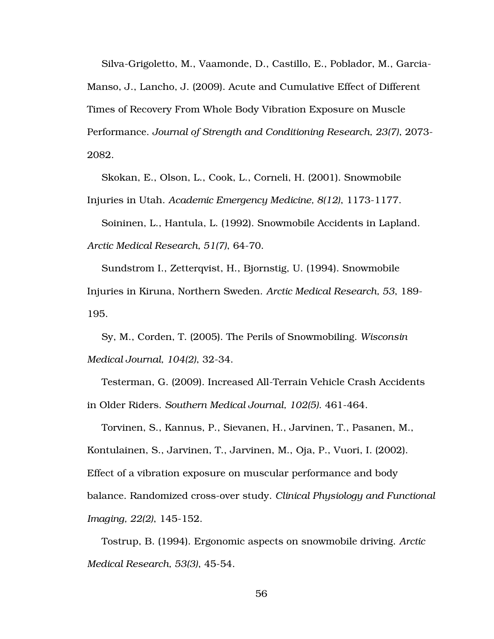Silva-Grigoletto, M., Vaamonde, D., Castillo, E., Poblador, M., Garcia-Manso, J., Lancho, J. (2009). Acute and Cumulative Effect of Different Times of Recovery From Whole Body Vibration Exposure on Muscle Performance. *Journal of Strength and Conditioning Research, 23(7)*, 2073- 2082.

Skokan, E., Olson, L., Cook, L., Corneli, H. (2001). Snowmobile Injuries in Utah. *Academic Emergency Medicine, 8(12)*, 1173-1177.

Soininen, L., Hantula, L. (1992). Snowmobile Accidents in Lapland. *Arctic Medical Research, 51(7)*, 64-70.

Sundstrom I., Zetterqvist, H., Bjornstig, U. (1994). Snowmobile Injuries in Kiruna, Northern Sweden. *Arctic Medical Research, 53*, 189- 195.

Sy, M., Corden, T. (2005). The Perils of Snowmobiling. *Wisconsin Medical Journal, 104(2)*, 32-34.

Testerman, G. (2009). Increased All-Terrain Vehicle Crash Accidents in Older Riders. *Southern Medical Journal, 102(5)*. 461-464.

Torvinen, S., Kannus, P., Sievanen, H., Jarvinen, T., Pasanen, M., Kontulainen, S., Jarvinen, T., Jarvinen, M., Oja, P., Vuori, I. (2002). Effect of a vibration exposure on muscular performance and body balance. Randomized cross-over study. *Clinical Physiology and Functional Imaging, 22(2)*, 145-152.

Tostrup, B. (1994). Ergonomic aspects on snowmobile driving. *Arctic Medical Research, 53(3)*, 45-54.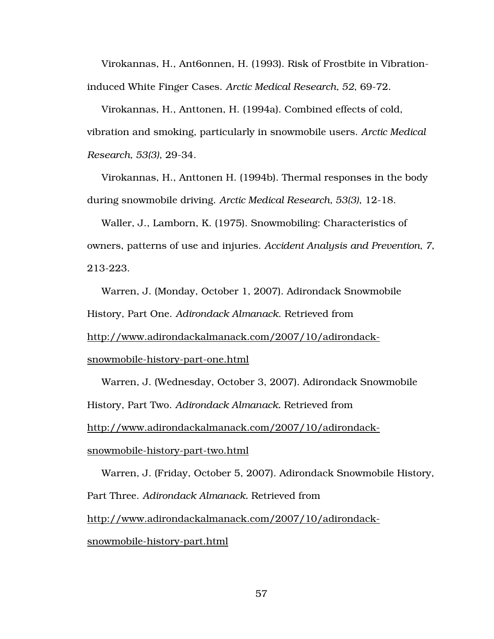Virokannas, H., Ant6onnen, H. (1993). Risk of Frostbite in Vibrationinduced White Finger Cases. *Arctic Medical Research, 52*, 69-72.

Virokannas, H., Anttonen, H. (1994a). Combined effects of cold, vibration and smoking, particularly in snowmobile users. *Arctic Medical Research, 53(3)*, 29-34.

Virokannas, H., Anttonen H. (1994b). Thermal responses in the body during snowmobile driving. *Arctic Medical Research, 53(3)*, 12-18.

Waller, J., Lamborn, K. (1975). Snowmobiling: Characteristics of owners, patterns of use and injuries. *Accident Analysis and Prevention, 7*, 213-223.

Warren, J. (Monday, October 1, 2007). Adirondack Snowmobile History, Part One. *Adirondack Almanack*. Retrieved from

http://www.adirondackalmanack.com/2007/10/adirondack-

snowmobile-history-part-one.html

Warren, J. (Wednesday, October 3, 2007). Adirondack Snowmobile History, Part Two. *Adirondack Almanack.* Retrieved from http://www.adirondackalmanack.com/2007/10/adirondack-

snowmobile-history-part-two.html

Warren, J. (Friday, October 5, 2007). Adirondack Snowmobile History, Part Three. *Adirondack Almanack.* Retrieved from http://www.adirondackalmanack.com/2007/10/adirondack-

snowmobile-history-part.html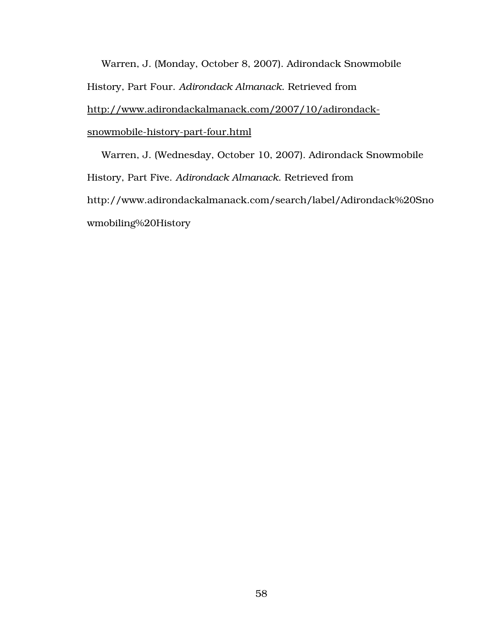Warren, J. (Monday, October 8, 2007). Adirondack Snowmobile History, Part Four. *Adirondack Almanack*. Retrieved from http://www.adirondackalmanack.com/2007/10/adirondacksnowmobile-history-part-four.html

Warren, J. (Wednesday, October 10, 2007). Adirondack Snowmobile History, Part Five. *Adirondack Almanack*. Retrieved from http://www.adirondackalmanack.com/search/label/Adirondack%20Sno wmobiling%20History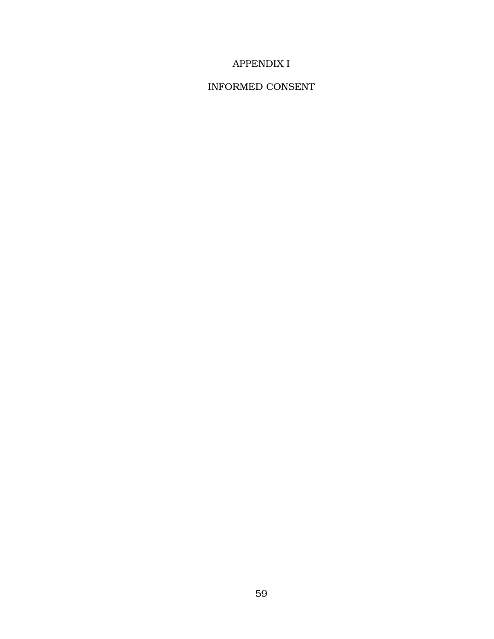## APPENDIX I

### INFORMED CONSENT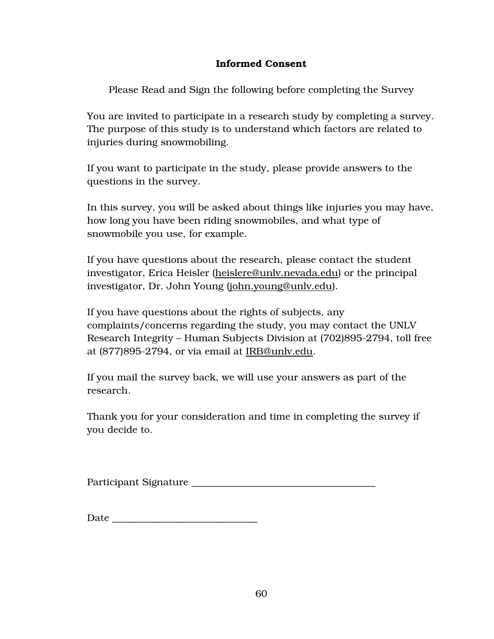### Informed Consent

Please Read and Sign the following before completing the Survey

You are invited to participate in a research study by completing a survey. The purpose of this study is to understand which factors are related to injuries during snowmobiling.

If you want to participate in the study, please provide answers to the questions in the survey.

In this survey, you will be asked about things like injuries you may have, how long you have been riding snowmobiles, and what type of snowmobile you use, for example.

If you have questions about the research, please contact the student investigator, Erica Heisler (heislere@unlv.nevada.edu) or the principal investigator, Dr. John Young (john.young@unlv.edu).

If you have questions about the rights of subjects, any complaints/concerns regarding the study, you may contact the UNLV Research Integrity – Human Subjects Division at (702)895-2794, toll free at (877)895-2794, or via email at IRB@unlv.edu.

If you mail the survey back, we will use your answers as part of the research.

Thank you for your consideration and time in completing the survey if you decide to.

Participant Signature

| Date |
|------|
|------|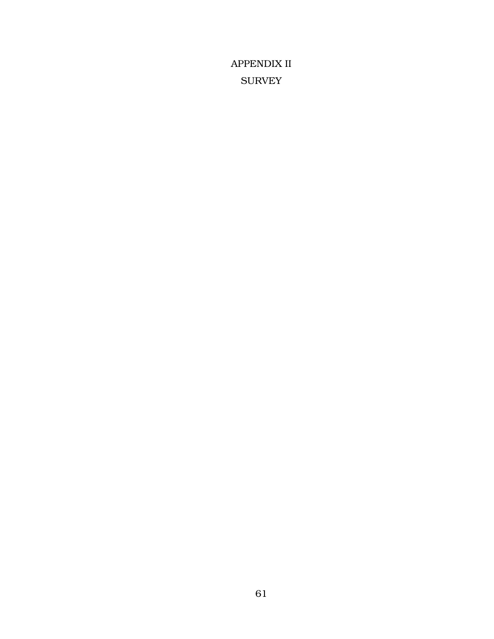APPENDIX II **SURVEY**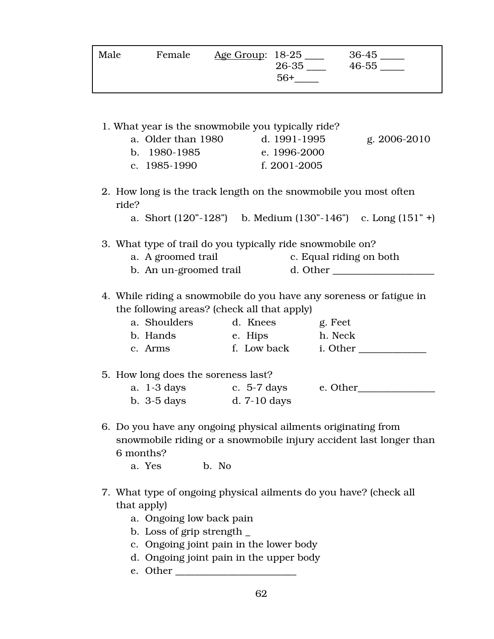| Male | Female | <u>Age Group</u> : 18-25 | 26-35<br>$56+$ | 36-45<br>46-55 |
|------|--------|--------------------------|----------------|----------------|
|      |        |                          |                |                |

- 1. What year is the snowmobile you typically ride? a. Older than 1980 d. 1991-1995 g. 2006-2010 b. 1980-1985 e. 1996-2000 c. 1985-1990 f. 2001-2005 2. How long is the track length on the snowmobile you most often ride? a. Short  $(120^{\circ} - 128^{\circ})$  b. Medium  $(130^{\circ} - 146^{\circ})$  c. Long  $(151^{\circ} +)$ 3. What type of trail do you typically ride snowmobile on? a. A groomed trail c. Equal riding on both b. An un-groomed trail d. Other \_\_\_\_\_\_\_\_\_\_\_\_\_\_\_\_\_\_\_\_\_ 4. While riding a snowmobile do you have any soreness or fatigue in the following areas? (check all that apply) a. Shoulders d. Knees g. Feet b. Hands e. Hips h. Neck c. Arms f. Low back i. Other 5. How long does the soreness last? a. 1-3 days c. 5-7 days e. Other\_\_\_\_\_\_\_\_\_\_\_\_\_\_\_\_ b. 3-5 days d. 7-10 days 6. Do you have any ongoing physical ailments originating from
- snowmobile riding or a snowmobile injury accident last longer than 6 months?

a. Yes b. No

- 7. What type of ongoing physical ailments do you have? (check all that apply)
	- a. Ongoing low back pain
	- b. Loss of grip strength \_
	- c. Ongoing joint pain in the lower body
	- d. Ongoing joint pain in the upper body
	- e. Other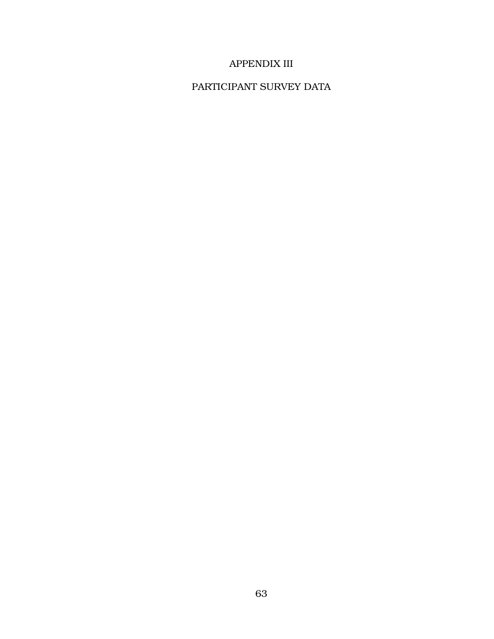## APPENDIX III

## PARTICIPANT SURVEY DATA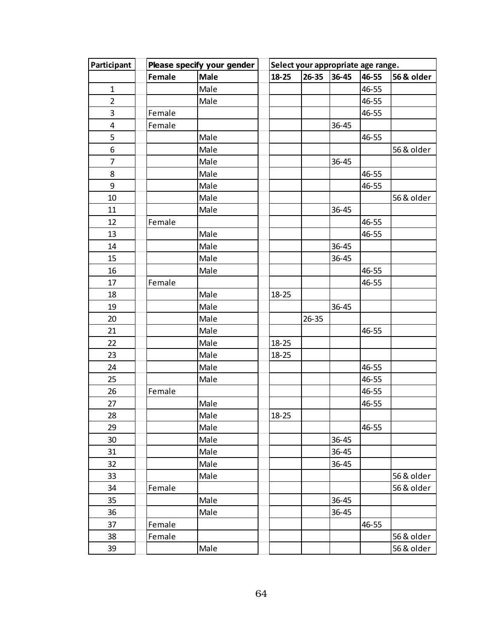| Please specify your gender<br>Participant |        |      | Select your appropriate age range. |           |           |           |            |  |
|-------------------------------------------|--------|------|------------------------------------|-----------|-----------|-----------|------------|--|
|                                           | Female | Male | 18-25                              | $26 - 35$ | 36-45     | 46-55     | 56 & older |  |
| $\mathbf{1}$                              |        | Male |                                    |           |           | 46-55     |            |  |
| $\overline{2}$                            |        | Male |                                    |           |           | 46-55     |            |  |
| 3                                         | Female |      |                                    |           |           | 46-55     |            |  |
| $\pmb{4}$                                 | Female |      |                                    |           | $36 - 45$ |           |            |  |
| 5                                         |        | Male |                                    |           |           | 46-55     |            |  |
| 6                                         |        | Male |                                    |           |           |           | 56 & older |  |
| 7                                         |        | Male |                                    |           | $36 - 45$ |           |            |  |
| 8                                         |        | Male |                                    |           |           | 46-55     |            |  |
| 9                                         |        | Male |                                    |           |           | 46-55     |            |  |
| 10                                        |        | Male |                                    |           |           |           | 56 & older |  |
| 11                                        |        | Male |                                    |           | $36 - 45$ |           |            |  |
| 12                                        | Female |      |                                    |           |           | $46 - 55$ |            |  |
| 13                                        |        | Male |                                    |           |           | 46-55     |            |  |
| 14                                        |        | Male |                                    |           | $36 - 45$ |           |            |  |
| 15                                        |        | Male |                                    |           | $36 - 45$ |           |            |  |
| 16                                        |        | Male |                                    |           |           | 46-55     |            |  |
| 17                                        | Female |      |                                    |           |           | 46-55     |            |  |
| 18                                        |        | Male | $18 - 25$                          |           |           |           |            |  |
| 19                                        |        | Male |                                    |           | $36 - 45$ |           |            |  |
| 20                                        |        | Male |                                    | $26 - 35$ |           |           |            |  |
| 21                                        |        | Male |                                    |           |           | 46-55     |            |  |
| 22                                        |        | Male | $18 - 25$                          |           |           |           |            |  |
| 23                                        |        | Male | $18 - 25$                          |           |           |           |            |  |
| 24                                        |        | Male |                                    |           |           | 46-55     |            |  |
| 25                                        |        | Male |                                    |           |           | 46-55     |            |  |
| 26                                        | Female |      |                                    |           |           | 46-55     |            |  |
| 27                                        |        | Male |                                    |           |           | 46-55     |            |  |
| 28                                        |        | Male | $18 - 25$                          |           |           |           |            |  |
| 29                                        |        | Male |                                    |           |           | 46-55     |            |  |
| 30                                        |        | Male |                                    |           | $36 - 45$ |           |            |  |
| 31                                        |        | Male |                                    |           | $36 - 45$ |           |            |  |
| 32                                        |        | Male |                                    |           | 36-45     |           |            |  |
| 33                                        |        | Male |                                    |           |           |           | 56 & older |  |
| 34                                        | Female |      |                                    |           |           |           | 56 & older |  |
| 35                                        |        | Male |                                    |           | $36 - 45$ |           |            |  |
| 36                                        |        | Male |                                    |           | 36-45     |           |            |  |
| 37                                        | Female |      |                                    |           |           | 46-55     |            |  |
| 38                                        | Female |      |                                    |           |           |           | 56 & older |  |
| 39                                        |        | Male |                                    |           |           |           | 56 & older |  |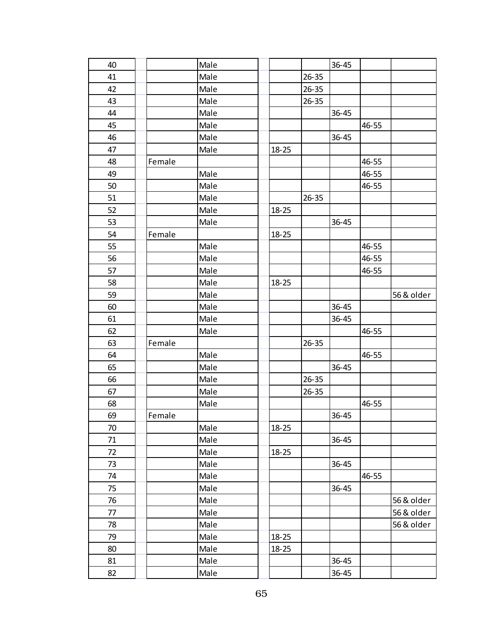| 40 |        | Male |           |           | $36 - 45$ |       |            |
|----|--------|------|-----------|-----------|-----------|-------|------------|
| 41 |        | Male |           | $26 - 35$ |           |       |            |
| 42 |        | Male |           | $26 - 35$ |           |       |            |
| 43 |        | Male |           | $26 - 35$ |           |       |            |
| 44 |        | Male |           |           | 36-45     |       |            |
| 45 |        | Male |           |           |           | 46-55 |            |
| 46 |        | Male |           |           | $36 - 45$ |       |            |
| 47 |        | Male | $18 - 25$ |           |           |       |            |
| 48 | Female |      |           |           |           | 46-55 |            |
| 49 |        | Male |           |           |           | 46-55 |            |
| 50 |        | Male |           |           |           | 46-55 |            |
| 51 |        | Male |           | $26 - 35$ |           |       |            |
| 52 |        | Male | $18 - 25$ |           |           |       |            |
| 53 |        | Male |           |           | 36-45     |       |            |
| 54 |        |      |           |           |           |       |            |
| 55 | Female | Male | $18 - 25$ |           |           |       |            |
|    |        |      |           |           |           | 46-55 |            |
| 56 |        | Male |           |           |           | 46-55 |            |
| 57 |        | Male |           |           |           | 46-55 |            |
| 58 |        | Male | 18-25     |           |           |       |            |
| 59 |        | Male |           |           |           |       | 56 & older |
| 60 |        | Male |           |           | $36 - 45$ |       |            |
| 61 |        | Male |           |           | 36-45     |       |            |
| 62 |        | Male |           |           |           | 46-55 |            |
| 63 | Female |      |           | $26 - 35$ |           |       |            |
| 64 |        | Male |           |           |           | 46-55 |            |
| 65 |        | Male |           |           | 36-45     |       |            |
| 66 |        | Male |           | $26 - 35$ |           |       |            |
| 67 |        | Male |           | $26 - 35$ |           |       |            |
| 68 |        | Male |           |           |           | 46-55 |            |
| 69 | Female |      |           |           | 36-45     |       |            |
| 70 |        | Male | $18 - 25$ |           |           |       |            |
| 71 |        | Male |           |           | 36-45     |       |            |
| 72 |        | Male | $18 - 25$ |           |           |       |            |
| 73 |        | Male |           |           | $36 - 45$ |       |            |
| 74 |        | Male |           |           |           | 46-55 |            |
| 75 |        | Male |           |           | 36-45     |       |            |
| 76 |        | Male |           |           |           |       | 56 & older |
| 77 |        | Male |           |           |           |       | 56 & older |
| 78 |        | Male |           |           |           |       | 56 & older |
| 79 |        | Male | $18 - 25$ |           |           |       |            |
| 80 |        | Male | $18 - 25$ |           |           |       |            |
| 81 |        | Male |           |           | $36 - 45$ |       |            |
| 82 |        | Male |           |           | $36 - 45$ |       |            |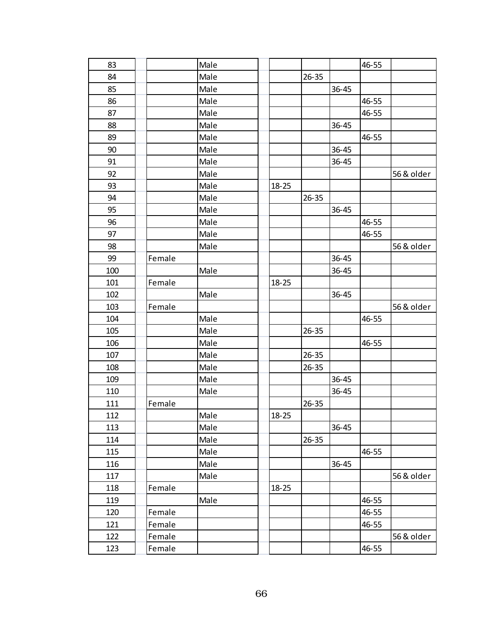| 83  |        | Male |           |           |           | 46-55 |            |
|-----|--------|------|-----------|-----------|-----------|-------|------------|
| 84  |        | Male |           | $26 - 35$ |           |       |            |
| 85  |        | Male |           |           | $36 - 45$ |       |            |
| 86  |        | Male |           |           |           | 46-55 |            |
| 87  |        | Male |           |           |           | 46-55 |            |
| 88  |        | Male |           |           | $36 - 45$ |       |            |
| 89  |        | Male |           |           |           | 46-55 |            |
| 90  |        | Male |           |           | $36 - 45$ |       |            |
| 91  |        | Male |           |           | 36-45     |       |            |
| 92  |        | Male |           |           |           |       | 56 & older |
| 93  |        | Male | $18 - 25$ |           |           |       |            |
| 94  |        | Male |           | $26 - 35$ |           |       |            |
| 95  |        | Male |           |           | $36 - 45$ |       |            |
| 96  |        | Male |           |           |           | 46-55 |            |
| 97  |        | Male |           |           |           | 46-55 |            |
| 98  |        | Male |           |           |           |       | 56 & older |
| 99  | Female |      |           |           | $36 - 45$ |       |            |
| 100 |        | Male |           |           | $36 - 45$ |       |            |
| 101 | Female |      | $18 - 25$ |           |           |       |            |
| 102 |        | Male |           |           | 36-45     |       |            |
| 103 | Female |      |           |           |           |       | 56 & older |
| 104 |        | Male |           |           |           | 46-55 |            |
| 105 |        | Male |           | $26 - 35$ |           |       |            |
| 106 |        | Male |           |           |           | 46-55 |            |
| 107 |        | Male |           | $26 - 35$ |           |       |            |
| 108 |        | Male |           | $26 - 35$ |           |       |            |
| 109 |        | Male |           |           | $36 - 45$ |       |            |
| 110 |        | Male |           |           | $36 - 45$ |       |            |
| 111 | Female |      |           | $26 - 35$ |           |       |            |
| 112 |        | Male | $18 - 25$ |           |           |       |            |
| 113 |        | Male |           |           | $36 - 45$ |       |            |
| 114 |        | Male |           | $26 - 35$ |           |       |            |
| 115 |        | Male |           |           |           | 46-55 |            |
| 116 |        | Male |           |           | $36 - 45$ |       |            |
| 117 |        | Male |           |           |           |       | 56 & older |
| 118 | Female |      | $18 - 25$ |           |           |       |            |
| 119 |        | Male |           |           |           | 46-55 |            |
| 120 | Female |      |           |           |           | 46-55 |            |
| 121 | Female |      |           |           |           | 46-55 |            |
| 122 | Female |      |           |           |           |       | 56 & older |
| 123 | Female |      |           |           |           | 46-55 |            |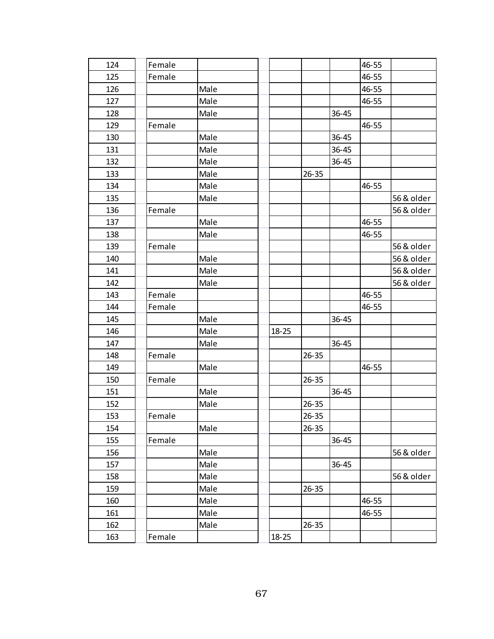| 124 | Female |      |           |           |           | 46-55 |            |
|-----|--------|------|-----------|-----------|-----------|-------|------------|
| 125 | Female |      |           |           |           | 46-55 |            |
| 126 |        | Male |           |           |           | 46-55 |            |
| 127 |        | Male |           |           |           | 46-55 |            |
| 128 |        | Male |           |           | 36-45     |       |            |
| 129 | Female |      |           |           |           | 46-55 |            |
| 130 |        | Male |           |           | 36-45     |       |            |
| 131 |        | Male |           |           | $36 - 45$ |       |            |
| 132 |        | Male |           |           | $36 - 45$ |       |            |
| 133 |        | Male |           | $26 - 35$ |           |       |            |
| 134 |        | Male |           |           |           | 46-55 |            |
| 135 |        | Male |           |           |           |       | 56 & older |
| 136 | Female |      |           |           |           |       | 56 & older |
| 137 |        | Male |           |           |           | 46-55 |            |
| 138 |        | Male |           |           |           | 46-55 |            |
| 139 | Female |      |           |           |           |       | 56 & older |
| 140 |        | Male |           |           |           |       | 56 & older |
| 141 |        | Male |           |           |           |       | 56 & older |
| 142 |        | Male |           |           |           |       | 56 & older |
| 143 | Female |      |           |           |           | 46-55 |            |
| 144 | Female |      |           |           |           | 46-55 |            |
| 145 |        | Male |           |           | $36 - 45$ |       |            |
| 146 |        | Male | $18 - 25$ |           |           |       |            |
| 147 |        | Male |           |           | $36 - 45$ |       |            |
| 148 | Female |      |           | $26 - 35$ |           |       |            |
| 149 |        | Male |           |           |           | 46-55 |            |
| 150 | Female |      |           | $26 - 35$ |           |       |            |
| 151 |        | Male |           |           | $36 - 45$ |       |            |
| 152 |        | Male |           | $26 - 35$ |           |       |            |
| 153 | Female |      |           | $26 - 35$ |           |       |            |
| 154 |        | Male |           | $26 - 35$ |           |       |            |
| 155 | Female |      |           |           | $36 - 45$ |       |            |
| 156 |        | Male |           |           |           |       | 56 & older |
| 157 |        | Male |           |           | $36 - 45$ |       |            |
| 158 |        | Male |           |           |           |       | 56 & older |
| 159 |        | Male |           | $26 - 35$ |           |       |            |
| 160 |        | Male |           |           |           | 46-55 |            |
| 161 |        | Male |           |           |           | 46-55 |            |
| 162 |        | Male |           | $26 - 35$ |           |       |            |
| 163 | Female |      | $18 - 25$ |           |           |       |            |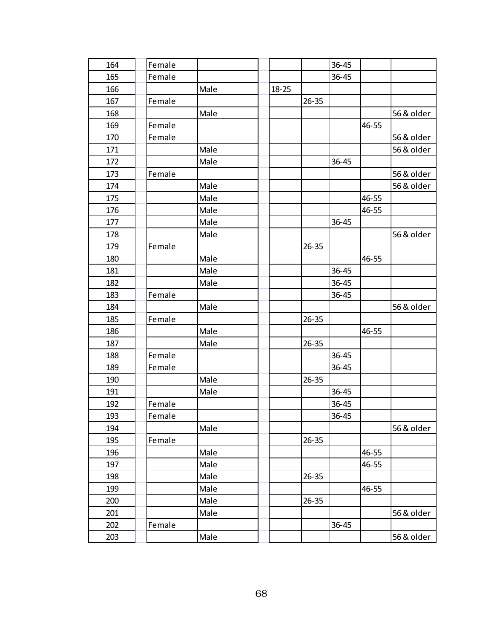| 164 | Female |      |           |           | 36-45     |       |            |
|-----|--------|------|-----------|-----------|-----------|-------|------------|
| 165 | Female |      |           |           | 36-45     |       |            |
| 166 |        | Male | $18 - 25$ |           |           |       |            |
| 167 | Female |      |           | $26 - 35$ |           |       |            |
| 168 |        | Male |           |           |           |       | 56 & older |
| 169 | Female |      |           |           |           | 46-55 |            |
| 170 | Female |      |           |           |           |       | 56 & older |
| 171 |        | Male |           |           |           |       | 56 & older |
| 172 |        | Male |           |           | $36 - 45$ |       |            |
| 173 | Female |      |           |           |           |       | 56 & older |
| 174 |        | Male |           |           |           |       | 56 & older |
| 175 |        | Male |           |           |           | 46-55 |            |
| 176 |        | Male |           |           |           | 46-55 |            |
| 177 |        | Male |           |           | 36-45     |       |            |
| 178 |        | Male |           |           |           |       | 56 & older |
| 179 | Female |      |           | $26 - 35$ |           |       |            |
| 180 |        | Male |           |           |           | 46-55 |            |
| 181 |        | Male |           |           | $36 - 45$ |       |            |
| 182 |        | Male |           |           | $36 - 45$ |       |            |
| 183 | Female |      |           |           | 36-45     |       |            |
| 184 |        | Male |           |           |           |       | 56 & older |
| 185 | Female |      |           | $26 - 35$ |           |       |            |
| 186 |        | Male |           |           |           | 46-55 |            |
| 187 |        | Male |           | $26 - 35$ |           |       |            |
| 188 | Female |      |           |           | 36-45     |       |            |
| 189 | Female |      |           |           | 36-45     |       |            |
| 190 |        | Male |           | $26 - 35$ |           |       |            |
| 191 |        | Male |           |           | 36-45     |       |            |
| 192 | Female |      |           |           | $36 - 45$ |       |            |
| 193 | Female |      |           |           | 36-45     |       |            |
| 194 |        | Male |           |           |           |       | 56 & older |
| 195 | Female |      |           | $26 - 35$ |           |       |            |
| 196 |        | Male |           |           |           | 46-55 |            |
| 197 |        | Male |           |           |           | 46-55 |            |
| 198 |        | Male |           | $26 - 35$ |           |       |            |
| 199 |        | Male |           |           |           | 46-55 |            |
| 200 |        | Male |           | $26 - 35$ |           |       |            |
| 201 |        | Male |           |           |           |       | 56 & older |
| 202 | Female |      |           |           | 36-45     |       |            |
| 203 |        | Male |           |           |           |       | 56 & older |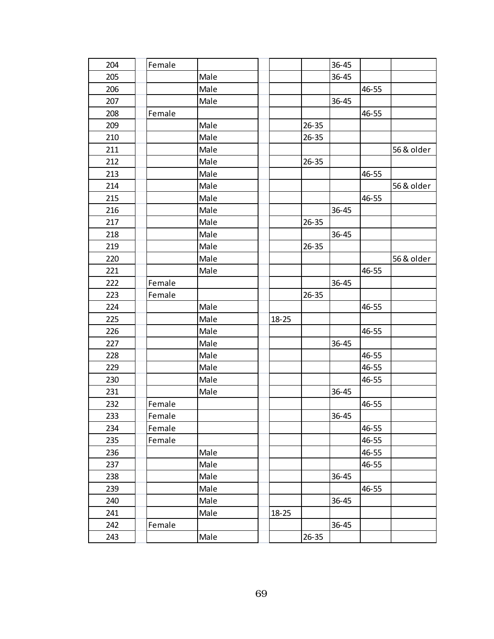| 204 | Female |      |           |           | 36-45     |       |            |
|-----|--------|------|-----------|-----------|-----------|-------|------------|
| 205 |        | Male |           |           | 36-45     |       |            |
| 206 |        | Male |           |           |           | 46-55 |            |
| 207 |        | Male |           |           | 36-45     |       |            |
| 208 | Female |      |           |           |           | 46-55 |            |
| 209 |        | Male |           | $26 - 35$ |           |       |            |
| 210 |        | Male |           | $26 - 35$ |           |       |            |
| 211 |        | Male |           |           |           |       | 56 & older |
| 212 |        | Male |           | $26 - 35$ |           |       |            |
| 213 |        | Male |           |           |           | 46-55 |            |
| 214 |        | Male |           |           |           |       | 56 & older |
| 215 |        | Male |           |           |           | 46-55 |            |
| 216 |        | Male |           |           | $36 - 45$ |       |            |
| 217 |        | Male |           | $26 - 35$ |           |       |            |
| 218 |        | Male |           |           | $36 - 45$ |       |            |
| 219 |        | Male |           | $26 - 35$ |           |       |            |
| 220 |        | Male |           |           |           |       | 56 & older |
| 221 |        | Male |           |           |           | 46-55 |            |
| 222 | Female |      |           |           | 36-45     |       |            |
| 223 | Female |      |           | $26 - 35$ |           |       |            |
| 224 |        | Male |           |           |           | 46-55 |            |
| 225 |        | Male | $18 - 25$ |           |           |       |            |
| 226 |        | Male |           |           |           | 46-55 |            |
| 227 |        | Male |           |           | $36 - 45$ |       |            |
| 228 |        | Male |           |           |           | 46-55 |            |
| 229 |        | Male |           |           |           | 46-55 |            |
| 230 |        | Male |           |           |           | 46-55 |            |
| 231 |        | Male |           |           | $36 - 45$ |       |            |
| 232 | Female |      |           |           |           | 46-55 |            |
| 233 | Female |      |           |           | 36-45     |       |            |
| 234 | Female |      |           |           |           | 46-55 |            |
| 235 | Female |      |           |           |           | 46-55 |            |
| 236 |        | Male |           |           |           | 46-55 |            |
| 237 |        | Male |           |           |           | 46-55 |            |
| 238 |        | Male |           |           | $36 - 45$ |       |            |
| 239 |        | Male |           |           |           | 46-55 |            |
| 240 |        | Male |           |           | 36-45     |       |            |
| 241 |        | Male | $18 - 25$ |           |           |       |            |
| 242 | Female |      |           |           | 36-45     |       |            |
| 243 |        | Male |           | $26 - 35$ |           |       |            |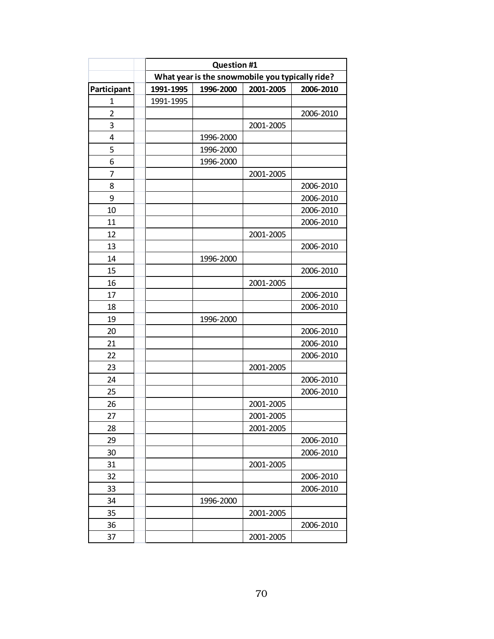|                | <b>Question #1</b> |                                                 |           |           |  |  |  |
|----------------|--------------------|-------------------------------------------------|-----------|-----------|--|--|--|
|                |                    | What year is the snowmobile you typically ride? |           |           |  |  |  |
| Participant    | 1991-1995          | 1996-2000                                       | 2001-2005 | 2006-2010 |  |  |  |
| 1              | 1991-1995          |                                                 |           |           |  |  |  |
| $\overline{2}$ |                    |                                                 |           | 2006-2010 |  |  |  |
| 3              |                    |                                                 | 2001-2005 |           |  |  |  |
| $\overline{4}$ |                    | 1996-2000                                       |           |           |  |  |  |
| 5              |                    | 1996-2000                                       |           |           |  |  |  |
| 6              |                    | 1996-2000                                       |           |           |  |  |  |
| 7              |                    |                                                 | 2001-2005 |           |  |  |  |
| 8              |                    |                                                 |           | 2006-2010 |  |  |  |
| 9              |                    |                                                 |           | 2006-2010 |  |  |  |
| 10             |                    |                                                 |           | 2006-2010 |  |  |  |
| 11             |                    |                                                 |           | 2006-2010 |  |  |  |
| 12             |                    |                                                 | 2001-2005 |           |  |  |  |
| 13             |                    |                                                 |           | 2006-2010 |  |  |  |
| 14             |                    | 1996-2000                                       |           |           |  |  |  |
| 15             |                    |                                                 |           | 2006-2010 |  |  |  |
| 16             |                    |                                                 | 2001-2005 |           |  |  |  |
| 17             |                    |                                                 |           | 2006-2010 |  |  |  |
| 18             |                    |                                                 |           | 2006-2010 |  |  |  |
| 19             |                    | 1996-2000                                       |           |           |  |  |  |
| 20             |                    |                                                 |           | 2006-2010 |  |  |  |
| 21             |                    |                                                 |           | 2006-2010 |  |  |  |
| 22             |                    |                                                 |           | 2006-2010 |  |  |  |
| 23             |                    |                                                 | 2001-2005 |           |  |  |  |
| 24             |                    |                                                 |           | 2006-2010 |  |  |  |
| 25             |                    |                                                 |           | 2006-2010 |  |  |  |
| 26             |                    |                                                 | 2001-2005 |           |  |  |  |
| 27             |                    |                                                 | 2001-2005 |           |  |  |  |
| 28             |                    |                                                 | 2001-2005 |           |  |  |  |
| 29             |                    |                                                 |           | 2006-2010 |  |  |  |
| 30             |                    |                                                 |           | 2006-2010 |  |  |  |
| 31             |                    |                                                 | 2001-2005 |           |  |  |  |
| 32             |                    |                                                 |           | 2006-2010 |  |  |  |
| 33             |                    |                                                 |           | 2006-2010 |  |  |  |
| 34             |                    | 1996-2000                                       |           |           |  |  |  |
| 35             |                    |                                                 | 2001-2005 |           |  |  |  |
| 36             |                    |                                                 |           | 2006-2010 |  |  |  |
| 37             |                    |                                                 | 2001-2005 |           |  |  |  |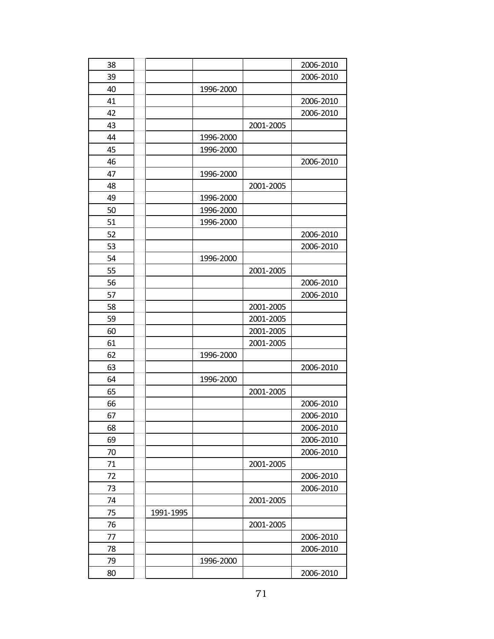| 38 |           |           |           | 2006-2010 |
|----|-----------|-----------|-----------|-----------|
| 39 |           |           |           | 2006-2010 |
| 40 |           | 1996-2000 |           |           |
| 41 |           |           |           | 2006-2010 |
| 42 |           |           |           | 2006-2010 |
| 43 |           |           | 2001-2005 |           |
| 44 |           | 1996-2000 |           |           |
| 45 |           | 1996-2000 |           |           |
| 46 |           |           |           | 2006-2010 |
| 47 |           | 1996-2000 |           |           |
| 48 |           |           | 2001-2005 |           |
| 49 |           | 1996-2000 |           |           |
| 50 |           | 1996-2000 |           |           |
| 51 |           | 1996-2000 |           |           |
| 52 |           |           |           | 2006-2010 |
| 53 |           |           |           | 2006-2010 |
| 54 |           | 1996-2000 |           |           |
| 55 |           |           | 2001-2005 |           |
| 56 |           |           |           | 2006-2010 |
| 57 |           |           |           | 2006-2010 |
| 58 |           |           | 2001-2005 |           |
| 59 |           |           | 2001-2005 |           |
| 60 |           |           | 2001-2005 |           |
| 61 |           |           | 2001-2005 |           |
| 62 |           | 1996-2000 |           |           |
| 63 |           |           |           | 2006-2010 |
| 64 |           | 1996-2000 |           |           |
| 65 |           |           | 2001-2005 |           |
| 66 |           |           |           | 2006-2010 |
| 67 |           |           |           | 2006-2010 |
| 68 |           |           |           | 2006-2010 |
| 69 |           |           |           | 2006-2010 |
| 70 |           |           |           | 2006-2010 |
| 71 |           |           | 2001-2005 |           |
| 72 |           |           |           | 2006-2010 |
| 73 |           |           |           | 2006-2010 |
| 74 |           |           | 2001-2005 |           |
| 75 | 1991-1995 |           |           |           |
| 76 |           |           | 2001-2005 |           |
| 77 |           |           |           | 2006-2010 |
| 78 |           |           |           | 2006-2010 |
| 79 |           | 1996-2000 |           |           |
| 80 |           |           |           | 2006-2010 |
|    |           |           |           |           |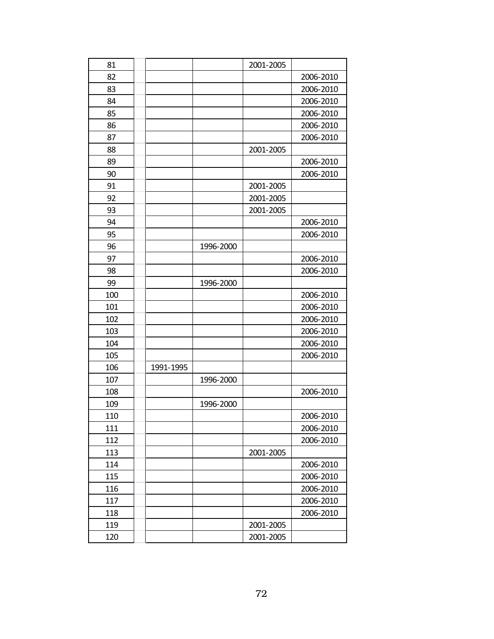| 81<br>2001-2005<br>82<br>2006-2010<br>83<br>2006-2010<br>84<br>2006-2010<br>85<br>2006-2010<br>86<br>2006-2010<br>87<br>2006-2010<br>88<br>2001-2005<br>89<br>2006-2010<br>90<br>2006-2010<br>91<br>2001-2005<br>92<br>2001-2005<br>93<br>2001-2005<br>94<br>2006-2010<br>95<br>2006-2010<br>96<br>1996-2000<br>97<br>2006-2010<br>98<br>2006-2010<br>99<br>1996-2000<br>100<br>2006-2010<br>101<br>2006-2010<br>102<br>2006-2010<br>103<br>2006-2010<br>104<br>2006-2010<br>105<br>2006-2010<br>106<br>1991-1995<br>107<br>1996-2000<br>108<br>2006-2010<br>109<br>1996-2000<br>110<br>2006-2010<br>111<br>2006-2010<br>112<br>2006-2010<br>113<br>2001-2005<br>114<br>2006-2010<br>115<br>2006-2010<br>116<br>2006-2010<br>117<br>2006-2010<br>118<br>2006-2010<br>119<br>2001-2005<br>120<br>2001-2005 |  |  |  |
|-----------------------------------------------------------------------------------------------------------------------------------------------------------------------------------------------------------------------------------------------------------------------------------------------------------------------------------------------------------------------------------------------------------------------------------------------------------------------------------------------------------------------------------------------------------------------------------------------------------------------------------------------------------------------------------------------------------------------------------------------------------------------------------------------------------|--|--|--|
|                                                                                                                                                                                                                                                                                                                                                                                                                                                                                                                                                                                                                                                                                                                                                                                                           |  |  |  |
|                                                                                                                                                                                                                                                                                                                                                                                                                                                                                                                                                                                                                                                                                                                                                                                                           |  |  |  |
|                                                                                                                                                                                                                                                                                                                                                                                                                                                                                                                                                                                                                                                                                                                                                                                                           |  |  |  |
|                                                                                                                                                                                                                                                                                                                                                                                                                                                                                                                                                                                                                                                                                                                                                                                                           |  |  |  |
|                                                                                                                                                                                                                                                                                                                                                                                                                                                                                                                                                                                                                                                                                                                                                                                                           |  |  |  |
|                                                                                                                                                                                                                                                                                                                                                                                                                                                                                                                                                                                                                                                                                                                                                                                                           |  |  |  |
|                                                                                                                                                                                                                                                                                                                                                                                                                                                                                                                                                                                                                                                                                                                                                                                                           |  |  |  |
|                                                                                                                                                                                                                                                                                                                                                                                                                                                                                                                                                                                                                                                                                                                                                                                                           |  |  |  |
|                                                                                                                                                                                                                                                                                                                                                                                                                                                                                                                                                                                                                                                                                                                                                                                                           |  |  |  |
|                                                                                                                                                                                                                                                                                                                                                                                                                                                                                                                                                                                                                                                                                                                                                                                                           |  |  |  |
|                                                                                                                                                                                                                                                                                                                                                                                                                                                                                                                                                                                                                                                                                                                                                                                                           |  |  |  |
|                                                                                                                                                                                                                                                                                                                                                                                                                                                                                                                                                                                                                                                                                                                                                                                                           |  |  |  |
|                                                                                                                                                                                                                                                                                                                                                                                                                                                                                                                                                                                                                                                                                                                                                                                                           |  |  |  |
|                                                                                                                                                                                                                                                                                                                                                                                                                                                                                                                                                                                                                                                                                                                                                                                                           |  |  |  |
|                                                                                                                                                                                                                                                                                                                                                                                                                                                                                                                                                                                                                                                                                                                                                                                                           |  |  |  |
|                                                                                                                                                                                                                                                                                                                                                                                                                                                                                                                                                                                                                                                                                                                                                                                                           |  |  |  |
|                                                                                                                                                                                                                                                                                                                                                                                                                                                                                                                                                                                                                                                                                                                                                                                                           |  |  |  |
|                                                                                                                                                                                                                                                                                                                                                                                                                                                                                                                                                                                                                                                                                                                                                                                                           |  |  |  |
|                                                                                                                                                                                                                                                                                                                                                                                                                                                                                                                                                                                                                                                                                                                                                                                                           |  |  |  |
|                                                                                                                                                                                                                                                                                                                                                                                                                                                                                                                                                                                                                                                                                                                                                                                                           |  |  |  |
|                                                                                                                                                                                                                                                                                                                                                                                                                                                                                                                                                                                                                                                                                                                                                                                                           |  |  |  |
|                                                                                                                                                                                                                                                                                                                                                                                                                                                                                                                                                                                                                                                                                                                                                                                                           |  |  |  |
|                                                                                                                                                                                                                                                                                                                                                                                                                                                                                                                                                                                                                                                                                                                                                                                                           |  |  |  |
|                                                                                                                                                                                                                                                                                                                                                                                                                                                                                                                                                                                                                                                                                                                                                                                                           |  |  |  |
|                                                                                                                                                                                                                                                                                                                                                                                                                                                                                                                                                                                                                                                                                                                                                                                                           |  |  |  |
|                                                                                                                                                                                                                                                                                                                                                                                                                                                                                                                                                                                                                                                                                                                                                                                                           |  |  |  |
|                                                                                                                                                                                                                                                                                                                                                                                                                                                                                                                                                                                                                                                                                                                                                                                                           |  |  |  |
|                                                                                                                                                                                                                                                                                                                                                                                                                                                                                                                                                                                                                                                                                                                                                                                                           |  |  |  |
|                                                                                                                                                                                                                                                                                                                                                                                                                                                                                                                                                                                                                                                                                                                                                                                                           |  |  |  |
|                                                                                                                                                                                                                                                                                                                                                                                                                                                                                                                                                                                                                                                                                                                                                                                                           |  |  |  |
|                                                                                                                                                                                                                                                                                                                                                                                                                                                                                                                                                                                                                                                                                                                                                                                                           |  |  |  |
|                                                                                                                                                                                                                                                                                                                                                                                                                                                                                                                                                                                                                                                                                                                                                                                                           |  |  |  |
|                                                                                                                                                                                                                                                                                                                                                                                                                                                                                                                                                                                                                                                                                                                                                                                                           |  |  |  |
|                                                                                                                                                                                                                                                                                                                                                                                                                                                                                                                                                                                                                                                                                                                                                                                                           |  |  |  |
|                                                                                                                                                                                                                                                                                                                                                                                                                                                                                                                                                                                                                                                                                                                                                                                                           |  |  |  |
|                                                                                                                                                                                                                                                                                                                                                                                                                                                                                                                                                                                                                                                                                                                                                                                                           |  |  |  |
|                                                                                                                                                                                                                                                                                                                                                                                                                                                                                                                                                                                                                                                                                                                                                                                                           |  |  |  |
|                                                                                                                                                                                                                                                                                                                                                                                                                                                                                                                                                                                                                                                                                                                                                                                                           |  |  |  |
|                                                                                                                                                                                                                                                                                                                                                                                                                                                                                                                                                                                                                                                                                                                                                                                                           |  |  |  |
|                                                                                                                                                                                                                                                                                                                                                                                                                                                                                                                                                                                                                                                                                                                                                                                                           |  |  |  |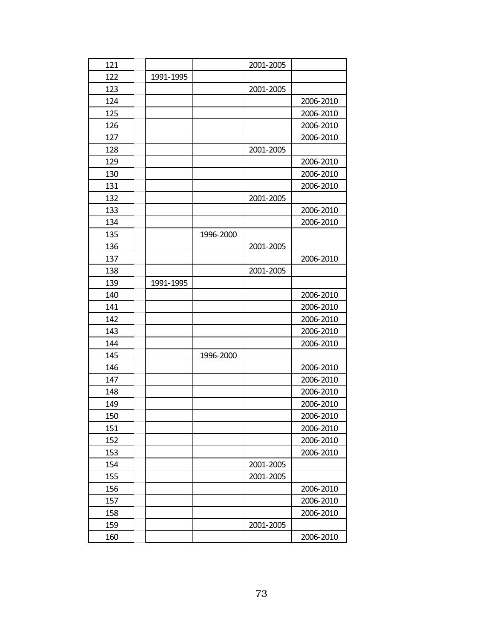| 121 |           |           | 2001-2005 |           |
|-----|-----------|-----------|-----------|-----------|
| 122 | 1991-1995 |           |           |           |
| 123 |           |           | 2001-2005 |           |
| 124 |           |           |           | 2006-2010 |
| 125 |           |           |           | 2006-2010 |
| 126 |           |           |           | 2006-2010 |
| 127 |           |           |           | 2006-2010 |
| 128 |           |           | 2001-2005 |           |
| 129 |           |           |           | 2006-2010 |
| 130 |           |           |           | 2006-2010 |
| 131 |           |           |           | 2006-2010 |
| 132 |           |           | 2001-2005 |           |
| 133 |           |           |           | 2006-2010 |
| 134 |           |           |           | 2006-2010 |
| 135 |           | 1996-2000 |           |           |
| 136 |           |           | 2001-2005 |           |
| 137 |           |           |           | 2006-2010 |
| 138 |           |           | 2001-2005 |           |
| 139 | 1991-1995 |           |           |           |
| 140 |           |           |           | 2006-2010 |
| 141 |           |           |           | 2006-2010 |
| 142 |           |           |           | 2006-2010 |
| 143 |           |           |           | 2006-2010 |
| 144 |           |           |           | 2006-2010 |
| 145 |           | 1996-2000 |           |           |
| 146 |           |           |           | 2006-2010 |
| 147 |           |           |           | 2006-2010 |
| 148 |           |           |           | 2006-2010 |
| 149 |           |           |           | 2006-2010 |
| 150 |           |           |           | 2006-2010 |
| 151 |           |           |           | 2006-2010 |
| 152 |           |           |           | 2006-2010 |
| 153 |           |           |           | 2006-2010 |
| 154 |           |           | 2001-2005 |           |
| 155 |           |           | 2001-2005 |           |
| 156 |           |           |           | 2006-2010 |
| 157 |           |           |           | 2006-2010 |
| 158 |           |           |           | 2006-2010 |
| 159 |           |           | 2001-2005 |           |
| 160 |           |           |           | 2006-2010 |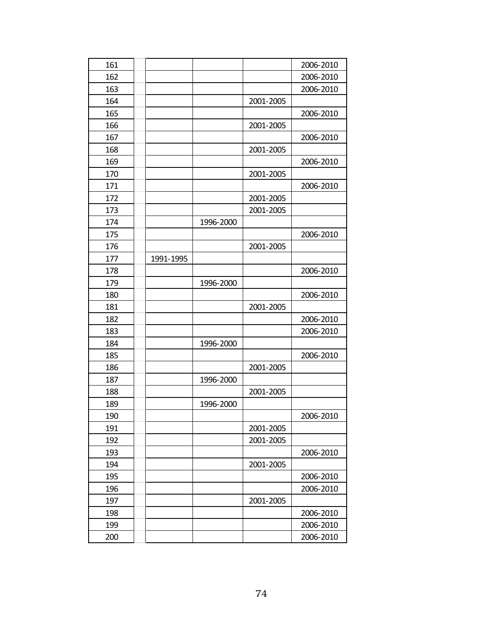| 161 |           |           |           | 2006-2010 |
|-----|-----------|-----------|-----------|-----------|
| 162 |           |           |           | 2006-2010 |
| 163 |           |           |           | 2006-2010 |
| 164 |           |           | 2001-2005 |           |
| 165 |           |           |           | 2006-2010 |
| 166 |           |           | 2001-2005 |           |
| 167 |           |           |           | 2006-2010 |
| 168 |           |           | 2001-2005 |           |
| 169 |           |           |           | 2006-2010 |
| 170 |           |           | 2001-2005 |           |
| 171 |           |           |           | 2006-2010 |
| 172 |           |           | 2001-2005 |           |
| 173 |           |           | 2001-2005 |           |
| 174 |           | 1996-2000 |           |           |
| 175 |           |           |           | 2006-2010 |
| 176 |           |           | 2001-2005 |           |
| 177 | 1991-1995 |           |           |           |
| 178 |           |           |           | 2006-2010 |
| 179 |           | 1996-2000 |           |           |
| 180 |           |           |           | 2006-2010 |
| 181 |           |           | 2001-2005 |           |
| 182 |           |           |           | 2006-2010 |
| 183 |           |           |           | 2006-2010 |
| 184 |           | 1996-2000 |           |           |
| 185 |           |           |           | 2006-2010 |
| 186 |           |           | 2001-2005 |           |
| 187 |           | 1996-2000 |           |           |
| 188 |           |           | 2001-2005 |           |
| 189 |           | 1996-2000 |           |           |
| 190 |           |           |           | 2006-2010 |
| 191 |           |           | 2001-2005 |           |
| 192 |           |           | 2001-2005 |           |
| 193 |           |           |           | 2006-2010 |
| 194 |           |           | 2001-2005 |           |
| 195 |           |           |           | 2006-2010 |
| 196 |           |           |           | 2006-2010 |
| 197 |           |           | 2001-2005 |           |
| 198 |           |           |           | 2006-2010 |
| 199 |           |           |           | 2006-2010 |
| 200 |           |           |           | 2006-2010 |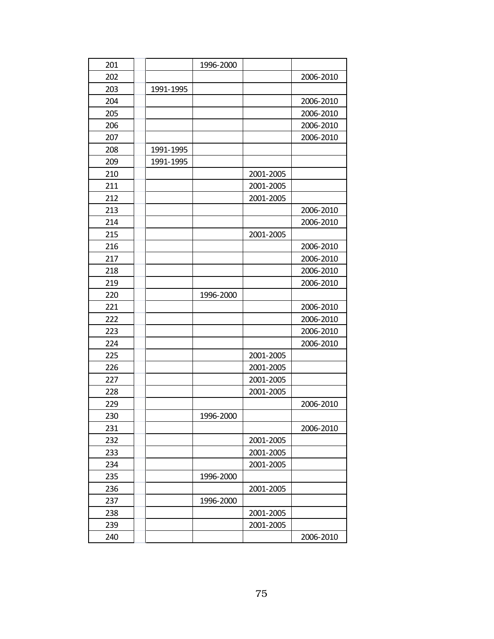| 201 |           | 1996-2000 |           |           |
|-----|-----------|-----------|-----------|-----------|
| 202 |           |           |           | 2006-2010 |
| 203 | 1991-1995 |           |           |           |
| 204 |           |           |           | 2006-2010 |
| 205 |           |           |           | 2006-2010 |
| 206 |           |           |           | 2006-2010 |
| 207 |           |           |           | 2006-2010 |
| 208 | 1991-1995 |           |           |           |
| 209 | 1991-1995 |           |           |           |
| 210 |           |           | 2001-2005 |           |
| 211 |           |           | 2001-2005 |           |
| 212 |           |           | 2001-2005 |           |
| 213 |           |           |           | 2006-2010 |
| 214 |           |           |           | 2006-2010 |
| 215 |           |           | 2001-2005 |           |
| 216 |           |           |           | 2006-2010 |
| 217 |           |           |           | 2006-2010 |
| 218 |           |           |           | 2006-2010 |
| 219 |           |           |           | 2006-2010 |
| 220 |           | 1996-2000 |           |           |
| 221 |           |           |           | 2006-2010 |
| 222 |           |           |           | 2006-2010 |
| 223 |           |           |           | 2006-2010 |
| 224 |           |           |           | 2006-2010 |
| 225 |           |           | 2001-2005 |           |
| 226 |           |           | 2001-2005 |           |
| 227 |           |           | 2001-2005 |           |
| 228 |           |           | 2001-2005 |           |
| 229 |           |           |           | 2006-2010 |
| 230 |           | 1996-2000 |           |           |
| 231 |           |           |           | 2006-2010 |
| 232 |           |           | 2001-2005 |           |
| 233 |           |           | 2001-2005 |           |
| 234 |           |           | 2001-2005 |           |
| 235 |           | 1996-2000 |           |           |
| 236 |           |           | 2001-2005 |           |
| 237 |           | 1996-2000 |           |           |
| 238 |           |           | 2001-2005 |           |
| 239 |           |           | 2001-2005 |           |
| 240 |           |           |           | 2006-2010 |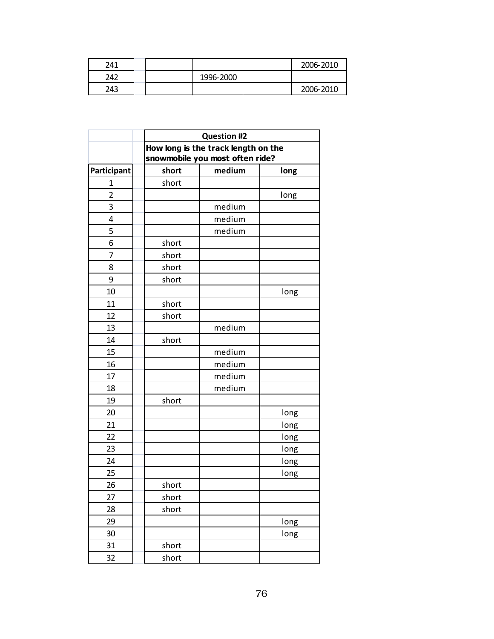| 241 |  |           | 2006-2010 |
|-----|--|-----------|-----------|
| 242 |  | 1996-2000 |           |
| 243 |  |           | 2006-2010 |

|                |       | <b>Question #2</b>                                                     |      |
|----------------|-------|------------------------------------------------------------------------|------|
|                |       | How long is the track length on the<br>snowmobile you most often ride? |      |
| Participant    | short | medium                                                                 | long |
| 1              | short |                                                                        |      |
| $\overline{2}$ |       |                                                                        | long |
| 3              |       | medium                                                                 |      |
| $\overline{4}$ |       | medium                                                                 |      |
| 5              |       | medium                                                                 |      |
| 6              | short |                                                                        |      |
| 7              | short |                                                                        |      |
| 8              | short |                                                                        |      |
| 9              | short |                                                                        |      |
| 10             |       |                                                                        | long |
| 11             | short |                                                                        |      |
| 12             | short |                                                                        |      |
| 13             |       | medium                                                                 |      |
| 14             | short |                                                                        |      |
| 15             |       | medium                                                                 |      |
| 16             |       | medium                                                                 |      |
| 17             |       | medium                                                                 |      |
| 18             |       | medium                                                                 |      |
| 19             | short |                                                                        |      |
| 20             |       |                                                                        | long |
| 21             |       |                                                                        | long |
| 22             |       |                                                                        | long |
| 23             |       |                                                                        | long |
| 24             |       |                                                                        | long |
| 25             |       |                                                                        | long |
| 26             | short |                                                                        |      |
| 27             | short |                                                                        |      |
| 28             | short |                                                                        |      |
| 29             |       |                                                                        | long |
| 30             |       |                                                                        | long |
| 31             | short |                                                                        |      |
| 32             | short |                                                                        |      |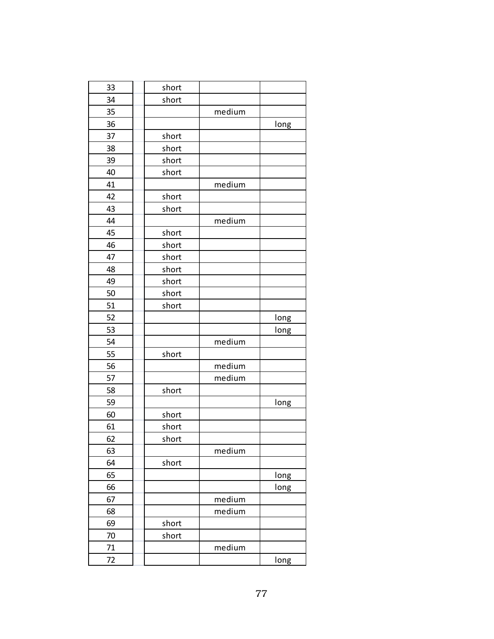| 33 | short |        |      |
|----|-------|--------|------|
| 34 | short |        |      |
| 35 |       | medium |      |
| 36 |       |        | long |
| 37 | short |        |      |
| 38 | short |        |      |
| 39 | short |        |      |
| 40 | short |        |      |
| 41 |       | medium |      |
| 42 | short |        |      |
| 43 | short |        |      |
| 44 |       | medium |      |
| 45 | short |        |      |
| 46 | short |        |      |
| 47 | short |        |      |
| 48 | short |        |      |
| 49 | short |        |      |
| 50 | short |        |      |
| 51 | short |        |      |
| 52 |       |        | long |
| 53 |       |        | long |
| 54 |       | medium |      |
| 55 | short |        |      |
| 56 |       | medium |      |
| 57 |       | medium |      |
| 58 | short |        |      |
| 59 |       |        | long |
| 60 | short |        |      |
| 61 | short |        |      |
| 62 | short |        |      |
| 63 |       | medium |      |
| 64 | short |        |      |
| 65 |       |        | long |
| 66 |       |        | long |
| 67 |       | medium |      |
| 68 |       | medium |      |
| 69 | short |        |      |
| 70 | short |        |      |
| 71 |       | medium |      |
| 72 |       |        | long |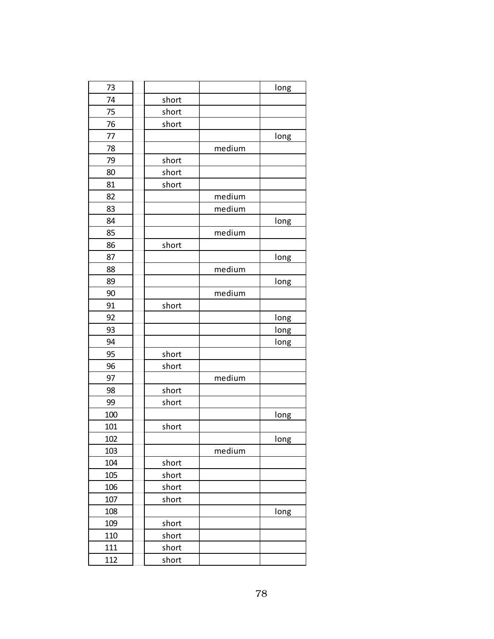| 73  |       |        | long |
|-----|-------|--------|------|
| 74  | short |        |      |
| 75  | short |        |      |
| 76  | short |        |      |
| 77  |       |        | long |
| 78  |       | medium |      |
| 79  | short |        |      |
| 80  | short |        |      |
| 81  | short |        |      |
| 82  |       | medium |      |
| 83  |       | medium |      |
| 84  |       |        | long |
| 85  |       | medium |      |
| 86  | short |        |      |
| 87  |       |        | long |
| 88  |       | medium |      |
| 89  |       |        | long |
| 90  |       | medium |      |
| 91  | short |        |      |
| 92  |       |        | long |
| 93  |       |        | long |
| 94  |       |        | long |
| 95  | short |        |      |
| 96  | short |        |      |
| 97  |       | medium |      |
| 98  | short |        |      |
| 99  | short |        |      |
| 100 |       |        | long |
| 101 | short |        |      |
| 102 |       |        | long |
| 103 |       | medium |      |
| 104 | short |        |      |
| 105 | short |        |      |
| 106 | short |        |      |
| 107 | short |        |      |
| 108 |       |        | long |
| 109 | short |        |      |
| 110 | short |        |      |
| 111 | short |        |      |
| 112 | short |        |      |
|     |       |        |      |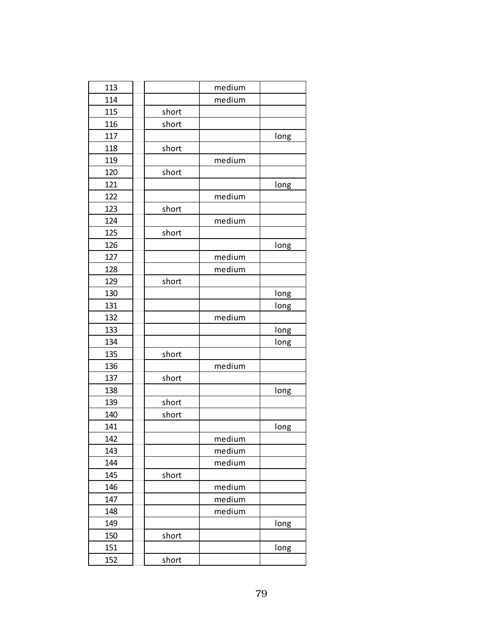| 113 |       | medium |      |
|-----|-------|--------|------|
| 114 |       | medium |      |
| 115 | short |        |      |
| 116 | short |        |      |
| 117 |       |        | long |
| 118 | short |        |      |
| 119 |       | medium |      |
| 120 | short |        |      |
| 121 |       |        | long |
| 122 |       | medium |      |
| 123 | short |        |      |
| 124 |       | medium |      |
| 125 | short |        |      |
| 126 |       |        | long |
| 127 |       | medium |      |
| 128 |       | medium |      |
| 129 | short |        |      |
| 130 |       |        | long |
| 131 |       |        | long |
| 132 |       | medium |      |
| 133 |       |        | long |
| 134 |       |        | long |
| 135 | short |        |      |
| 136 |       | medium |      |
| 137 | short |        |      |
| 138 |       |        | long |
| 139 | short |        |      |
| 140 | short |        |      |
| 141 |       |        | long |
| 142 |       | medium |      |
| 143 |       | medium |      |
| 144 |       | medium |      |
| 145 | short |        |      |
| 146 |       | medium |      |
| 147 |       | medium |      |
| 148 |       | medium |      |
| 149 |       |        | long |
| 150 | short |        |      |
| 151 |       |        | long |
| 152 | short |        |      |
|     |       |        |      |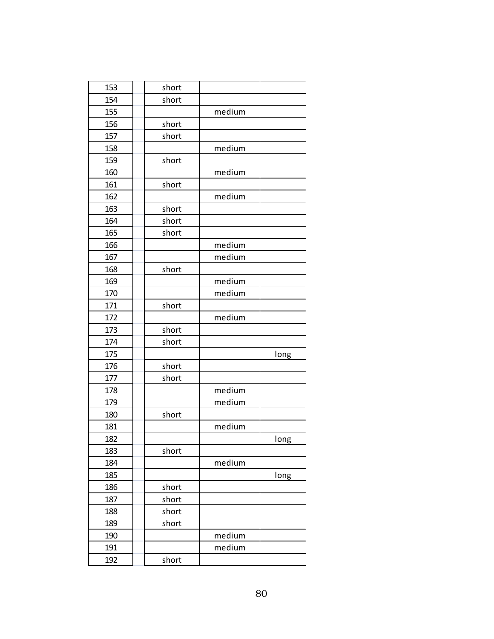| 153 | short |        |      |
|-----|-------|--------|------|
| 154 | short |        |      |
| 155 |       | medium |      |
| 156 | short |        |      |
| 157 | short |        |      |
| 158 |       | medium |      |
| 159 | short |        |      |
| 160 |       | medium |      |
| 161 | short |        |      |
| 162 |       | medium |      |
| 163 | short |        |      |
| 164 | short |        |      |
| 165 | short |        |      |
| 166 |       | medium |      |
| 167 |       | medium |      |
| 168 | short |        |      |
| 169 |       | medium |      |
| 170 |       | medium |      |
| 171 | short |        |      |
| 172 |       | medium |      |
| 173 | short |        |      |
| 174 | short |        |      |
| 175 |       |        | long |
| 176 | short |        |      |
| 177 | short |        |      |
| 178 |       | medium |      |
| 179 |       | medium |      |
| 180 | short |        |      |
| 181 |       | medium |      |
| 182 |       |        | long |
| 183 | short |        |      |
| 184 |       | medium |      |
| 185 |       |        | long |
| 186 | short |        |      |
| 187 | short |        |      |
| 188 | short |        |      |
| 189 | short |        |      |
| 190 |       | medium |      |
| 191 |       | medium |      |
| 192 | short |        |      |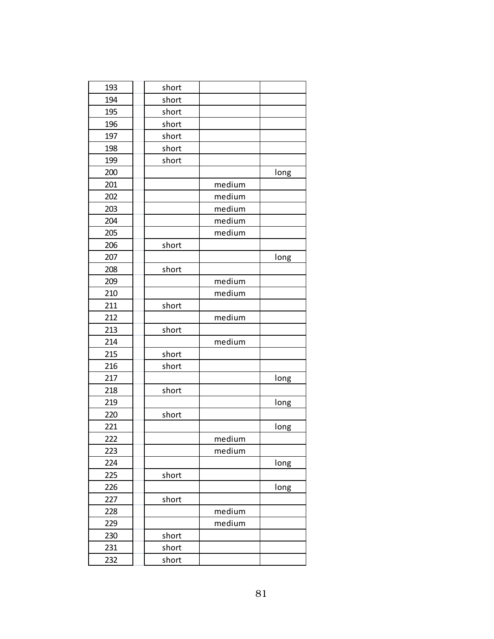| 193 | short |        |      |
|-----|-------|--------|------|
| 194 | short |        |      |
| 195 | short |        |      |
| 196 | short |        |      |
| 197 | short |        |      |
| 198 | short |        |      |
| 199 | short |        |      |
| 200 |       |        | long |
| 201 |       | medium |      |
| 202 |       | medium |      |
| 203 |       | medium |      |
| 204 |       | medium |      |
| 205 |       | medium |      |
| 206 | short |        |      |
| 207 |       |        | long |
| 208 | short |        |      |
| 209 |       | medium |      |
| 210 |       | medium |      |
| 211 | short |        |      |
| 212 |       | medium |      |
| 213 | short |        |      |
| 214 |       | medium |      |
| 215 | short |        |      |
| 216 | short |        |      |
| 217 |       |        | long |
| 218 | short |        |      |
| 219 |       |        | long |
| 220 | short |        |      |
| 221 |       |        | long |
| 222 |       | medium |      |
| 223 |       | medium |      |
| 224 |       |        | long |
| 225 | short |        |      |
| 226 |       |        | long |
| 227 | short |        |      |
| 228 |       | medium |      |
| 229 |       | medium |      |
| 230 | short |        |      |
| 231 | short |        |      |
| 232 | short |        |      |
|     |       |        |      |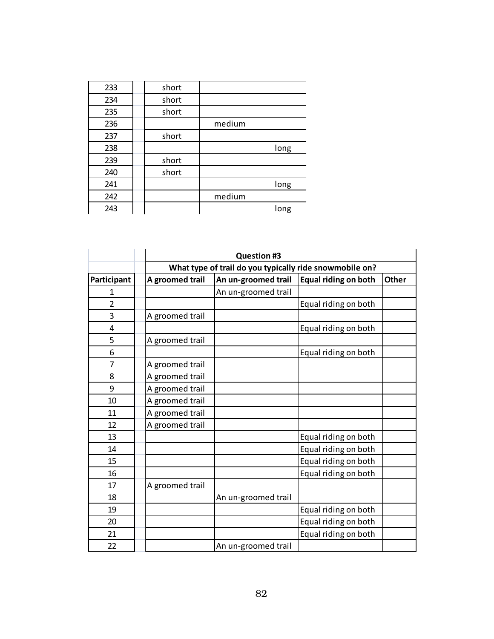| 233 | short |        |      |
|-----|-------|--------|------|
| 234 | short |        |      |
| 235 | short |        |      |
| 236 |       | medium |      |
| 237 | short |        |      |
| 238 |       |        | long |
| 239 | short |        |      |
| 240 | short |        |      |
| 241 |       |        | long |
| 242 |       | medium |      |
| 243 |       |        | long |

|                |                 | <b>Question #3</b>                                          |                      |  |  |  |  |
|----------------|-----------------|-------------------------------------------------------------|----------------------|--|--|--|--|
|                |                 | What type of trail do you typically ride snowmobile on?     |                      |  |  |  |  |
| Participant    | A groomed trail | Equal riding on both<br>An un-groomed trail<br><b>Other</b> |                      |  |  |  |  |
|                |                 | An un-groomed trail                                         |                      |  |  |  |  |
| $\overline{2}$ |                 |                                                             | Equal riding on both |  |  |  |  |
| 3              | A groomed trail |                                                             |                      |  |  |  |  |
| $\overline{4}$ |                 |                                                             | Equal riding on both |  |  |  |  |
| 5              | A groomed trail |                                                             |                      |  |  |  |  |
| 6              |                 |                                                             | Equal riding on both |  |  |  |  |
| $\overline{7}$ | A groomed trail |                                                             |                      |  |  |  |  |
| 8              | A groomed trail |                                                             |                      |  |  |  |  |
| 9              | A groomed trail |                                                             |                      |  |  |  |  |
| 10             | A groomed trail |                                                             |                      |  |  |  |  |
| 11             | A groomed trail |                                                             |                      |  |  |  |  |
| 12             | A groomed trail |                                                             |                      |  |  |  |  |
| 13             |                 |                                                             | Equal riding on both |  |  |  |  |
| 14             |                 |                                                             | Equal riding on both |  |  |  |  |
| 15             |                 |                                                             | Equal riding on both |  |  |  |  |
| 16             |                 |                                                             | Equal riding on both |  |  |  |  |
| 17             | A groomed trail |                                                             |                      |  |  |  |  |
| 18             |                 | An un-groomed trail                                         |                      |  |  |  |  |
| 19             |                 |                                                             | Equal riding on both |  |  |  |  |
| 20             |                 |                                                             | Equal riding on both |  |  |  |  |
| 21             |                 |                                                             | Equal riding on both |  |  |  |  |
| 22             |                 | An un-groomed trail                                         |                      |  |  |  |  |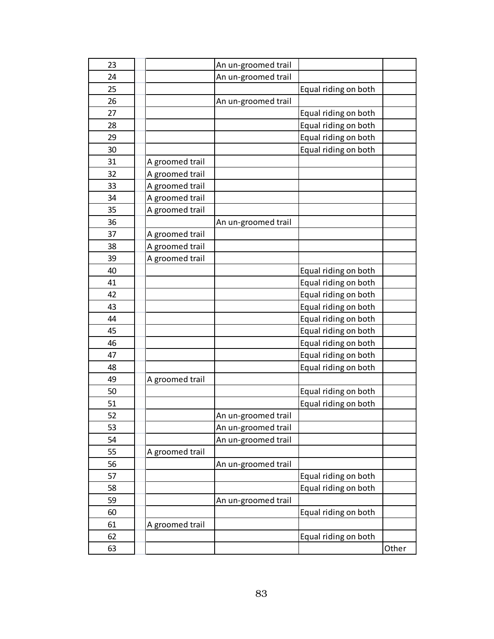| 23 |                 | An un-groomed trail |                      |       |
|----|-----------------|---------------------|----------------------|-------|
| 24 |                 | An un-groomed trail |                      |       |
| 25 |                 |                     | Equal riding on both |       |
| 26 |                 | An un-groomed trail |                      |       |
| 27 |                 |                     | Equal riding on both |       |
| 28 |                 |                     | Equal riding on both |       |
| 29 |                 |                     | Equal riding on both |       |
| 30 |                 |                     | Equal riding on both |       |
| 31 | A groomed trail |                     |                      |       |
| 32 | A groomed trail |                     |                      |       |
| 33 | A groomed trail |                     |                      |       |
| 34 | A groomed trail |                     |                      |       |
| 35 | A groomed trail |                     |                      |       |
| 36 |                 | An un-groomed trail |                      |       |
| 37 | A groomed trail |                     |                      |       |
| 38 | A groomed trail |                     |                      |       |
| 39 | A groomed trail |                     |                      |       |
| 40 |                 |                     | Equal riding on both |       |
| 41 |                 |                     | Equal riding on both |       |
| 42 |                 |                     | Equal riding on both |       |
| 43 |                 |                     | Equal riding on both |       |
| 44 |                 |                     | Equal riding on both |       |
| 45 |                 |                     | Equal riding on both |       |
| 46 |                 |                     | Equal riding on both |       |
| 47 |                 |                     | Equal riding on both |       |
| 48 |                 |                     | Equal riding on both |       |
| 49 | A groomed trail |                     |                      |       |
| 50 |                 |                     | Equal riding on both |       |
| 51 |                 |                     | Equal riding on both |       |
| 52 |                 | An un-groomed trail |                      |       |
| 53 |                 | An un-groomed trail |                      |       |
| 54 |                 | An un-groomed trail |                      |       |
| 55 | A groomed trail |                     |                      |       |
| 56 |                 | An un-groomed trail |                      |       |
| 57 |                 |                     | Equal riding on both |       |
| 58 |                 |                     | Equal riding on both |       |
| 59 |                 | An un-groomed trail |                      |       |
| 60 |                 |                     | Equal riding on both |       |
| 61 | A groomed trail |                     |                      |       |
| 62 |                 |                     | Equal riding on both |       |
| 63 |                 |                     |                      | Other |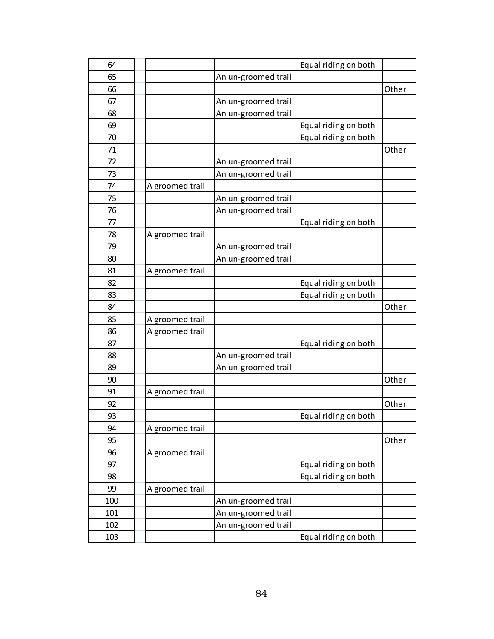| 64  |                 |                     | Equal riding on both |       |
|-----|-----------------|---------------------|----------------------|-------|
| 65  |                 | An un-groomed trail |                      |       |
| 66  |                 |                     |                      | Other |
| 67  |                 | An un-groomed trail |                      |       |
| 68  |                 | An un-groomed trail |                      |       |
| 69  |                 |                     | Equal riding on both |       |
| 70  |                 |                     | Equal riding on both |       |
| 71  |                 |                     |                      | Other |
| 72  |                 | An un-groomed trail |                      |       |
| 73  |                 | An un-groomed trail |                      |       |
| 74  | A groomed trail |                     |                      |       |
| 75  |                 | An un-groomed trail |                      |       |
| 76  |                 | An un-groomed trail |                      |       |
| 77  |                 |                     | Equal riding on both |       |
| 78  | A groomed trail |                     |                      |       |
| 79  |                 | An un-groomed trail |                      |       |
| 80  |                 | An un-groomed trail |                      |       |
| 81  | A groomed trail |                     |                      |       |
| 82  |                 |                     | Equal riding on both |       |
| 83  |                 |                     | Equal riding on both |       |
| 84  |                 |                     |                      | Other |
| 85  | A groomed trail |                     |                      |       |
| 86  | A groomed trail |                     |                      |       |
| 87  |                 |                     | Equal riding on both |       |
| 88  |                 | An un-groomed trail |                      |       |
| 89  |                 | An un-groomed trail |                      |       |
| 90  |                 |                     |                      | Other |
| 91  | A groomed trail |                     |                      |       |
| 92  |                 |                     |                      | Other |
| 93  |                 |                     | Equal riding on both |       |
| 94  | A groomed trail |                     |                      |       |
| 95  |                 |                     |                      | Other |
| 96  | A groomed trail |                     |                      |       |
| 97  |                 |                     | Equal riding on both |       |
| 98  |                 |                     | Equal riding on both |       |
| 99  | A groomed trail |                     |                      |       |
| 100 |                 | An un-groomed trail |                      |       |
| 101 |                 | An un-groomed trail |                      |       |
| 102 |                 |                     |                      |       |
|     |                 | An un-groomed trail |                      |       |
| 103 |                 |                     | Equal riding on both |       |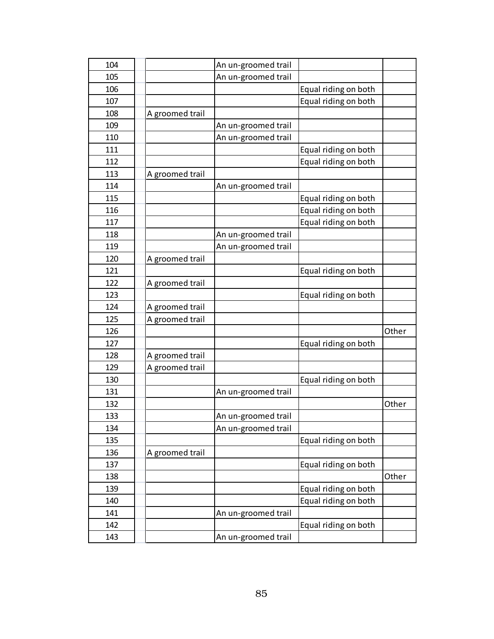| 104 |                 | An un-groomed trail |                      |       |
|-----|-----------------|---------------------|----------------------|-------|
| 105 |                 | An un-groomed trail |                      |       |
| 106 |                 |                     | Equal riding on both |       |
| 107 |                 |                     | Equal riding on both |       |
| 108 | A groomed trail |                     |                      |       |
| 109 |                 | An un-groomed trail |                      |       |
| 110 |                 | An un-groomed trail |                      |       |
| 111 |                 |                     | Equal riding on both |       |
| 112 |                 |                     | Equal riding on both |       |
| 113 | A groomed trail |                     |                      |       |
| 114 |                 | An un-groomed trail |                      |       |
| 115 |                 |                     | Equal riding on both |       |
| 116 |                 |                     | Equal riding on both |       |
| 117 |                 |                     | Equal riding on both |       |
| 118 |                 | An un-groomed trail |                      |       |
| 119 |                 | An un-groomed trail |                      |       |
| 120 | A groomed trail |                     |                      |       |
| 121 |                 |                     | Equal riding on both |       |
| 122 | A groomed trail |                     |                      |       |
| 123 |                 |                     | Equal riding on both |       |
| 124 | A groomed trail |                     |                      |       |
| 125 | A groomed trail |                     |                      |       |
| 126 |                 |                     |                      | Other |
| 127 |                 |                     | Equal riding on both |       |
| 128 | A groomed trail |                     |                      |       |
| 129 | A groomed trail |                     |                      |       |
| 130 |                 |                     | Equal riding on both |       |
| 131 |                 | An un-groomed trail |                      |       |
| 132 |                 |                     |                      | Other |
| 133 |                 | An un-groomed trail |                      |       |
| 134 |                 | An un-groomed trail |                      |       |
| 135 |                 |                     | Equal riding on both |       |
| 136 | A groomed trail |                     |                      |       |
| 137 |                 |                     | Equal riding on both |       |
| 138 |                 |                     |                      | Other |
| 139 |                 |                     | Equal riding on both |       |
| 140 |                 |                     | Equal riding on both |       |
| 141 |                 | An un-groomed trail |                      |       |
| 142 |                 |                     | Equal riding on both |       |
| 143 |                 | An un-groomed trail |                      |       |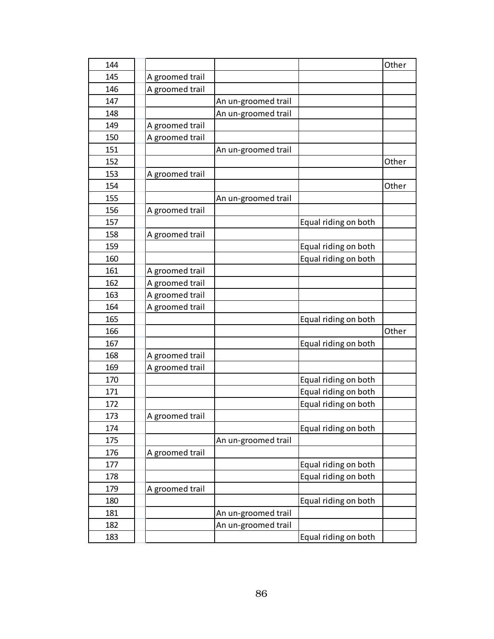| 144 |                 |                     |                      | Other |
|-----|-----------------|---------------------|----------------------|-------|
| 145 | A groomed trail |                     |                      |       |
| 146 | A groomed trail |                     |                      |       |
| 147 |                 | An un-groomed trail |                      |       |
| 148 |                 | An un-groomed trail |                      |       |
| 149 | A groomed trail |                     |                      |       |
| 150 | A groomed trail |                     |                      |       |
| 151 |                 | An un-groomed trail |                      |       |
| 152 |                 |                     |                      | Other |
| 153 | A groomed trail |                     |                      |       |
| 154 |                 |                     |                      | Other |
| 155 |                 | An un-groomed trail |                      |       |
| 156 | A groomed trail |                     |                      |       |
| 157 |                 |                     | Equal riding on both |       |
| 158 | A groomed trail |                     |                      |       |
| 159 |                 |                     | Equal riding on both |       |
| 160 |                 |                     | Equal riding on both |       |
| 161 | A groomed trail |                     |                      |       |
| 162 | A groomed trail |                     |                      |       |
| 163 | A groomed trail |                     |                      |       |
| 164 | A groomed trail |                     |                      |       |
| 165 |                 |                     | Equal riding on both |       |
| 166 |                 |                     |                      | Other |
| 167 |                 |                     | Equal riding on both |       |
| 168 | A groomed trail |                     |                      |       |
| 169 | A groomed trail |                     |                      |       |
| 170 |                 |                     | Equal riding on both |       |
| 171 |                 |                     | Equal riding on both |       |
| 172 |                 |                     | Equal riding on both |       |
| 173 | A groomed trail |                     |                      |       |
| 174 |                 |                     | Equal riding on both |       |
| 175 |                 | An un-groomed trail |                      |       |
| 176 | A groomed trail |                     |                      |       |
| 177 |                 |                     | Equal riding on both |       |
| 178 |                 |                     | Equal riding on both |       |
| 179 | A groomed trail |                     |                      |       |
| 180 |                 |                     | Equal riding on both |       |
| 181 |                 | An un-groomed trail |                      |       |
| 182 |                 | An un-groomed trail |                      |       |
| 183 |                 |                     | Equal riding on both |       |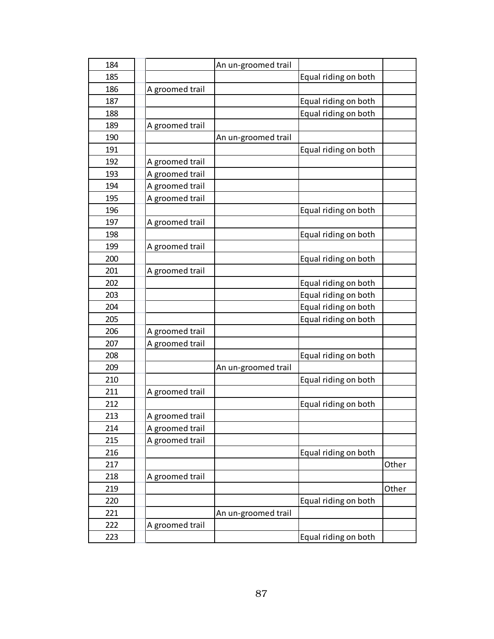| 184 |                 | An un-groomed trail |                      |       |
|-----|-----------------|---------------------|----------------------|-------|
| 185 |                 |                     | Equal riding on both |       |
| 186 | A groomed trail |                     |                      |       |
| 187 |                 |                     | Equal riding on both |       |
| 188 |                 |                     | Equal riding on both |       |
| 189 | A groomed trail |                     |                      |       |
| 190 |                 | An un-groomed trail |                      |       |
| 191 |                 |                     | Equal riding on both |       |
| 192 | A groomed trail |                     |                      |       |
| 193 | A groomed trail |                     |                      |       |
| 194 | A groomed trail |                     |                      |       |
| 195 | A groomed trail |                     |                      |       |
| 196 |                 |                     | Equal riding on both |       |
| 197 | A groomed trail |                     |                      |       |
| 198 |                 |                     | Equal riding on both |       |
| 199 | A groomed trail |                     |                      |       |
| 200 |                 |                     | Equal riding on both |       |
| 201 | A groomed trail |                     |                      |       |
| 202 |                 |                     | Equal riding on both |       |
| 203 |                 |                     | Equal riding on both |       |
| 204 |                 |                     | Equal riding on both |       |
| 205 |                 |                     | Equal riding on both |       |
| 206 | A groomed trail |                     |                      |       |
| 207 | A groomed trail |                     |                      |       |
| 208 |                 |                     | Equal riding on both |       |
| 209 |                 | An un-groomed trail |                      |       |
| 210 |                 |                     | Equal riding on both |       |
| 211 | A groomed trail |                     |                      |       |
| 212 |                 |                     | Equal riding on both |       |
| 213 | A groomed trail |                     |                      |       |
| 214 | A groomed trail |                     |                      |       |
| 215 | A groomed trail |                     |                      |       |
| 216 |                 |                     | Equal riding on both |       |
| 217 |                 |                     |                      | Other |
| 218 | A groomed trail |                     |                      |       |
| 219 |                 |                     |                      | Other |
| 220 |                 |                     | Equal riding on both |       |
| 221 |                 | An un-groomed trail |                      |       |
| 222 | A groomed trail |                     |                      |       |
| 223 |                 |                     | Equal riding on both |       |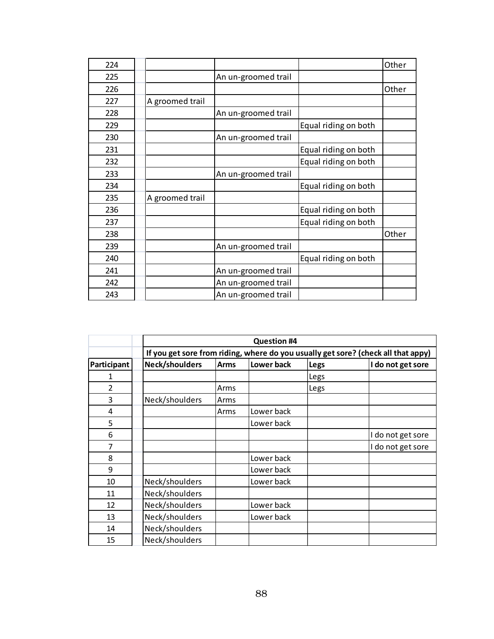| 224 |                 |                     |                      | Other |
|-----|-----------------|---------------------|----------------------|-------|
| 225 |                 | An un-groomed trail |                      |       |
| 226 |                 |                     |                      | Other |
| 227 | A groomed trail |                     |                      |       |
| 228 |                 | An un-groomed trail |                      |       |
| 229 |                 |                     | Equal riding on both |       |
| 230 |                 | An un-groomed trail |                      |       |
| 231 |                 |                     | Equal riding on both |       |
| 232 |                 |                     | Equal riding on both |       |
| 233 |                 | An un-groomed trail |                      |       |
| 234 |                 |                     | Equal riding on both |       |
| 235 | A groomed trail |                     |                      |       |
| 236 |                 |                     | Equal riding on both |       |
| 237 |                 |                     | Equal riding on both |       |
| 238 |                 |                     |                      | Other |
| 239 |                 | An un-groomed trail |                      |       |
| 240 |                 |                     | Equal riding on both |       |
| 241 |                 | An un-groomed trail |                      |       |
| 242 |                 | An un-groomed trail |                      |       |
| 243 |                 | An un-groomed trail |                      |       |

|                |                | <b>Question #4</b>                                                                |            |      |                   |  |  |  |  |
|----------------|----------------|-----------------------------------------------------------------------------------|------------|------|-------------------|--|--|--|--|
|                |                | If you get sore from riding, where do you usually get sore? (check all that appy) |            |      |                   |  |  |  |  |
| Participant    | Neck/shoulders | <b>Arms</b>                                                                       | Lower back | Legs | I do not get sore |  |  |  |  |
| 1              |                |                                                                                   |            | Legs |                   |  |  |  |  |
| $\overline{2}$ |                | Arms                                                                              |            | Legs |                   |  |  |  |  |
| 3              | Neck/shoulders | Arms                                                                              |            |      |                   |  |  |  |  |
| 4              |                | Arms                                                                              | Lower back |      |                   |  |  |  |  |
| 5              |                |                                                                                   | Lower back |      |                   |  |  |  |  |
| 6              |                |                                                                                   |            |      | do not get sore   |  |  |  |  |
| 7              |                |                                                                                   |            |      | I do not get sore |  |  |  |  |
| 8              |                |                                                                                   | Lower back |      |                   |  |  |  |  |
| 9              |                |                                                                                   | Lower back |      |                   |  |  |  |  |
| 10             | Neck/shoulders |                                                                                   | Lower back |      |                   |  |  |  |  |
| 11             | Neck/shoulders |                                                                                   |            |      |                   |  |  |  |  |
| 12             | Neck/shoulders |                                                                                   | Lower back |      |                   |  |  |  |  |
| 13             | Neck/shoulders |                                                                                   | Lower back |      |                   |  |  |  |  |
| 14             | Neck/shoulders |                                                                                   |            |      |                   |  |  |  |  |
| 15             | Neck/shoulders |                                                                                   |            |      |                   |  |  |  |  |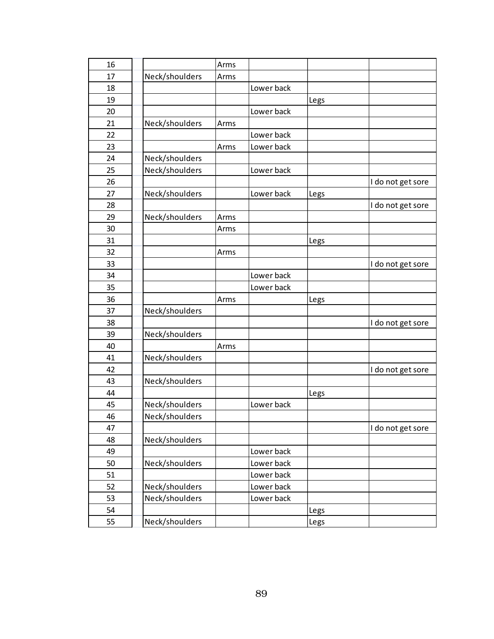| 16 |                | Arms |            |      |                   |
|----|----------------|------|------------|------|-------------------|
| 17 | Neck/shoulders | Arms |            |      |                   |
| 18 |                |      | Lower back |      |                   |
| 19 |                |      |            | Legs |                   |
| 20 |                |      | Lower back |      |                   |
| 21 | Neck/shoulders | Arms |            |      |                   |
| 22 |                |      | Lower back |      |                   |
| 23 |                | Arms | Lower back |      |                   |
| 24 | Neck/shoulders |      |            |      |                   |
| 25 | Neck/shoulders |      | Lower back |      |                   |
| 26 |                |      |            |      | I do not get sore |
| 27 | Neck/shoulders |      | Lower back | Legs |                   |
| 28 |                |      |            |      | I do not get sore |
| 29 | Neck/shoulders | Arms |            |      |                   |
| 30 |                | Arms |            |      |                   |
| 31 |                |      |            | Legs |                   |
| 32 |                | Arms |            |      |                   |
| 33 |                |      |            |      | I do not get sore |
| 34 |                |      | Lower back |      |                   |
| 35 |                |      | Lower back |      |                   |
| 36 |                | Arms |            | Legs |                   |
| 37 | Neck/shoulders |      |            |      |                   |
| 38 |                |      |            |      | I do not get sore |
| 39 | Neck/shoulders |      |            |      |                   |
| 40 |                | Arms |            |      |                   |
| 41 | Neck/shoulders |      |            |      |                   |
| 42 |                |      |            |      | I do not get sore |
| 43 | Neck/shoulders |      |            |      |                   |
| 44 |                |      |            | Legs |                   |
| 45 | Neck/shoulders |      | Lower back |      |                   |
| 46 | Neck/shoulders |      |            |      |                   |
| 47 |                |      |            |      | I do not get sore |
| 48 | Neck/shoulders |      |            |      |                   |
| 49 |                |      | Lower back |      |                   |
| 50 | Neck/shoulders |      | Lower back |      |                   |
| 51 |                |      | Lower back |      |                   |
| 52 | Neck/shoulders |      | Lower back |      |                   |
| 53 | Neck/shoulders |      | Lower back |      |                   |
| 54 |                |      |            | Legs |                   |
| 55 | Neck/shoulders |      |            | Legs |                   |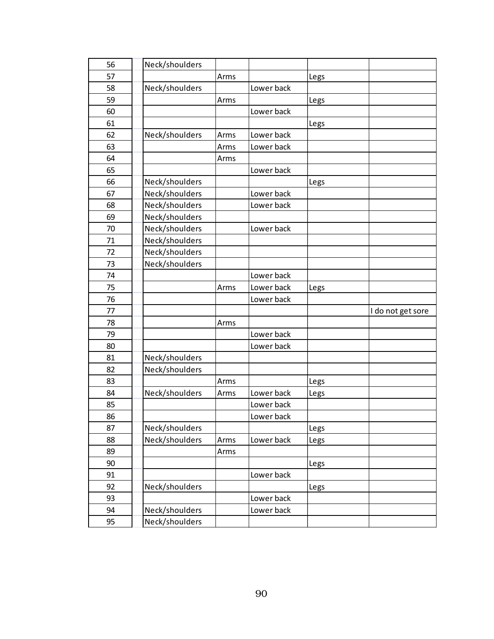| 56 | Neck/shoulders |      |            |      |                   |
|----|----------------|------|------------|------|-------------------|
| 57 |                | Arms |            | Legs |                   |
| 58 | Neck/shoulders |      | Lower back |      |                   |
| 59 |                | Arms |            | Legs |                   |
| 60 |                |      | Lower back |      |                   |
| 61 |                |      |            | Legs |                   |
| 62 | Neck/shoulders | Arms | Lower back |      |                   |
| 63 |                | Arms | Lower back |      |                   |
| 64 |                | Arms |            |      |                   |
| 65 |                |      | Lower back |      |                   |
| 66 | Neck/shoulders |      |            | Legs |                   |
| 67 | Neck/shoulders |      | Lower back |      |                   |
| 68 | Neck/shoulders |      | Lower back |      |                   |
| 69 | Neck/shoulders |      |            |      |                   |
| 70 | Neck/shoulders |      | Lower back |      |                   |
| 71 | Neck/shoulders |      |            |      |                   |
| 72 | Neck/shoulders |      |            |      |                   |
| 73 | Neck/shoulders |      |            |      |                   |
| 74 |                |      | Lower back |      |                   |
| 75 |                | Arms | Lower back | Legs |                   |
| 76 |                |      | Lower back |      |                   |
| 77 |                |      |            |      | I do not get sore |
| 78 |                | Arms |            |      |                   |
| 79 |                |      | Lower back |      |                   |
| 80 |                |      | Lower back |      |                   |
| 81 | Neck/shoulders |      |            |      |                   |
| 82 | Neck/shoulders |      |            |      |                   |
| 83 |                | Arms |            | Legs |                   |
| 84 | Neck/shoulders | Arms | Lower back | Legs |                   |
| 85 |                |      | Lower back |      |                   |
| 86 |                |      | Lower back |      |                   |
| 87 | Neck/shoulders |      |            | Legs |                   |
| 88 | Neck/shoulders | Arms | Lower back | Legs |                   |
| 89 |                | Arms |            |      |                   |
| 90 |                |      |            | Legs |                   |
| 91 |                |      | Lower back |      |                   |
| 92 |                |      |            |      |                   |
|    | Neck/shoulders |      |            | Legs |                   |
| 93 |                |      | Lower back |      |                   |
| 94 | Neck/shoulders |      | Lower back |      |                   |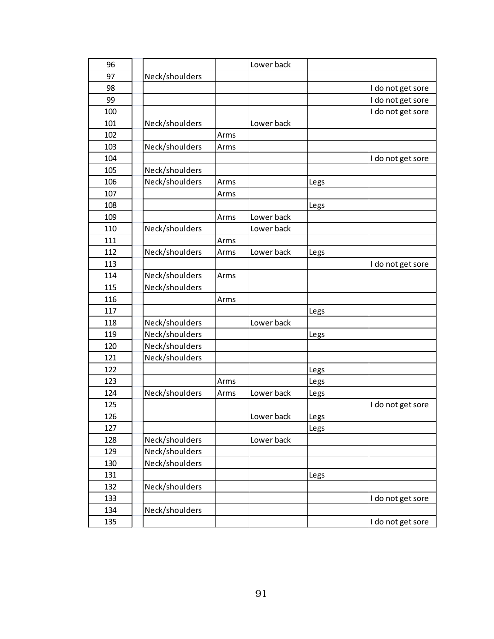| 96  |                |      | Lower back |      |                   |
|-----|----------------|------|------------|------|-------------------|
| 97  | Neck/shoulders |      |            |      |                   |
| 98  |                |      |            |      | I do not get sore |
| 99  |                |      |            |      | I do not get sore |
| 100 |                |      |            |      | I do not get sore |
| 101 | Neck/shoulders |      | Lower back |      |                   |
| 102 |                | Arms |            |      |                   |
| 103 | Neck/shoulders | Arms |            |      |                   |
| 104 |                |      |            |      | I do not get sore |
| 105 | Neck/shoulders |      |            |      |                   |
| 106 | Neck/shoulders | Arms |            | Legs |                   |
| 107 |                | Arms |            |      |                   |
| 108 |                |      |            | Legs |                   |
| 109 |                | Arms | Lower back |      |                   |
| 110 | Neck/shoulders |      | Lower back |      |                   |
| 111 |                | Arms |            |      |                   |
| 112 | Neck/shoulders | Arms | Lower back | Legs |                   |
| 113 |                |      |            |      | I do not get sore |
| 114 | Neck/shoulders | Arms |            |      |                   |
| 115 | Neck/shoulders |      |            |      |                   |
| 116 |                | Arms |            |      |                   |
| 117 |                |      |            | Legs |                   |
| 118 | Neck/shoulders |      | Lower back |      |                   |
| 119 | Neck/shoulders |      |            | Legs |                   |
| 120 | Neck/shoulders |      |            |      |                   |
| 121 | Neck/shoulders |      |            |      |                   |
| 122 |                |      |            | Legs |                   |
| 123 |                | Arms |            | Legs |                   |
| 124 | Neck/shoulders | Arms | Lower back | Legs |                   |
| 125 |                |      |            |      | I do not get sore |
| 126 |                |      | Lower back | Legs |                   |
| 127 |                |      |            | Legs |                   |
| 128 | Neck/shoulders |      | Lower back |      |                   |
| 129 | Neck/shoulders |      |            |      |                   |
| 130 | Neck/shoulders |      |            |      |                   |
| 131 |                |      |            | Legs |                   |
| 132 | Neck/shoulders |      |            |      |                   |
| 133 |                |      |            |      | I do not get sore |
| 134 | Neck/shoulders |      |            |      |                   |
| 135 |                |      |            |      | I do not get sore |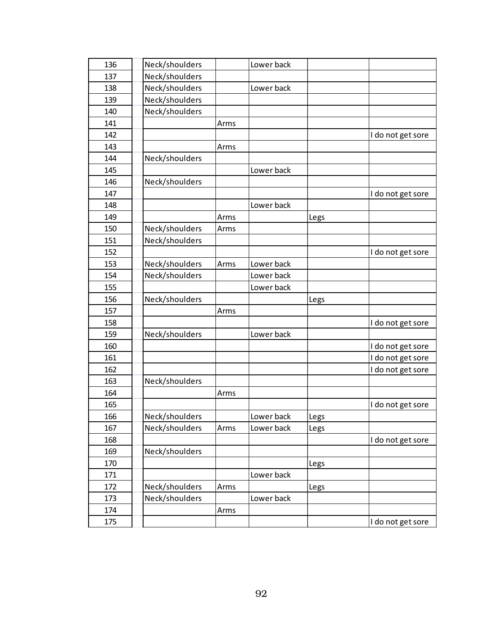| 136 | Neck/shoulders |      | Lower back |      |                   |
|-----|----------------|------|------------|------|-------------------|
| 137 | Neck/shoulders |      |            |      |                   |
| 138 | Neck/shoulders |      | Lower back |      |                   |
| 139 | Neck/shoulders |      |            |      |                   |
| 140 | Neck/shoulders |      |            |      |                   |
| 141 |                | Arms |            |      |                   |
| 142 |                |      |            |      | I do not get sore |
| 143 |                | Arms |            |      |                   |
| 144 | Neck/shoulders |      |            |      |                   |
| 145 |                |      | Lower back |      |                   |
| 146 | Neck/shoulders |      |            |      |                   |
| 147 |                |      |            |      | I do not get sore |
| 148 |                |      | Lower back |      |                   |
| 149 |                | Arms |            | Legs |                   |
| 150 | Neck/shoulders | Arms |            |      |                   |
| 151 | Neck/shoulders |      |            |      |                   |
| 152 |                |      |            |      | I do not get sore |
| 153 | Neck/shoulders | Arms | Lower back |      |                   |
| 154 | Neck/shoulders |      | Lower back |      |                   |
| 155 |                |      | Lower back |      |                   |
| 156 | Neck/shoulders |      |            | Legs |                   |
| 157 |                | Arms |            |      |                   |
| 158 |                |      |            |      | I do not get sore |
| 159 | Neck/shoulders |      | Lower back |      |                   |
| 160 |                |      |            |      | I do not get sore |
| 161 |                |      |            |      | I do not get sore |
| 162 |                |      |            |      | I do not get sore |
| 163 | Neck/shoulders |      |            |      |                   |
| 164 |                | Arms |            |      |                   |
| 165 |                |      |            |      | I do not get sore |
| 166 | Neck/shoulders |      | Lower back | Legs |                   |
| 167 | Neck/shoulders | Arms | Lower back | Legs |                   |
| 168 |                |      |            |      | I do not get sore |
| 169 | Neck/shoulders |      |            |      |                   |
| 170 |                |      |            | Legs |                   |
| 171 |                |      | Lower back |      |                   |
| 172 | Neck/shoulders | Arms |            | Legs |                   |
| 173 | Neck/shoulders |      | Lower back |      |                   |
| 174 |                | Arms |            |      |                   |
| 175 |                |      |            |      | I do not get sore |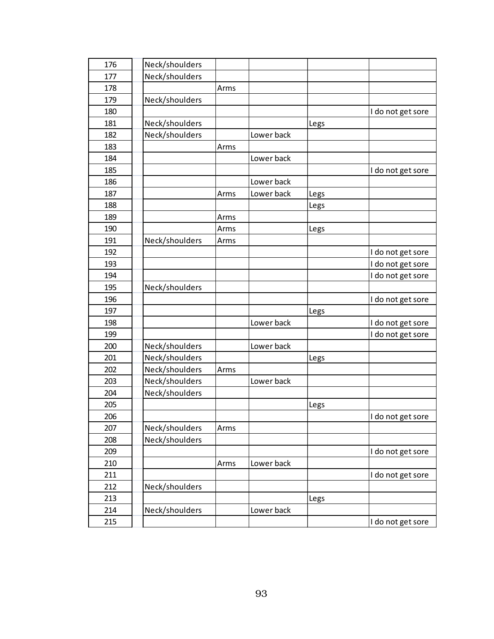| 176 | Neck/shoulders |      |            |      |                   |
|-----|----------------|------|------------|------|-------------------|
| 177 | Neck/shoulders |      |            |      |                   |
| 178 |                | Arms |            |      |                   |
| 179 | Neck/shoulders |      |            |      |                   |
| 180 |                |      |            |      | I do not get sore |
| 181 | Neck/shoulders |      |            | Legs |                   |
| 182 | Neck/shoulders |      | Lower back |      |                   |
| 183 |                | Arms |            |      |                   |
| 184 |                |      | Lower back |      |                   |
| 185 |                |      |            |      | I do not get sore |
| 186 |                |      | Lower back |      |                   |
| 187 |                | Arms | Lower back | Legs |                   |
| 188 |                |      |            | Legs |                   |
| 189 |                | Arms |            |      |                   |
| 190 |                | Arms |            | Legs |                   |
| 191 | Neck/shoulders | Arms |            |      |                   |
| 192 |                |      |            |      | I do not get sore |
| 193 |                |      |            |      | I do not get sore |
| 194 |                |      |            |      | I do not get sore |
| 195 | Neck/shoulders |      |            |      |                   |
| 196 |                |      |            |      | I do not get sore |
| 197 |                |      |            | Legs |                   |
| 198 |                |      | Lower back |      | I do not get sore |
| 199 |                |      |            |      | I do not get sore |
| 200 | Neck/shoulders |      | Lower back |      |                   |
| 201 | Neck/shoulders |      |            | Legs |                   |
| 202 | Neck/shoulders | Arms |            |      |                   |
| 203 | Neck/shoulders |      | Lower back |      |                   |
| 204 | Neck/shoulders |      |            |      |                   |
| 205 |                |      |            | Legs |                   |
| 206 |                |      |            |      | I do not get sore |
| 207 | Neck/shoulders | Arms |            |      |                   |
| 208 | Neck/shoulders |      |            |      |                   |
| 209 |                |      |            |      | I do not get sore |
| 210 |                | Arms | Lower back |      |                   |
| 211 |                |      |            |      | I do not get sore |
| 212 | Neck/shoulders |      |            |      |                   |
| 213 |                |      |            | Legs |                   |
| 214 | Neck/shoulders |      | Lower back |      |                   |
| 215 |                |      |            |      | I do not get sore |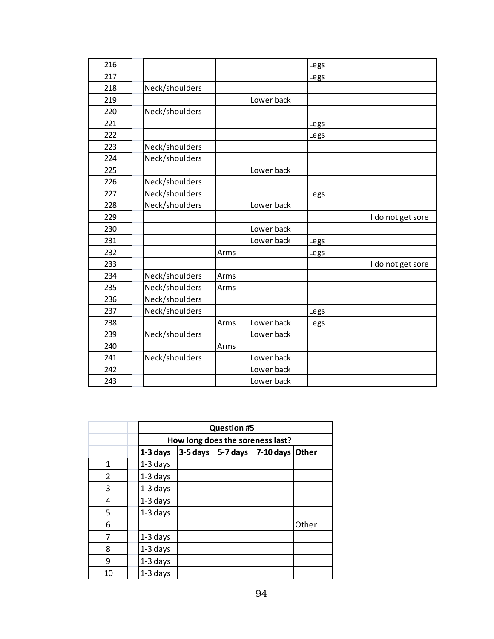| 216 |                |      |            | Legs |                   |
|-----|----------------|------|------------|------|-------------------|
| 217 |                |      |            | Legs |                   |
| 218 | Neck/shoulders |      |            |      |                   |
| 219 |                |      | Lower back |      |                   |
| 220 | Neck/shoulders |      |            |      |                   |
| 221 |                |      |            | Legs |                   |
| 222 |                |      |            | Legs |                   |
| 223 | Neck/shoulders |      |            |      |                   |
| 224 | Neck/shoulders |      |            |      |                   |
| 225 |                |      | Lower back |      |                   |
| 226 | Neck/shoulders |      |            |      |                   |
| 227 | Neck/shoulders |      |            | Legs |                   |
| 228 | Neck/shoulders |      | Lower back |      |                   |
| 229 |                |      |            |      | I do not get sore |
| 230 |                |      | Lower back |      |                   |
| 231 |                |      | Lower back | Legs |                   |
| 232 |                | Arms |            | Legs |                   |
| 233 |                |      |            |      | I do not get sore |
| 234 | Neck/shoulders | Arms |            |      |                   |
| 235 | Neck/shoulders | Arms |            |      |                   |
| 236 | Neck/shoulders |      |            |      |                   |
| 237 | Neck/shoulders |      |            | Legs |                   |
| 238 |                | Arms | Lower back | Legs |                   |
| 239 | Neck/shoulders |      | Lower back |      |                   |
| 240 |                | Arms |            |      |                   |
| 241 | Neck/shoulders |      | Lower back |      |                   |
| 242 |                |      | Lower back |      |                   |
| 243 |                |      | Lower back |      |                   |
|     |                |      |            |      |                   |

|                |            | <b>Question #5</b>               |          |                 |       |  |  |  |  |  |
|----------------|------------|----------------------------------|----------|-----------------|-------|--|--|--|--|--|
|                |            | How long does the soreness last? |          |                 |       |  |  |  |  |  |
|                | 1-3 days   | $3-5$ days                       | 5-7 days | 7-10 days Other |       |  |  |  |  |  |
| 1              | 1-3 days   |                                  |          |                 |       |  |  |  |  |  |
| $\overline{2}$ | 1-3 days   |                                  |          |                 |       |  |  |  |  |  |
| 3              | 1-3 days   |                                  |          |                 |       |  |  |  |  |  |
| 4              | 1-3 days   |                                  |          |                 |       |  |  |  |  |  |
| 5              | $1-3$ days |                                  |          |                 |       |  |  |  |  |  |
| 6              |            |                                  |          |                 | Other |  |  |  |  |  |
| 7              | 1-3 days   |                                  |          |                 |       |  |  |  |  |  |
| 8              | 1-3 days   |                                  |          |                 |       |  |  |  |  |  |
| 9              | 1-3 days   |                                  |          |                 |       |  |  |  |  |  |
| 10             | 1-3 days   |                                  |          |                 |       |  |  |  |  |  |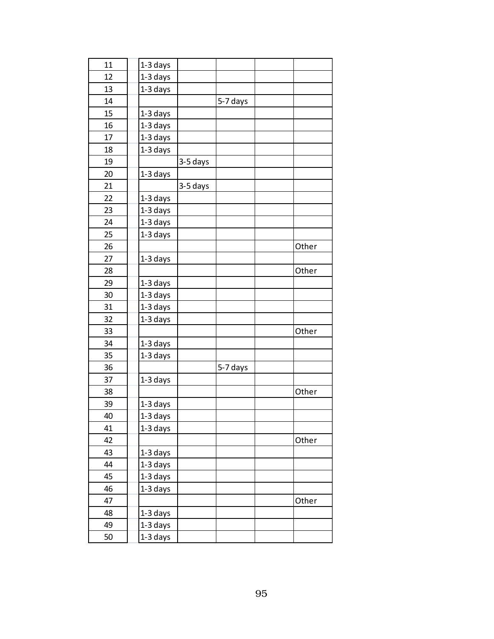| 11 | 1-3 days   |          |          |       |
|----|------------|----------|----------|-------|
| 12 | 1-3 days   |          |          |       |
| 13 | 1-3 days   |          |          |       |
| 14 |            |          | 5-7 days |       |
| 15 | 1-3 days   |          |          |       |
| 16 | 1-3 days   |          |          |       |
| 17 | 1-3 days   |          |          |       |
| 18 | 1-3 days   |          |          |       |
| 19 |            | 3-5 days |          |       |
| 20 | 1-3 days   |          |          |       |
| 21 |            | 3-5 days |          |       |
| 22 | 1-3 days   |          |          |       |
| 23 | 1-3 days   |          |          |       |
| 24 | 1-3 days   |          |          |       |
| 25 | 1-3 days   |          |          |       |
| 26 |            |          |          | Other |
| 27 | 1-3 days   |          |          |       |
| 28 |            |          |          | Other |
| 29 | 1-3 days   |          |          |       |
| 30 | 1-3 days   |          |          |       |
| 31 | $1-3$ days |          |          |       |
| 32 | 1-3 days   |          |          |       |
| 33 |            |          |          | Other |
| 34 | 1-3 days   |          |          |       |
| 35 | 1-3 days   |          |          |       |
| 36 |            |          | 5-7 days |       |
| 37 | 1-3 days   |          |          |       |
| 38 |            |          |          | Other |
| 39 | $1-3$ days |          |          |       |
| 40 | $1-3$ days |          |          |       |
| 41 | 1-3 days   |          |          |       |
| 42 |            |          |          | Other |
| 43 | 1-3 days   |          |          |       |
| 44 | 1-3 days   |          |          |       |
| 45 | 1-3 days   |          |          |       |
| 46 | 1-3 days   |          |          |       |
| 47 |            |          |          | Other |
| 48 | 1-3 days   |          |          |       |
| 49 | 1-3 days   |          |          |       |
| 50 | 1-3 days   |          |          |       |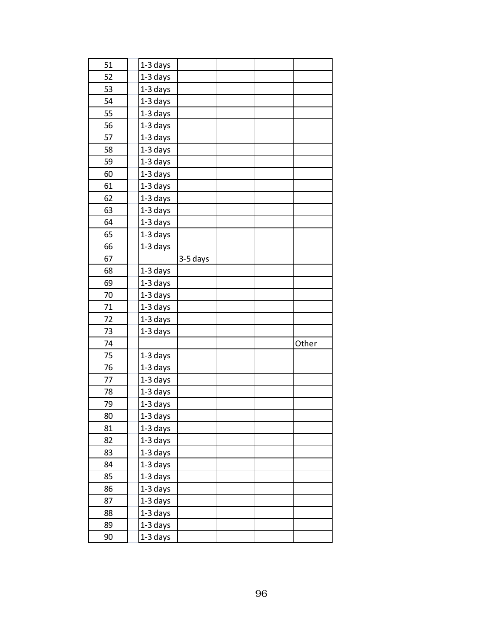| 51<br>1-3 days<br>52<br>1-3 days<br>1-3 days<br>53<br>54<br>1-3 days<br>1-3 days<br>55<br>56<br>1-3 days<br>57<br>1-3 days<br>1-3 days<br>58<br>59<br>1-3 days<br>60<br>1-3 days<br>1-3 days<br>61<br>1-3 days<br>62<br>63<br>1-3 days<br>64<br>1-3 days<br>1-3 days<br>65<br>$1-3$ days<br>66<br>67<br>3-5 days<br>68<br>1-3 days<br>1-3 days<br>69<br>1-3 days<br>70<br>1-3 days<br>71<br>1-3 days<br>72<br>73<br>1-3 days<br>74<br>Other<br>75<br>1-3 days<br>76<br>1-3 days<br>1-3 days<br>77<br>1-3 days<br>78<br>1-3 days<br>79<br>$1-3$ days<br>80<br>81<br>1-3 days<br>82<br>1-3 days<br>83<br>1-3 days<br>84<br>1-3 days<br>1-3 days<br>85<br>86<br>1-3 days<br>87<br>1-3 days<br>1-3 days<br>88<br>1-3 days<br>89<br>1-3 days<br>90 |  |  |  |
|-----------------------------------------------------------------------------------------------------------------------------------------------------------------------------------------------------------------------------------------------------------------------------------------------------------------------------------------------------------------------------------------------------------------------------------------------------------------------------------------------------------------------------------------------------------------------------------------------------------------------------------------------------------------------------------------------------------------------------------------------|--|--|--|
|                                                                                                                                                                                                                                                                                                                                                                                                                                                                                                                                                                                                                                                                                                                                               |  |  |  |
|                                                                                                                                                                                                                                                                                                                                                                                                                                                                                                                                                                                                                                                                                                                                               |  |  |  |
|                                                                                                                                                                                                                                                                                                                                                                                                                                                                                                                                                                                                                                                                                                                                               |  |  |  |
|                                                                                                                                                                                                                                                                                                                                                                                                                                                                                                                                                                                                                                                                                                                                               |  |  |  |
|                                                                                                                                                                                                                                                                                                                                                                                                                                                                                                                                                                                                                                                                                                                                               |  |  |  |
|                                                                                                                                                                                                                                                                                                                                                                                                                                                                                                                                                                                                                                                                                                                                               |  |  |  |
|                                                                                                                                                                                                                                                                                                                                                                                                                                                                                                                                                                                                                                                                                                                                               |  |  |  |
|                                                                                                                                                                                                                                                                                                                                                                                                                                                                                                                                                                                                                                                                                                                                               |  |  |  |
|                                                                                                                                                                                                                                                                                                                                                                                                                                                                                                                                                                                                                                                                                                                                               |  |  |  |
|                                                                                                                                                                                                                                                                                                                                                                                                                                                                                                                                                                                                                                                                                                                                               |  |  |  |
|                                                                                                                                                                                                                                                                                                                                                                                                                                                                                                                                                                                                                                                                                                                                               |  |  |  |
|                                                                                                                                                                                                                                                                                                                                                                                                                                                                                                                                                                                                                                                                                                                                               |  |  |  |
|                                                                                                                                                                                                                                                                                                                                                                                                                                                                                                                                                                                                                                                                                                                                               |  |  |  |
|                                                                                                                                                                                                                                                                                                                                                                                                                                                                                                                                                                                                                                                                                                                                               |  |  |  |
|                                                                                                                                                                                                                                                                                                                                                                                                                                                                                                                                                                                                                                                                                                                                               |  |  |  |
|                                                                                                                                                                                                                                                                                                                                                                                                                                                                                                                                                                                                                                                                                                                                               |  |  |  |
|                                                                                                                                                                                                                                                                                                                                                                                                                                                                                                                                                                                                                                                                                                                                               |  |  |  |
|                                                                                                                                                                                                                                                                                                                                                                                                                                                                                                                                                                                                                                                                                                                                               |  |  |  |
|                                                                                                                                                                                                                                                                                                                                                                                                                                                                                                                                                                                                                                                                                                                                               |  |  |  |
|                                                                                                                                                                                                                                                                                                                                                                                                                                                                                                                                                                                                                                                                                                                                               |  |  |  |
|                                                                                                                                                                                                                                                                                                                                                                                                                                                                                                                                                                                                                                                                                                                                               |  |  |  |
|                                                                                                                                                                                                                                                                                                                                                                                                                                                                                                                                                                                                                                                                                                                                               |  |  |  |
|                                                                                                                                                                                                                                                                                                                                                                                                                                                                                                                                                                                                                                                                                                                                               |  |  |  |
|                                                                                                                                                                                                                                                                                                                                                                                                                                                                                                                                                                                                                                                                                                                                               |  |  |  |
|                                                                                                                                                                                                                                                                                                                                                                                                                                                                                                                                                                                                                                                                                                                                               |  |  |  |
|                                                                                                                                                                                                                                                                                                                                                                                                                                                                                                                                                                                                                                                                                                                                               |  |  |  |
|                                                                                                                                                                                                                                                                                                                                                                                                                                                                                                                                                                                                                                                                                                                                               |  |  |  |
|                                                                                                                                                                                                                                                                                                                                                                                                                                                                                                                                                                                                                                                                                                                                               |  |  |  |
|                                                                                                                                                                                                                                                                                                                                                                                                                                                                                                                                                                                                                                                                                                                                               |  |  |  |
|                                                                                                                                                                                                                                                                                                                                                                                                                                                                                                                                                                                                                                                                                                                                               |  |  |  |
|                                                                                                                                                                                                                                                                                                                                                                                                                                                                                                                                                                                                                                                                                                                                               |  |  |  |
|                                                                                                                                                                                                                                                                                                                                                                                                                                                                                                                                                                                                                                                                                                                                               |  |  |  |
|                                                                                                                                                                                                                                                                                                                                                                                                                                                                                                                                                                                                                                                                                                                                               |  |  |  |
|                                                                                                                                                                                                                                                                                                                                                                                                                                                                                                                                                                                                                                                                                                                                               |  |  |  |
|                                                                                                                                                                                                                                                                                                                                                                                                                                                                                                                                                                                                                                                                                                                                               |  |  |  |
|                                                                                                                                                                                                                                                                                                                                                                                                                                                                                                                                                                                                                                                                                                                                               |  |  |  |
|                                                                                                                                                                                                                                                                                                                                                                                                                                                                                                                                                                                                                                                                                                                                               |  |  |  |
|                                                                                                                                                                                                                                                                                                                                                                                                                                                                                                                                                                                                                                                                                                                                               |  |  |  |
|                                                                                                                                                                                                                                                                                                                                                                                                                                                                                                                                                                                                                                                                                                                                               |  |  |  |
|                                                                                                                                                                                                                                                                                                                                                                                                                                                                                                                                                                                                                                                                                                                                               |  |  |  |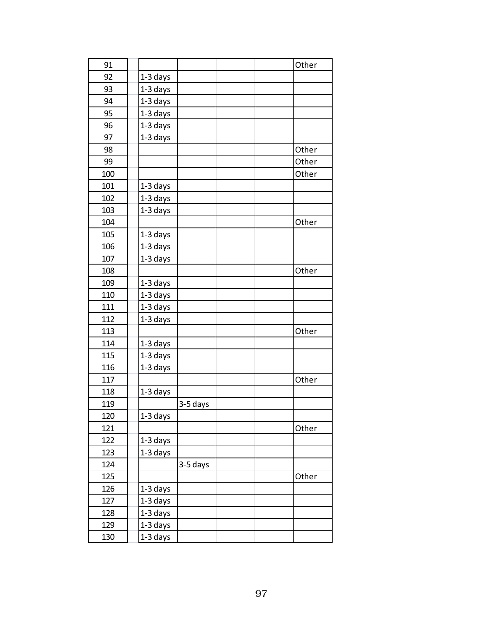| 91  |            |            | Other |
|-----|------------|------------|-------|
| 92  | 1-3 days   |            |       |
| 93  | 1-3 days   |            |       |
| 94  | 1-3 days   |            |       |
| 95  | 1-3 days   |            |       |
| 96  | 1-3 days   |            |       |
| 97  | 1-3 days   |            |       |
| 98  |            |            | Other |
| 99  |            |            | Other |
| 100 |            |            | Other |
| 101 | $1-3$ days |            |       |
| 102 | $1-3$ days |            |       |
| 103 | 1-3 days   |            |       |
| 104 |            |            | Other |
| 105 | $1-3$ days |            |       |
| 106 | 1-3 days   |            |       |
| 107 | 1-3 days   |            |       |
| 108 |            |            | Other |
| 109 | 1-3 days   |            |       |
| 110 | 1-3 days   |            |       |
| 111 | 1-3 days   |            |       |
| 112 | 1-3 days   |            |       |
| 113 |            |            | Other |
| 114 | 1-3 days   |            |       |
| 115 | 1-3 days   |            |       |
| 116 | 1-3 days   |            |       |
| 117 |            |            | Other |
| 118 | 1-3 days   |            |       |
| 119 |            | $3-5$ days |       |
| 120 | $1-3$ days |            |       |
| 121 |            |            | Other |
| 122 | 1-3 days   |            |       |
| 123 | 1-3 days   |            |       |
| 124 |            | 3-5 days   |       |
| 125 |            |            | Other |
| 126 | 1-3 days   |            |       |
| 127 | 1-3 days   |            |       |
| 128 | 1-3 days   |            |       |
| 129 | 1-3 days   |            |       |
| 130 | 1-3 days   |            |       |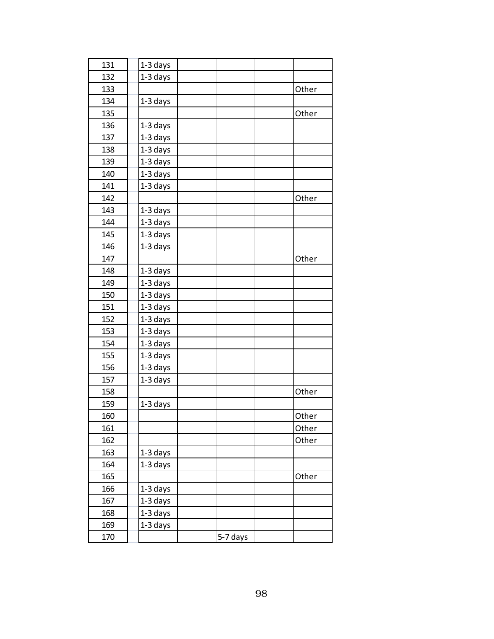| 131 | 1-3 days   |          |       |
|-----|------------|----------|-------|
| 132 | 1-3 days   |          |       |
| 133 |            |          | Other |
| 134 | 1-3 days   |          |       |
| 135 |            |          | Other |
| 136 | 1-3 days   |          |       |
| 137 | $1-3$ days |          |       |
| 138 | 1-3 days   |          |       |
| 139 | 1-3 days   |          |       |
| 140 | 1-3 days   |          |       |
| 141 | 1-3 days   |          |       |
| 142 |            |          | Other |
| 143 | $1-3$ days |          |       |
| 144 | 1-3 days   |          |       |
| 145 | $1-3$ days |          |       |
| 146 | 1-3 days   |          |       |
| 147 |            |          | Other |
| 148 | 1-3 days   |          |       |
| 149 | 1-3 days   |          |       |
| 150 | 1-3 days   |          |       |
| 151 | 1-3 days   |          |       |
| 152 | 1-3 days   |          |       |
| 153 | 1-3 days   |          |       |
| 154 | 1-3 days   |          |       |
| 155 | 1-3 days   |          |       |
| 156 | $1-3$ days |          |       |
| 157 | $1-3$ days |          |       |
| 158 |            |          | Other |
| 159 | $1-3$ days |          |       |
| 160 |            |          | Other |
| 161 |            |          | Other |
| 162 |            |          | Other |
| 163 | 1-3 days   |          |       |
| 164 | 1-3 days   |          |       |
| 165 |            |          | Other |
| 166 | 1-3 days   |          |       |
| 167 | 1-3 days   |          |       |
| 168 | 1-3 days   |          |       |
| 169 | 1-3 days   |          |       |
| 170 |            | 5-7 days |       |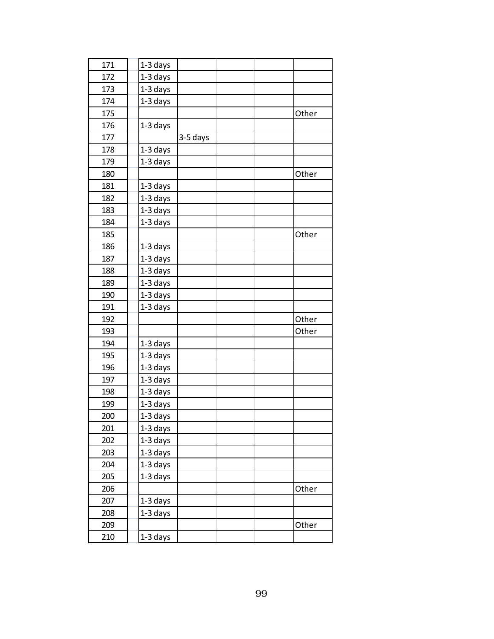| 171 | $1-3$ days |          |  |       |
|-----|------------|----------|--|-------|
| 172 | 1-3 days   |          |  |       |
| 173 | $1-3$ days |          |  |       |
| 174 | 1-3 days   |          |  |       |
| 175 |            |          |  | Other |
| 176 | 1-3 days   |          |  |       |
| 177 |            | 3-5 days |  |       |
| 178 | 1-3 days   |          |  |       |
| 179 | 1-3 days   |          |  |       |
| 180 |            |          |  | Other |
| 181 | 1-3 days   |          |  |       |
| 182 | 1-3 days   |          |  |       |
| 183 | 1-3 days   |          |  |       |
| 184 | $1-3$ days |          |  |       |
| 185 |            |          |  | Other |
| 186 | 1-3 days   |          |  |       |
| 187 | 1-3 days   |          |  |       |
| 188 | 1-3 days   |          |  |       |
| 189 | 1-3 days   |          |  |       |
| 190 | 1-3 days   |          |  |       |
| 191 | 1-3 days   |          |  |       |
| 192 |            |          |  | Other |
| 193 |            |          |  | Other |
| 194 | 1-3 days   |          |  |       |
| 195 | 1-3 days   |          |  |       |
| 196 | 1-3 days   |          |  |       |
| 197 | $1-3$ days |          |  |       |
| 198 | 1-3 days   |          |  |       |
| 199 | 1-3 days   |          |  |       |
| 200 | $1-3$ days |          |  |       |
| 201 | 1-3 days   |          |  |       |
| 202 | 1-3 days   |          |  |       |
| 203 | 1-3 days   |          |  |       |
| 204 | 1-3 days   |          |  |       |
| 205 | 1-3 days   |          |  |       |
| 206 |            |          |  | Other |
| 207 | 1-3 days   |          |  |       |
| 208 | 1-3 days   |          |  |       |
| 209 |            |          |  | Other |
| 210 | 1-3 days   |          |  |       |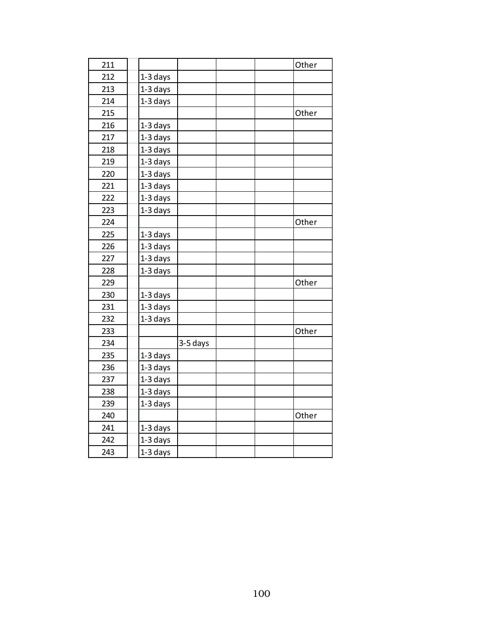| 211 |            |          | Other |
|-----|------------|----------|-------|
| 212 | $1-3$ days |          |       |
| 213 | 1-3 days   |          |       |
| 214 | 1-3 days   |          |       |
| 215 |            |          | Other |
| 216 | 1-3 days   |          |       |
| 217 | 1-3 days   |          |       |
| 218 | 1-3 days   |          |       |
| 219 | 1-3 days   |          |       |
| 220 | 1-3 days   |          |       |
| 221 | 1-3 days   |          |       |
| 222 | 1-3 days   |          |       |
| 223 | 1-3 days   |          |       |
| 224 |            |          | Other |
| 225 | 1-3 days   |          |       |
| 226 | 1-3 days   |          |       |
| 227 | 1-3 days   |          |       |
| 228 | 1-3 days   |          |       |
| 229 |            |          | Other |
| 230 | 1-3 days   |          |       |
| 231 | 1-3 days   |          |       |
| 232 | 1-3 days   |          |       |
| 233 |            |          | Other |
| 234 |            | 3-5 days |       |
| 235 | 1-3 days   |          |       |
| 236 | 1-3 days   |          |       |
| 237 | 1-3 days   |          |       |
| 238 | 1-3 days   |          |       |
| 239 | 1-3 days   |          |       |
| 240 |            |          | Other |
| 241 | $1-3$ days |          |       |
| 242 | 1-3 days   |          |       |
| 243 | 1-3 days   |          |       |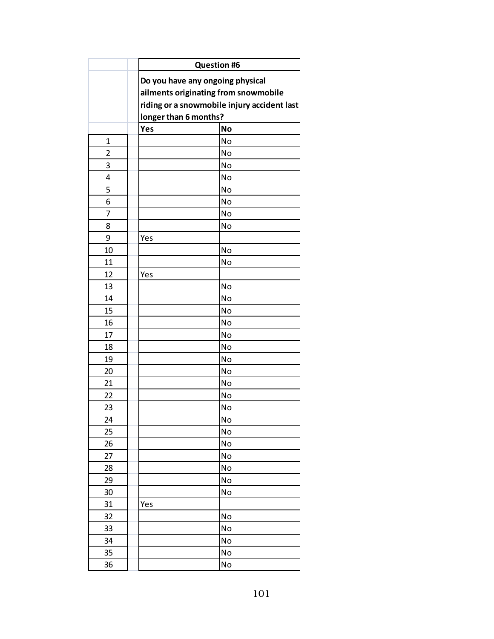|                |                       | <b>Question #6</b>                          |  |  |  |  |
|----------------|-----------------------|---------------------------------------------|--|--|--|--|
|                |                       | Do you have any ongoing physical            |  |  |  |  |
|                |                       | ailments originating from snowmobile        |  |  |  |  |
|                |                       | riding or a snowmobile injury accident last |  |  |  |  |
|                | longer than 6 months? |                                             |  |  |  |  |
|                | Yes                   | <b>No</b>                                   |  |  |  |  |
| $\mathbf{1}$   |                       | No                                          |  |  |  |  |
| $\overline{2}$ |                       | No                                          |  |  |  |  |
| 3              |                       | No                                          |  |  |  |  |
| 4              |                       | No                                          |  |  |  |  |
| 5              |                       | No                                          |  |  |  |  |
| 6              |                       | No                                          |  |  |  |  |
| 7              |                       | No                                          |  |  |  |  |
| 8              |                       | No                                          |  |  |  |  |
| 9              | Yes                   |                                             |  |  |  |  |
| 10             |                       | No                                          |  |  |  |  |
| 11             |                       | No                                          |  |  |  |  |
| 12             | Yes                   |                                             |  |  |  |  |
| 13             |                       | No                                          |  |  |  |  |
| 14             |                       | No                                          |  |  |  |  |
| 15             |                       | No                                          |  |  |  |  |
| 16             |                       | No                                          |  |  |  |  |
| 17             |                       | No                                          |  |  |  |  |
| 18             |                       | No                                          |  |  |  |  |
| 19             |                       | No                                          |  |  |  |  |
| 20             |                       | No                                          |  |  |  |  |
| 21             |                       | No                                          |  |  |  |  |
| 22             |                       | No                                          |  |  |  |  |
| 23             |                       | No                                          |  |  |  |  |
| 24             |                       | No                                          |  |  |  |  |
| 25             |                       | No                                          |  |  |  |  |
| 26             |                       | No                                          |  |  |  |  |
| 27             |                       | No                                          |  |  |  |  |
| 28             |                       | No                                          |  |  |  |  |
| 29             |                       | No                                          |  |  |  |  |
| 30             |                       | No                                          |  |  |  |  |
| 31             | Yes                   |                                             |  |  |  |  |
| 32             |                       | No                                          |  |  |  |  |
| 33             |                       | No                                          |  |  |  |  |
| 34             |                       | No                                          |  |  |  |  |
| 35             |                       | No                                          |  |  |  |  |
| 36             |                       | No                                          |  |  |  |  |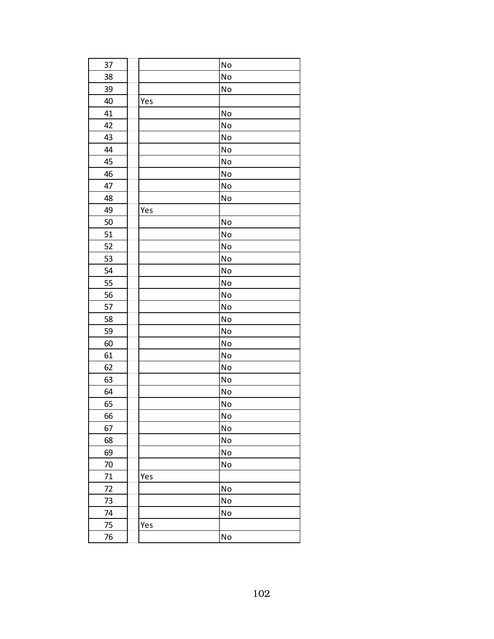| 37 |     | No                           |
|----|-----|------------------------------|
| 38 |     | No                           |
| 39 |     | No                           |
| 40 | Yes |                              |
| 41 |     | No                           |
| 42 |     | No                           |
| 43 |     | No                           |
| 44 |     | No                           |
| 45 |     | No                           |
| 46 |     | No                           |
| 47 |     | No                           |
| 48 |     | No                           |
| 49 | Yes |                              |
| 50 |     | No                           |
| 51 |     | No                           |
| 52 |     | No                           |
| 53 |     | No                           |
| 54 |     | No                           |
| 55 |     | No                           |
| 56 |     | No                           |
| 57 |     | No                           |
| 58 |     | No                           |
| 59 |     | No                           |
| 60 |     | No                           |
| 61 |     | No                           |
| 62 |     | No                           |
| 63 |     | No                           |
| 64 |     | No                           |
| 65 |     | No                           |
| 66 |     | No                           |
| 67 |     | No                           |
| 68 |     | $\operatorname{\mathsf{No}}$ |
| 69 |     | No                           |
| 70 |     | No                           |
| 71 | Yes |                              |
| 72 |     | No                           |
| 73 |     | No                           |
| 74 |     | No                           |
| 75 | Yes |                              |
| 76 |     | No                           |
|    |     |                              |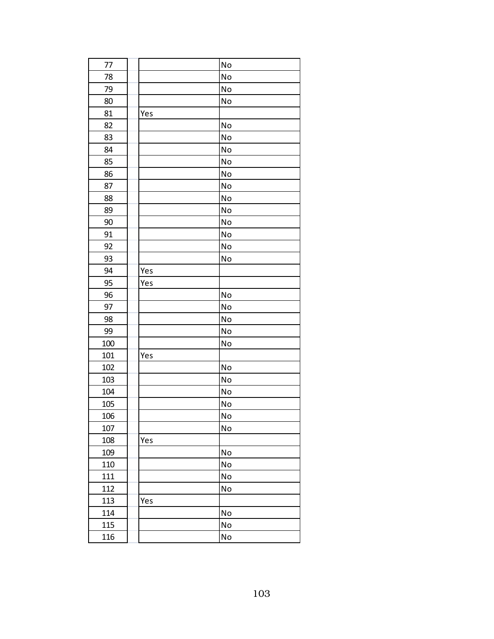| 77  |     | <b>No</b> |
|-----|-----|-----------|
| 78  |     | No        |
| 79  |     | No        |
| 80  |     | No        |
| 81  | Yes |           |
| 82  |     | No        |
| 83  |     | No        |
| 84  |     | No        |
| 85  |     | No        |
| 86  |     | No        |
| 87  |     | No        |
| 88  |     | No        |
| 89  |     | No        |
| 90  |     | No        |
| 91  |     | No        |
| 92  |     | No        |
| 93  |     | No        |
| 94  | Yes |           |
| 95  | Yes |           |
| 96  |     | No        |
| 97  |     | No        |
| 98  |     | No        |
| 99  |     | No        |
| 100 |     | No        |
| 101 | Yes |           |
| 102 |     | No        |
| 103 |     | No        |
| 104 |     | No        |
| 105 |     | No        |
| 106 |     | No        |
| 107 |     | No        |
| 108 | Yes |           |
| 109 |     | No        |
| 110 |     | No        |
| 111 |     | No        |
| 112 |     | No        |
| 113 | Yes |           |
| 114 |     | No        |
| 115 |     | No        |
| 116 |     | No        |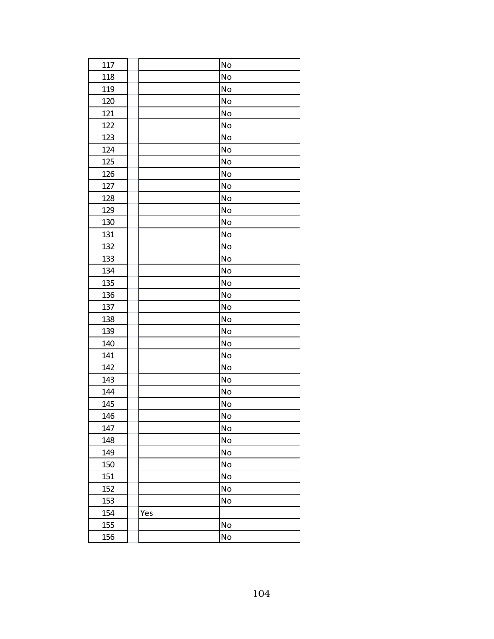| 117 | No  |
|-----|-----|
| 118 | No  |
| 119 | No  |
| 120 | No  |
| 121 | No  |
| 122 | No  |
| 123 | No  |
| 124 | No  |
| 125 | No  |
| 126 | No  |
| 127 | No  |
| 128 | No  |
| 129 | No  |
| 130 | No  |
| 131 | No  |
| 132 | No  |
| 133 | No  |
| 134 | No  |
| 135 | No  |
| 136 | No  |
| 137 | No  |
| 138 | No  |
| 139 | No  |
| 140 | No  |
| 141 | No  |
| 142 | No  |
| 143 | No  |
| 144 | No  |
| 145 | No  |
| 146 | No  |
| 147 | No  |
| 148 | No  |
| 149 | No  |
| 150 | No  |
| 151 | No  |
| 152 | No  |
| 153 | No  |
| 154 | Yes |
| 155 | No  |
| 156 | No  |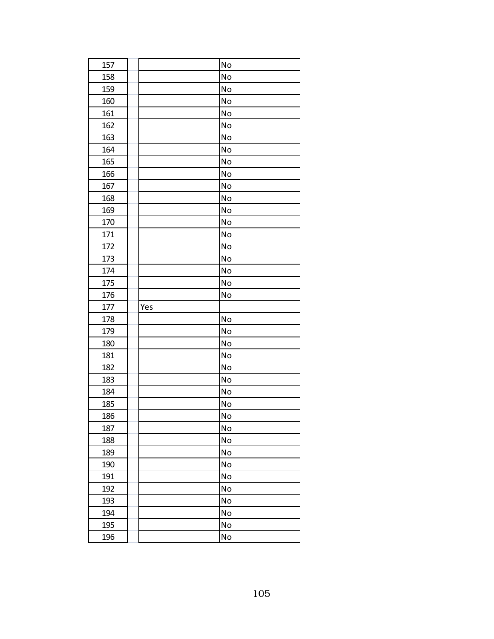| 157 |     | No |
|-----|-----|----|
| 158 |     | No |
| 159 |     | No |
| 160 |     | No |
| 161 |     | No |
| 162 |     | No |
| 163 |     | No |
| 164 |     | No |
| 165 |     | No |
| 166 |     | No |
| 167 |     | No |
| 168 |     | No |
| 169 |     | No |
| 170 |     | No |
| 171 |     | No |
| 172 |     | No |
| 173 |     | No |
| 174 |     | No |
| 175 |     | No |
| 176 |     | No |
| 177 | Yes |    |
| 178 |     | No |
| 179 |     | No |
| 180 |     | No |
| 181 |     | No |
| 182 |     | No |
| 183 |     | No |
| 184 |     | No |
| 185 |     | No |
| 186 |     | No |
| 187 |     | No |
| 188 |     | No |
| 189 |     | No |
| 190 |     | No |
| 191 |     | No |
| 192 |     | No |
| 193 |     | No |
|     |     |    |
| 194 |     | No |
| 195 |     | No |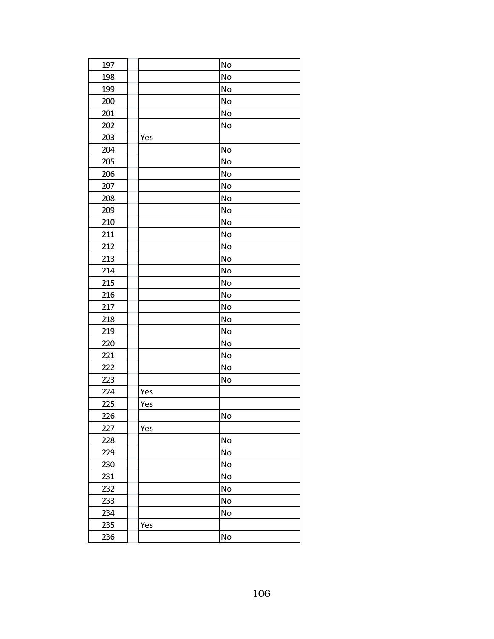| No<br>197<br>198<br>No<br>199<br>No<br>200<br>No<br>201<br>No<br>202<br>No<br>203<br>Yes<br>204<br>No<br>205<br>No<br>206<br>No<br>207<br>No<br>208<br>No<br>209<br>No<br>210<br><b>No</b><br>211<br>No<br>212<br>No<br>213<br>No<br>214<br>No<br>215<br>No<br>216<br>No<br>217<br>No<br>No<br>218<br>219<br>No<br>220<br>No<br>221<br>No<br>No<br>222<br>223<br>No<br>224<br>Yes<br>225<br>Yes<br>226<br>No<br>227<br>Yes<br>No<br>228<br>No<br>229<br>230<br>No<br>231<br>No<br>232<br>No<br>233<br>No<br>234<br>No<br>235<br>Yes<br>No<br>236 |  |  |
|--------------------------------------------------------------------------------------------------------------------------------------------------------------------------------------------------------------------------------------------------------------------------------------------------------------------------------------------------------------------------------------------------------------------------------------------------------------------------------------------------------------------------------------------------|--|--|
|                                                                                                                                                                                                                                                                                                                                                                                                                                                                                                                                                  |  |  |
|                                                                                                                                                                                                                                                                                                                                                                                                                                                                                                                                                  |  |  |
|                                                                                                                                                                                                                                                                                                                                                                                                                                                                                                                                                  |  |  |
|                                                                                                                                                                                                                                                                                                                                                                                                                                                                                                                                                  |  |  |
|                                                                                                                                                                                                                                                                                                                                                                                                                                                                                                                                                  |  |  |
|                                                                                                                                                                                                                                                                                                                                                                                                                                                                                                                                                  |  |  |
|                                                                                                                                                                                                                                                                                                                                                                                                                                                                                                                                                  |  |  |
|                                                                                                                                                                                                                                                                                                                                                                                                                                                                                                                                                  |  |  |
|                                                                                                                                                                                                                                                                                                                                                                                                                                                                                                                                                  |  |  |
|                                                                                                                                                                                                                                                                                                                                                                                                                                                                                                                                                  |  |  |
|                                                                                                                                                                                                                                                                                                                                                                                                                                                                                                                                                  |  |  |
|                                                                                                                                                                                                                                                                                                                                                                                                                                                                                                                                                  |  |  |
|                                                                                                                                                                                                                                                                                                                                                                                                                                                                                                                                                  |  |  |
|                                                                                                                                                                                                                                                                                                                                                                                                                                                                                                                                                  |  |  |
|                                                                                                                                                                                                                                                                                                                                                                                                                                                                                                                                                  |  |  |
|                                                                                                                                                                                                                                                                                                                                                                                                                                                                                                                                                  |  |  |
|                                                                                                                                                                                                                                                                                                                                                                                                                                                                                                                                                  |  |  |
|                                                                                                                                                                                                                                                                                                                                                                                                                                                                                                                                                  |  |  |
|                                                                                                                                                                                                                                                                                                                                                                                                                                                                                                                                                  |  |  |
|                                                                                                                                                                                                                                                                                                                                                                                                                                                                                                                                                  |  |  |
|                                                                                                                                                                                                                                                                                                                                                                                                                                                                                                                                                  |  |  |
|                                                                                                                                                                                                                                                                                                                                                                                                                                                                                                                                                  |  |  |
|                                                                                                                                                                                                                                                                                                                                                                                                                                                                                                                                                  |  |  |
|                                                                                                                                                                                                                                                                                                                                                                                                                                                                                                                                                  |  |  |
|                                                                                                                                                                                                                                                                                                                                                                                                                                                                                                                                                  |  |  |
|                                                                                                                                                                                                                                                                                                                                                                                                                                                                                                                                                  |  |  |
|                                                                                                                                                                                                                                                                                                                                                                                                                                                                                                                                                  |  |  |
|                                                                                                                                                                                                                                                                                                                                                                                                                                                                                                                                                  |  |  |
|                                                                                                                                                                                                                                                                                                                                                                                                                                                                                                                                                  |  |  |
|                                                                                                                                                                                                                                                                                                                                                                                                                                                                                                                                                  |  |  |
|                                                                                                                                                                                                                                                                                                                                                                                                                                                                                                                                                  |  |  |
|                                                                                                                                                                                                                                                                                                                                                                                                                                                                                                                                                  |  |  |
|                                                                                                                                                                                                                                                                                                                                                                                                                                                                                                                                                  |  |  |
|                                                                                                                                                                                                                                                                                                                                                                                                                                                                                                                                                  |  |  |
|                                                                                                                                                                                                                                                                                                                                                                                                                                                                                                                                                  |  |  |
|                                                                                                                                                                                                                                                                                                                                                                                                                                                                                                                                                  |  |  |
|                                                                                                                                                                                                                                                                                                                                                                                                                                                                                                                                                  |  |  |
|                                                                                                                                                                                                                                                                                                                                                                                                                                                                                                                                                  |  |  |
|                                                                                                                                                                                                                                                                                                                                                                                                                                                                                                                                                  |  |  |
|                                                                                                                                                                                                                                                                                                                                                                                                                                                                                                                                                  |  |  |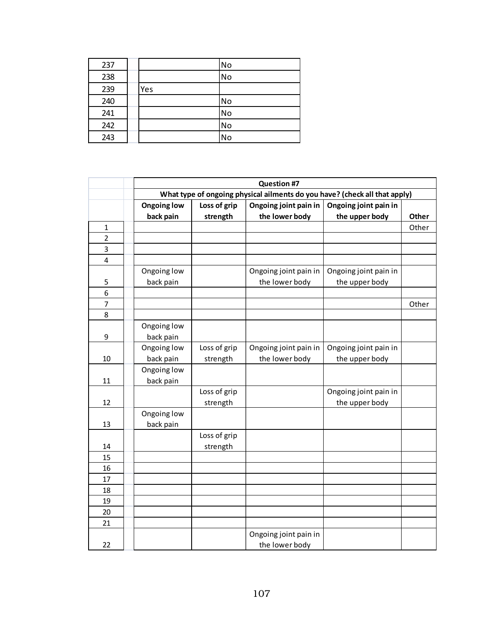| 237 |     | <b>No</b> |
|-----|-----|-----------|
| 238 |     | <b>No</b> |
| 239 | Yes |           |
| 240 |     | <b>No</b> |
| 241 |     | <b>No</b> |
| 242 |     | <b>No</b> |
| 243 |     | No        |

|                | <b>Question #7</b>                                                                   |                                                                            |                       |                       |       |  |
|----------------|--------------------------------------------------------------------------------------|----------------------------------------------------------------------------|-----------------------|-----------------------|-------|--|
|                |                                                                                      | What type of ongoing physical ailments do you have? (check all that apply) |                       |                       |       |  |
|                | <b>Ongoing low</b><br>Loss of grip<br>Ongoing joint pain in<br>Ongoing joint pain in |                                                                            |                       |                       |       |  |
|                | back pain                                                                            | strength                                                                   | the lower body        | the upper body        | Other |  |
| 1              |                                                                                      |                                                                            |                       |                       | Other |  |
| $\overline{2}$ |                                                                                      |                                                                            |                       |                       |       |  |
| 3              |                                                                                      |                                                                            |                       |                       |       |  |
| 4              |                                                                                      |                                                                            |                       |                       |       |  |
|                | Ongoing low                                                                          |                                                                            | Ongoing joint pain in | Ongoing joint pain in |       |  |
| 5              | back pain                                                                            |                                                                            | the lower body        | the upper body        |       |  |
| 6              |                                                                                      |                                                                            |                       |                       |       |  |
| 7              |                                                                                      |                                                                            |                       |                       | Other |  |
| 8              |                                                                                      |                                                                            |                       |                       |       |  |
|                | Ongoing low                                                                          |                                                                            |                       |                       |       |  |
| 9              | back pain                                                                            |                                                                            |                       |                       |       |  |
|                | Ongoing low                                                                          | Loss of grip                                                               | Ongoing joint pain in | Ongoing joint pain in |       |  |
| 10             | back pain                                                                            | strength                                                                   | the lower body        | the upper body        |       |  |
|                | Ongoing low                                                                          |                                                                            |                       |                       |       |  |
| 11             | back pain                                                                            |                                                                            |                       |                       |       |  |
|                |                                                                                      | Loss of grip                                                               |                       | Ongoing joint pain in |       |  |
| 12             |                                                                                      | strength                                                                   |                       | the upper body        |       |  |
|                | Ongoing low                                                                          |                                                                            |                       |                       |       |  |
| 13             | back pain                                                                            |                                                                            |                       |                       |       |  |
|                |                                                                                      | Loss of grip                                                               |                       |                       |       |  |
| 14             |                                                                                      | strength                                                                   |                       |                       |       |  |
| 15             |                                                                                      |                                                                            |                       |                       |       |  |
| 16             |                                                                                      |                                                                            |                       |                       |       |  |
| 17             |                                                                                      |                                                                            |                       |                       |       |  |
| 18             |                                                                                      |                                                                            |                       |                       |       |  |
| 19             |                                                                                      |                                                                            |                       |                       |       |  |
| 20             |                                                                                      |                                                                            |                       |                       |       |  |
| 21             |                                                                                      |                                                                            |                       |                       |       |  |
|                |                                                                                      |                                                                            | Ongoing joint pain in |                       |       |  |
| 22             |                                                                                      |                                                                            | the lower body        |                       |       |  |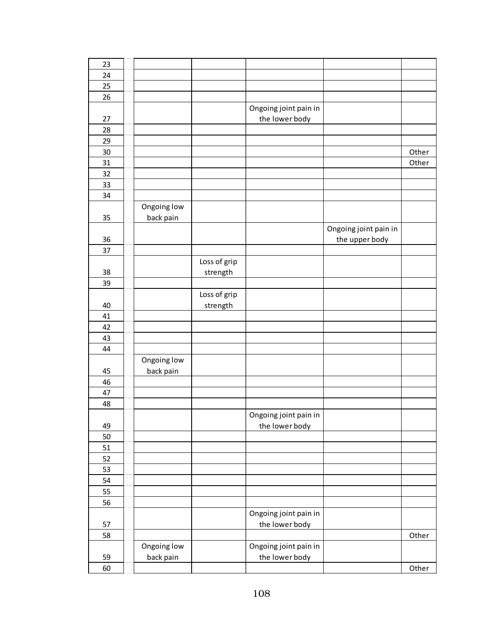| 23 |             |              |                       |                       |       |
|----|-------------|--------------|-----------------------|-----------------------|-------|
| 24 |             |              |                       |                       |       |
| 25 |             |              |                       |                       |       |
| 26 |             |              |                       |                       |       |
|    |             |              | Ongoing joint pain in |                       |       |
| 27 |             |              | the lower body        |                       |       |
| 28 |             |              |                       |                       |       |
| 29 |             |              |                       |                       |       |
| 30 |             |              |                       |                       | Other |
| 31 |             |              |                       |                       | Other |
| 32 |             |              |                       |                       |       |
| 33 |             |              |                       |                       |       |
| 34 |             |              |                       |                       |       |
|    | Ongoing low |              |                       |                       |       |
| 35 | back pain   |              |                       |                       |       |
|    |             |              |                       | Ongoing joint pain in |       |
| 36 |             |              |                       | the upper body        |       |
| 37 |             |              |                       |                       |       |
|    |             | Loss of grip |                       |                       |       |
| 38 |             | strength     |                       |                       |       |
| 39 |             |              |                       |                       |       |
|    |             | Loss of grip |                       |                       |       |
| 40 |             | strength     |                       |                       |       |
| 41 |             |              |                       |                       |       |
| 42 |             |              |                       |                       |       |
| 43 |             |              |                       |                       |       |
| 44 |             |              |                       |                       |       |
|    | Ongoing low |              |                       |                       |       |
| 45 | back pain   |              |                       |                       |       |
| 46 |             |              |                       |                       |       |
| 47 |             |              |                       |                       |       |
| 48 |             |              |                       |                       |       |
|    |             |              | Ongoing joint pain in |                       |       |
| 49 |             |              | the lower body        |                       |       |
| 50 |             |              |                       |                       |       |
| 51 |             |              |                       |                       |       |
| 52 |             |              |                       |                       |       |
| 53 |             |              |                       |                       |       |
| 54 |             |              |                       |                       |       |
| 55 |             |              |                       |                       |       |
| 56 |             |              |                       |                       |       |
|    |             |              | Ongoing joint pain in |                       |       |
| 57 |             |              | the lower body        |                       |       |
| 58 |             |              |                       |                       | Other |
|    | Ongoing low |              | Ongoing joint pain in |                       |       |
| 59 | back pain   |              | the lower body        |                       |       |
| 60 |             |              |                       |                       | Other |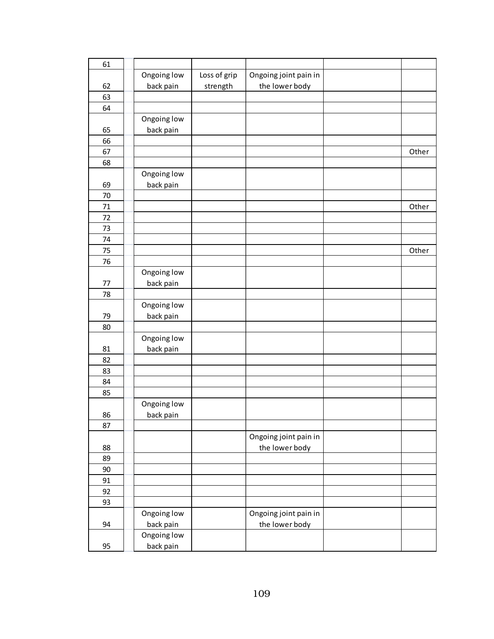| 61 |             |              |                       |       |
|----|-------------|--------------|-----------------------|-------|
|    | Ongoing low | Loss of grip | Ongoing joint pain in |       |
| 62 | back pain   | strength     | the lower body        |       |
| 63 |             |              |                       |       |
| 64 |             |              |                       |       |
|    | Ongoing low |              |                       |       |
| 65 | back pain   |              |                       |       |
| 66 |             |              |                       |       |
| 67 |             |              |                       | Other |
| 68 |             |              |                       |       |
|    | Ongoing low |              |                       |       |
| 69 |             |              |                       |       |
|    | back pain   |              |                       |       |
| 70 |             |              |                       |       |
| 71 |             |              |                       | Other |
| 72 |             |              |                       |       |
| 73 |             |              |                       |       |
| 74 |             |              |                       |       |
| 75 |             |              |                       | Other |
| 76 |             |              |                       |       |
|    | Ongoing low |              |                       |       |
| 77 | back pain   |              |                       |       |
| 78 |             |              |                       |       |
|    | Ongoing low |              |                       |       |
| 79 | back pain   |              |                       |       |
| 80 |             |              |                       |       |
|    | Ongoing low |              |                       |       |
| 81 | back pain   |              |                       |       |
| 82 |             |              |                       |       |
| 83 |             |              |                       |       |
| 84 |             |              |                       |       |
| 85 |             |              |                       |       |
|    | Ongoing low |              |                       |       |
| 86 | back pain   |              |                       |       |
| 87 |             |              |                       |       |
|    |             |              |                       |       |
|    |             |              | Ongoing joint pain in |       |
| 88 |             |              | the lower body        |       |
| 89 |             |              |                       |       |
| 90 |             |              |                       |       |
| 91 |             |              |                       |       |
| 92 |             |              |                       |       |
| 93 |             |              |                       |       |
|    | Ongoing low |              | Ongoing joint pain in |       |
| 94 | back pain   |              | the lower body        |       |
|    | Ongoing low |              |                       |       |
| 95 | back pain   |              |                       |       |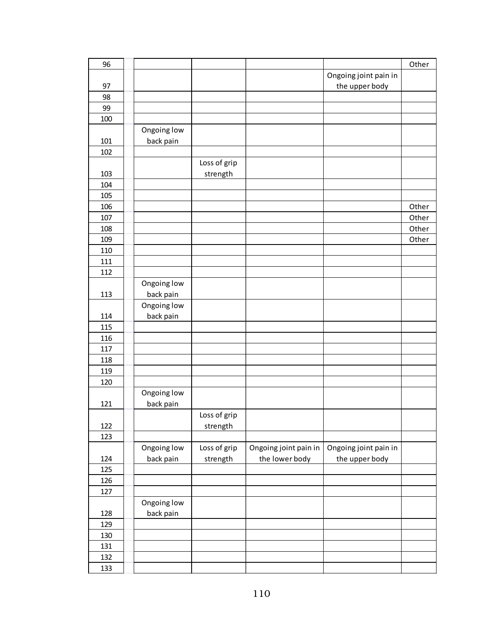| 96  |             |              |                       |                       | Other |
|-----|-------------|--------------|-----------------------|-----------------------|-------|
|     |             |              |                       | Ongoing joint pain in |       |
| 97  |             |              |                       | the upper body        |       |
| 98  |             |              |                       |                       |       |
| 99  |             |              |                       |                       |       |
| 100 |             |              |                       |                       |       |
|     | Ongoing low |              |                       |                       |       |
| 101 | back pain   |              |                       |                       |       |
| 102 |             |              |                       |                       |       |
|     |             | Loss of grip |                       |                       |       |
| 103 |             | strength     |                       |                       |       |
| 104 |             |              |                       |                       |       |
| 105 |             |              |                       |                       |       |
| 106 |             |              |                       |                       | Other |
| 107 |             |              |                       |                       | Other |
| 108 |             |              |                       |                       | Other |
| 109 |             |              |                       |                       | Other |
| 110 |             |              |                       |                       |       |
| 111 |             |              |                       |                       |       |
| 112 |             |              |                       |                       |       |
|     | Ongoing low |              |                       |                       |       |
| 113 | back pain   |              |                       |                       |       |
|     | Ongoing low |              |                       |                       |       |
| 114 | back pain   |              |                       |                       |       |
| 115 |             |              |                       |                       |       |
| 116 |             |              |                       |                       |       |
| 117 |             |              |                       |                       |       |
| 118 |             |              |                       |                       |       |
| 119 |             |              |                       |                       |       |
| 120 |             |              |                       |                       |       |
|     | Ongoing low |              |                       |                       |       |
| 121 | back pain   |              |                       |                       |       |
|     |             | Loss of grip |                       |                       |       |
| 122 |             | strength     |                       |                       |       |
| 123 |             |              |                       |                       |       |
|     | Ongoing low | Loss of grip | Ongoing joint pain in | Ongoing joint pain in |       |
| 124 | back pain   | strength     | the lower body        | the upper body        |       |
| 125 |             |              |                       |                       |       |
| 126 |             |              |                       |                       |       |
| 127 |             |              |                       |                       |       |
|     | Ongoing low |              |                       |                       |       |
| 128 | back pain   |              |                       |                       |       |
| 129 |             |              |                       |                       |       |
| 130 |             |              |                       |                       |       |
| 131 |             |              |                       |                       |       |
| 132 |             |              |                       |                       |       |
| 133 |             |              |                       |                       |       |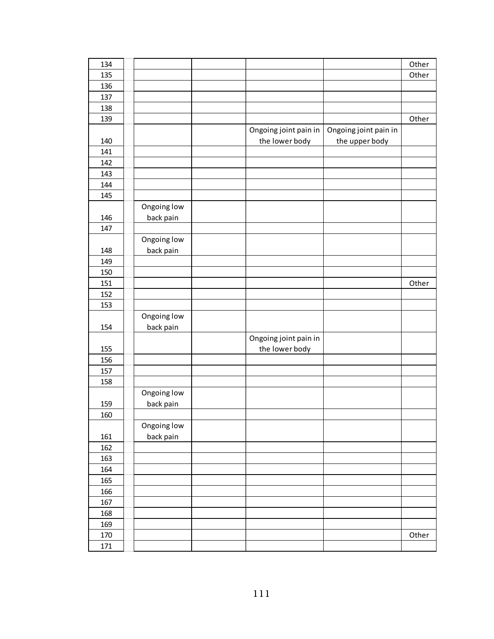| 134 |             |                       |                       | Other |
|-----|-------------|-----------------------|-----------------------|-------|
| 135 |             |                       |                       | Other |
| 136 |             |                       |                       |       |
| 137 |             |                       |                       |       |
| 138 |             |                       |                       |       |
| 139 |             |                       |                       | Other |
|     |             | Ongoing joint pain in | Ongoing joint pain in |       |
| 140 |             | the lower body        | the upper body        |       |
| 141 |             |                       |                       |       |
| 142 |             |                       |                       |       |
| 143 |             |                       |                       |       |
| 144 |             |                       |                       |       |
| 145 |             |                       |                       |       |
|     | Ongoing low |                       |                       |       |
| 146 | back pain   |                       |                       |       |
| 147 |             |                       |                       |       |
|     | Ongoing low |                       |                       |       |
| 148 | back pain   |                       |                       |       |
| 149 |             |                       |                       |       |
| 150 |             |                       |                       |       |
| 151 |             |                       |                       | Other |
| 152 |             |                       |                       |       |
| 153 |             |                       |                       |       |
|     | Ongoing low |                       |                       |       |
| 154 | back pain   |                       |                       |       |
|     |             | Ongoing joint pain in |                       |       |
| 155 |             | the lower body        |                       |       |
| 156 |             |                       |                       |       |
| 157 |             |                       |                       |       |
| 158 |             |                       |                       |       |
|     | Ongoing low |                       |                       |       |
| 159 | back pain   |                       |                       |       |
| 160 |             |                       |                       |       |
|     | Ongoing low |                       |                       |       |
| 161 | back pain   |                       |                       |       |
| 162 |             |                       |                       |       |
| 163 |             |                       |                       |       |
| 164 |             |                       |                       |       |
| 165 |             |                       |                       |       |
| 166 |             |                       |                       |       |
| 167 |             |                       |                       |       |
| 168 |             |                       |                       |       |
| 169 |             |                       |                       |       |
| 170 |             |                       |                       | Other |
| 171 |             |                       |                       |       |
|     |             |                       |                       |       |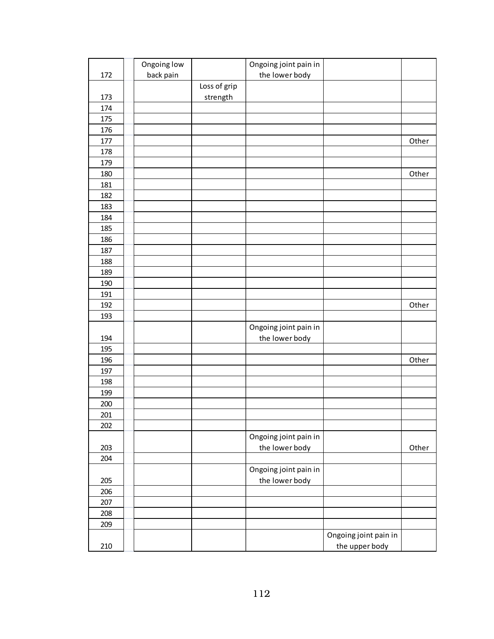|     | Ongoing low |              | Ongoing joint pain in |                       |       |
|-----|-------------|--------------|-----------------------|-----------------------|-------|
| 172 | back pain   |              | the lower body        |                       |       |
|     |             | Loss of grip |                       |                       |       |
| 173 |             | strength     |                       |                       |       |
| 174 |             |              |                       |                       |       |
| 175 |             |              |                       |                       |       |
| 176 |             |              |                       |                       |       |
| 177 |             |              |                       |                       | Other |
| 178 |             |              |                       |                       |       |
| 179 |             |              |                       |                       |       |
| 180 |             |              |                       |                       | Other |
| 181 |             |              |                       |                       |       |
| 182 |             |              |                       |                       |       |
| 183 |             |              |                       |                       |       |
| 184 |             |              |                       |                       |       |
| 185 |             |              |                       |                       |       |
| 186 |             |              |                       |                       |       |
| 187 |             |              |                       |                       |       |
| 188 |             |              |                       |                       |       |
| 189 |             |              |                       |                       |       |
| 190 |             |              |                       |                       |       |
| 191 |             |              |                       |                       |       |
| 192 |             |              |                       |                       | Other |
| 193 |             |              |                       |                       |       |
|     |             |              | Ongoing joint pain in |                       |       |
| 194 |             |              | the lower body        |                       |       |
| 195 |             |              |                       |                       |       |
| 196 |             |              |                       |                       | Other |
| 197 |             |              |                       |                       |       |
| 198 |             |              |                       |                       |       |
| 199 |             |              |                       |                       |       |
| 200 |             |              |                       |                       |       |
| 201 |             |              |                       |                       |       |
| 202 |             |              |                       |                       |       |
|     |             |              | Ongoing joint pain in |                       |       |
| 203 |             |              | the lower body        |                       | Other |
| 204 |             |              |                       |                       |       |
|     |             |              | Ongoing joint pain in |                       |       |
| 205 |             |              | the lower body        |                       |       |
| 206 |             |              |                       |                       |       |
| 207 |             |              |                       |                       |       |
| 208 |             |              |                       |                       |       |
| 209 |             |              |                       |                       |       |
|     |             |              |                       | Ongoing joint pain in |       |
| 210 |             |              |                       | the upper body        |       |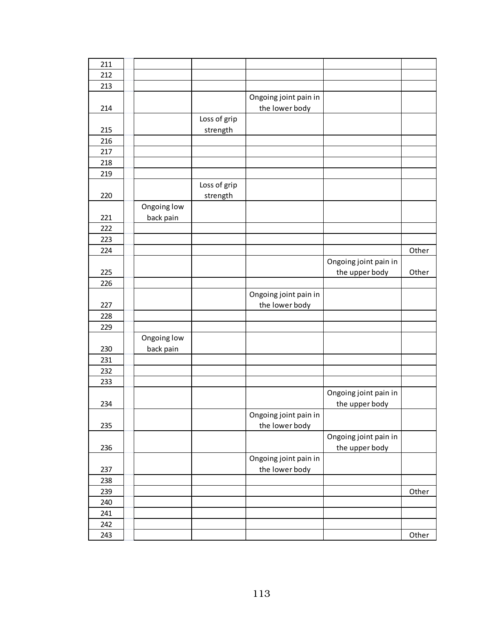| 211 |             |              |                       |                       |       |
|-----|-------------|--------------|-----------------------|-----------------------|-------|
| 212 |             |              |                       |                       |       |
| 213 |             |              |                       |                       |       |
|     |             |              | Ongoing joint pain in |                       |       |
| 214 |             |              | the lower body        |                       |       |
|     |             | Loss of grip |                       |                       |       |
| 215 |             | strength     |                       |                       |       |
| 216 |             |              |                       |                       |       |
| 217 |             |              |                       |                       |       |
| 218 |             |              |                       |                       |       |
| 219 |             |              |                       |                       |       |
|     |             | Loss of grip |                       |                       |       |
| 220 |             | strength     |                       |                       |       |
|     | Ongoing low |              |                       |                       |       |
| 221 | back pain   |              |                       |                       |       |
| 222 |             |              |                       |                       |       |
| 223 |             |              |                       |                       |       |
| 224 |             |              |                       |                       | Other |
|     |             |              |                       | Ongoing joint pain in |       |
| 225 |             |              |                       | the upper body        | Other |
| 226 |             |              |                       |                       |       |
|     |             |              |                       |                       |       |
|     |             |              | Ongoing joint pain in |                       |       |
| 227 |             |              | the lower body        |                       |       |
| 228 |             |              |                       |                       |       |
| 229 |             |              |                       |                       |       |
|     | Ongoing low |              |                       |                       |       |
| 230 | back pain   |              |                       |                       |       |
| 231 |             |              |                       |                       |       |
| 232 |             |              |                       |                       |       |
| 233 |             |              |                       |                       |       |
|     |             |              |                       | Ongoing joint pain in |       |
| 234 |             |              |                       | the upper body        |       |
|     |             |              | Ongoing joint pain in |                       |       |
| 235 |             |              | the lower body        |                       |       |
|     |             |              |                       | Ongoing joint pain in |       |
| 236 |             |              |                       | the upper body        |       |
|     |             |              | Ongoing joint pain in |                       |       |
| 237 |             |              | the lower body        |                       |       |
| 238 |             |              |                       |                       |       |
| 239 |             |              |                       |                       | Other |
| 240 |             |              |                       |                       |       |
| 241 |             |              |                       |                       |       |
| 242 |             |              |                       |                       |       |
| 243 |             |              |                       |                       | Other |